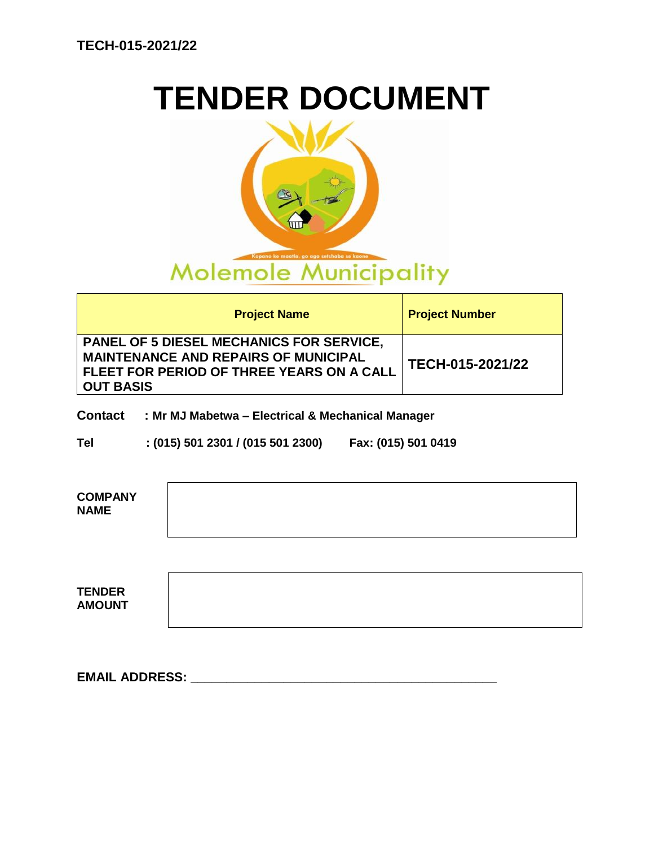# **TENDER DOCUMENT**



| <b>Project Name</b>                                                                                                                                             | <b>Project Number</b> |
|-----------------------------------------------------------------------------------------------------------------------------------------------------------------|-----------------------|
| <b>PANEL OF 5 DIESEL MECHANICS FOR SERVICE,</b><br><b>MAINTENANCE AND REPAIRS OF MUNICIPAL</b><br>FLEET FOR PERIOD OF THREE YEARS ON A CALL<br><b>OUT BASIS</b> | TECH-015-2021/22      |

### **Contact : Mr MJ Mabetwa – Electrical & Mechanical Manager**

**Tel : (015) 501 2301 / (015 501 2300) Fax: (015) 501 0419**

| <b>COMPANY</b><br><b>NAME</b>  |  |
|--------------------------------|--|
|                                |  |
| <b>TENDER</b><br><b>AMOUNT</b> |  |

**EMAIL ADDRESS: \_\_\_\_\_\_\_\_\_\_\_\_\_\_\_\_\_\_\_\_\_\_\_\_\_\_\_\_\_\_\_\_\_\_\_\_\_\_\_\_\_\_\_**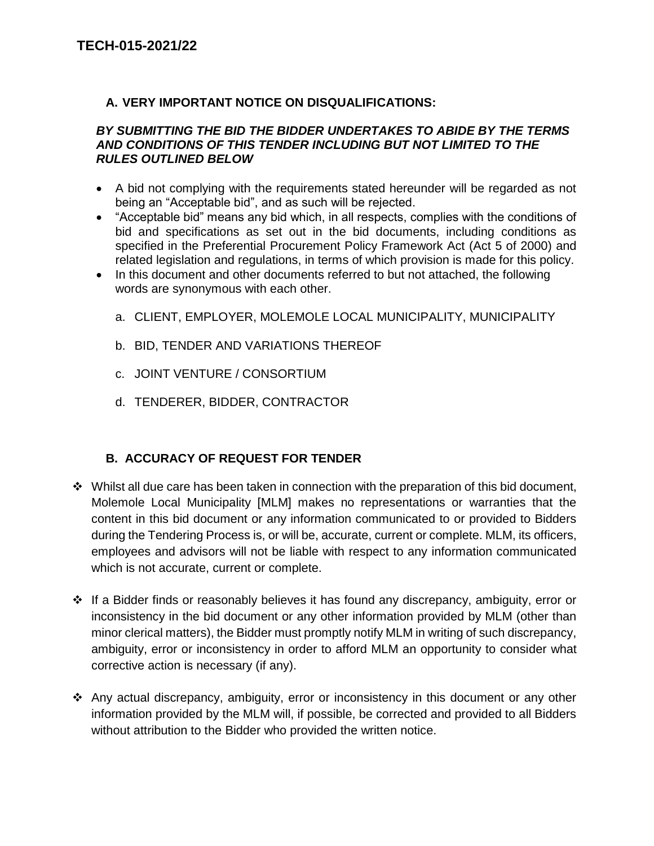### **A. VERY IMPORTANT NOTICE ON DISQUALIFICATIONS:**

### *BY SUBMITTING THE BID THE BIDDER UNDERTAKES TO ABIDE BY THE TERMS AND CONDITIONS OF THIS TENDER INCLUDING BUT NOT LIMITED TO THE RULES OUTLINED BELOW*

- A bid not complying with the requirements stated hereunder will be regarded as not being an "Acceptable bid", and as such will be rejected.
- "Acceptable bid" means any bid which, in all respects, complies with the conditions of bid and specifications as set out in the bid documents, including conditions as specified in the Preferential Procurement Policy Framework Act (Act 5 of 2000) and related legislation and regulations, in terms of which provision is made for this policy.
- In this document and other documents referred to but not attached, the following words are synonymous with each other.
	- a. CLIENT, EMPLOYER, MOLEMOLE LOCAL MUNICIPALITY, MUNICIPALITY
	- b. BID, TENDER AND VARIATIONS THEREOF
	- c. JOINT VENTURE / CONSORTIUM
	- d. TENDERER, BIDDER, CONTRACTOR

# **B. ACCURACY OF REQUEST FOR TENDER**

- $\div$  Whilst all due care has been taken in connection with the preparation of this bid document, Molemole Local Municipality [MLM] makes no representations or warranties that the content in this bid document or any information communicated to or provided to Bidders during the Tendering Process is, or will be, accurate, current or complete. MLM, its officers, employees and advisors will not be liable with respect to any information communicated which is not accurate, current or complete.
- $\cdot \cdot$  If a Bidder finds or reasonably believes it has found any discrepancy, ambiguity, error or inconsistency in the bid document or any other information provided by MLM (other than minor clerical matters), the Bidder must promptly notify MLM in writing of such discrepancy, ambiguity, error or inconsistency in order to afford MLM an opportunity to consider what corrective action is necessary (if any).
- Any actual discrepancy, ambiguity, error or inconsistency in this document or any other information provided by the MLM will, if possible, be corrected and provided to all Bidders without attribution to the Bidder who provided the written notice.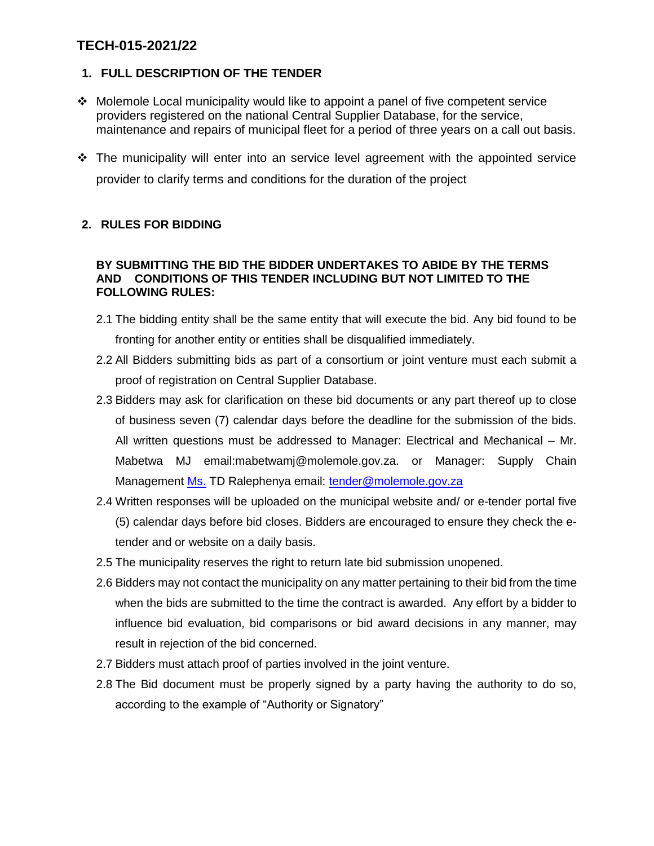### **1. FULL DESCRIPTION OF THE TENDER**

- Molemole Local municipality would like to appoint a panel of five competent service providers registered on the national Central Supplier Database, for the service, maintenance and repairs of municipal fleet for a period of three years on a call out basis.
- The municipality will enter into an service level agreement with the appointed service provider to clarify terms and conditions for the duration of the project

### **2. RULES FOR BIDDING**

### **BY SUBMITTING THE BID THE BIDDER UNDERTAKES TO ABIDE BY THE TERMS AND CONDITIONS OF THIS TENDER INCLUDING BUT NOT LIMITED TO THE FOLLOWING RULES:**

- 2.1 The bidding entity shall be the same entity that will execute the bid. Any bid found to be fronting for another entity or entities shall be disqualified immediately.
- 2.2 All Bidders submitting bids as part of a consortium or joint venture must each submit a proof of registration on Central Supplier Database.
- 2.3 Bidders may ask for clarification on these bid documents or any part thereof up to close of business seven (7) calendar days before the deadline for the submission of the bids. All written questions must be addressed to Manager: Electrical and Mechanical – Mr. Mabetwa MJ email:mabetwamj@molemole.gov.za. or Manager: Supply Chain Management Ms. TD Ralephenya email: [tender@molemole.gov.za](mailto:tender@molemole.gov.za)
- 2.4 Written responses will be uploaded on the municipal website and/ or e-tender portal five (5) calendar days before bid closes. Bidders are encouraged to ensure they check the etender and or website on a daily basis.
- 2.5 The municipality reserves the right to return late bid submission unopened.
- 2.6 Bidders may not contact the municipality on any matter pertaining to their bid from the time when the bids are submitted to the time the contract is awarded. Any effort by a bidder to influence bid evaluation, bid comparisons or bid award decisions in any manner, may result in rejection of the bid concerned.
- 2.7 Bidders must attach proof of parties involved in the joint venture.
- 2.8 The Bid document must be properly signed by a party having the authority to do so, according to the example of "Authority or Signatory"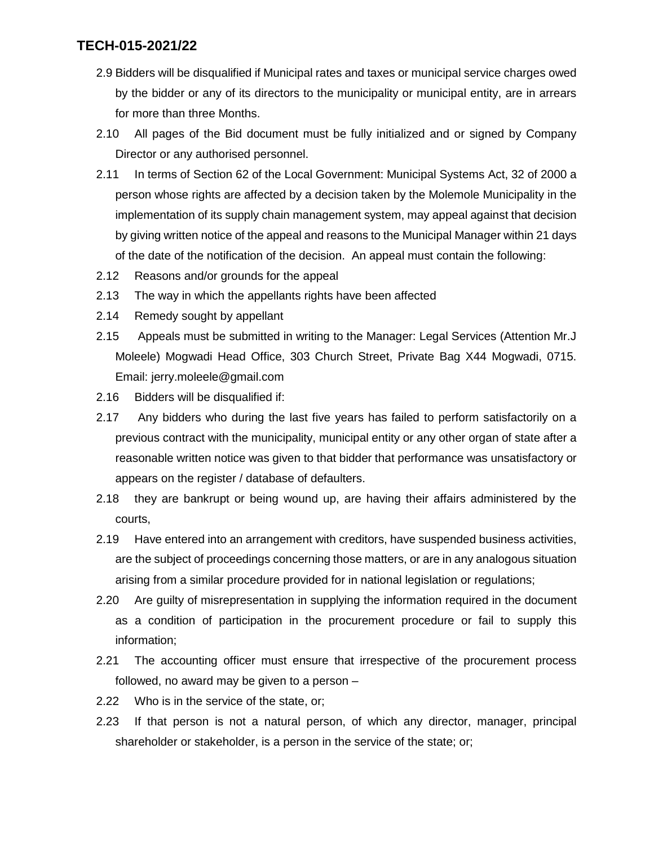- 2.9 Bidders will be disqualified if Municipal rates and taxes or municipal service charges owed by the bidder or any of its directors to the municipality or municipal entity, are in arrears for more than three Months.
- 2.10 All pages of the Bid document must be fully initialized and or signed by Company Director or any authorised personnel.
- 2.11 In terms of Section 62 of the Local Government: Municipal Systems Act, 32 of 2000 a person whose rights are affected by a decision taken by the Molemole Municipality in the implementation of its supply chain management system, may appeal against that decision by giving written notice of the appeal and reasons to the Municipal Manager within 21 days of the date of the notification of the decision. An appeal must contain the following:
- 2.12 Reasons and/or grounds for the appeal
- 2.13 The way in which the appellants rights have been affected
- 2.14 Remedy sought by appellant
- 2.15 Appeals must be submitted in writing to the Manager: Legal Services (Attention Mr.J Moleele) Mogwadi Head Office, 303 Church Street, Private Bag X44 Mogwadi, 0715. Email: jerry.moleele@gmail.com
- 2.16 Bidders will be disqualified if:
- 2.17 Any bidders who during the last five years has failed to perform satisfactorily on a previous contract with the municipality, municipal entity or any other organ of state after a reasonable written notice was given to that bidder that performance was unsatisfactory or appears on the register / database of defaulters.
- 2.18 they are bankrupt or being wound up, are having their affairs administered by the courts,
- 2.19 Have entered into an arrangement with creditors, have suspended business activities, are the subject of proceedings concerning those matters, or are in any analogous situation arising from a similar procedure provided for in national legislation or regulations;
- 2.20 Are guilty of misrepresentation in supplying the information required in the document as a condition of participation in the procurement procedure or fail to supply this information;
- 2.21 The accounting officer must ensure that irrespective of the procurement process followed, no award may be given to a person –
- 2.22 Who is in the service of the state, or;
- 2.23 If that person is not a natural person, of which any director, manager, principal shareholder or stakeholder, is a person in the service of the state; or;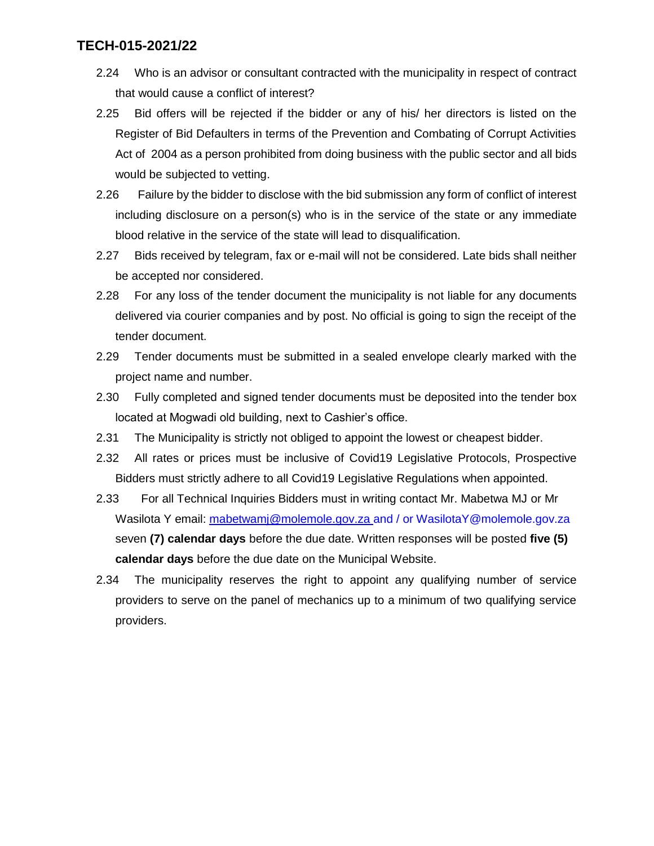- 2.24 Who is an advisor or consultant contracted with the municipality in respect of contract that would cause a conflict of interest?
- 2.25 Bid offers will be rejected if the bidder or any of his/ her directors is listed on the Register of Bid Defaulters in terms of the Prevention and Combating of Corrupt Activities Act of 2004 as a person prohibited from doing business with the public sector and all bids would be subjected to vetting.
- 2.26 Failure by the bidder to disclose with the bid submission any form of conflict of interest including disclosure on a person(s) who is in the service of the state or any immediate blood relative in the service of the state will lead to disqualification.
- 2.27 Bids received by telegram, fax or e-mail will not be considered. Late bids shall neither be accepted nor considered.
- 2.28 For any loss of the tender document the municipality is not liable for any documents delivered via courier companies and by post. No official is going to sign the receipt of the tender document.
- 2.29 Tender documents must be submitted in a sealed envelope clearly marked with the project name and number.
- 2.30 Fully completed and signed tender documents must be deposited into the tender box located at Mogwadi old building, next to Cashier's office.
- 2.31 The Municipality is strictly not obliged to appoint the lowest or cheapest bidder.
- 2.32 All rates or prices must be inclusive of Covid19 Legislative Protocols, Prospective Bidders must strictly adhere to all Covid19 Legislative Regulations when appointed.
- 2.33 For all Technical Inquiries Bidders must in writing contact Mr. Mabetwa MJ or Mr Wasilota Y email: [mabetwamj@molemole.gov.za](mailto:mabasavp@molemole.gov.za) and / or WasilotaY@molemole.gov.za seven **(7) calendar days** before the due date. Written responses will be posted **five (5) calendar days** before the due date on the Municipal Website.
- 2.34 The municipality reserves the right to appoint any qualifying number of service providers to serve on the panel of mechanics up to a minimum of two qualifying service providers.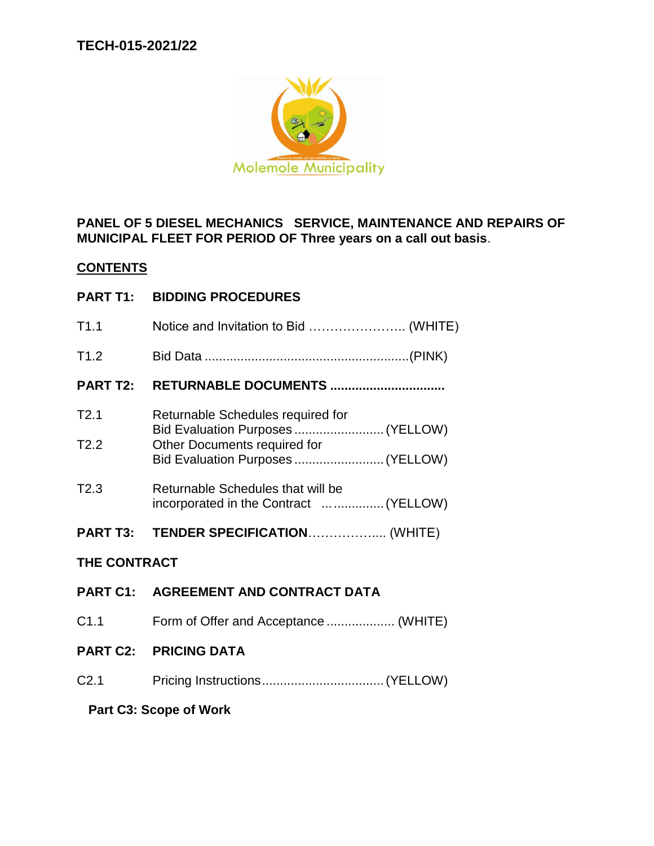

**PANEL OF 5 DIESEL MECHANICS SERVICE, MAINTENANCE AND REPAIRS OF MUNICIPAL FLEET FOR PERIOD OF Three years on a call out basis**.

### **CONTENTS**

**PART T1: BIDDING PROCEDURES**

| T1.1             | Notice and Invitation to Bid  (WHITE)                                                                  |
|------------------|--------------------------------------------------------------------------------------------------------|
| T1.2             |                                                                                                        |
| <b>PART T2:</b>  | <b>RETURNABLE DOCUMENTS </b>                                                                           |
| T2.1<br>T2.2     | Returnable Schedules required for<br>Bid Evaluation Purposes  (YELLOW)<br>Other Documents required for |
|                  | Bid Evaluation Purposes (YELLOW)                                                                       |
| T2.3             | Returnable Schedules that will be<br>incorporated in the Contract   (YELLOW)                           |
|                  | PART T3: TENDER SPECIFICATION (WHITE)                                                                  |
| THE CONTRACT     |                                                                                                        |
|                  | PART C1: AGREEMENT AND CONTRACT DATA                                                                   |
| C <sub>1.1</sub> | Form of Offer and Acceptance  (WHITE)                                                                  |
|                  | <b>PART C2: PRICING DATA</b>                                                                           |
| C <sub>2.1</sub> |                                                                                                        |
|                  |                                                                                                        |

**Part C3: Scope of Work**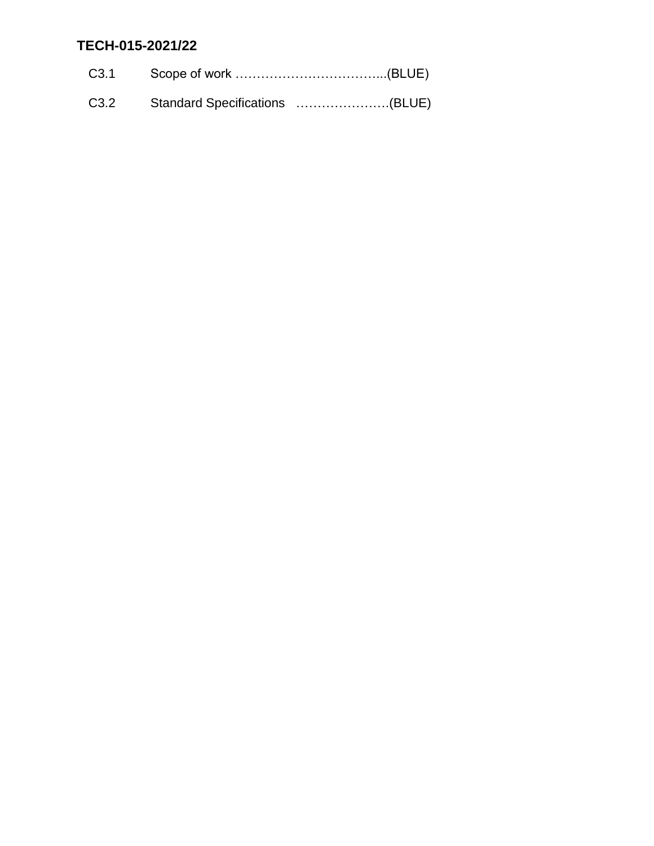| C3.2 Standard Specifications (BLUE) |  |
|-------------------------------------|--|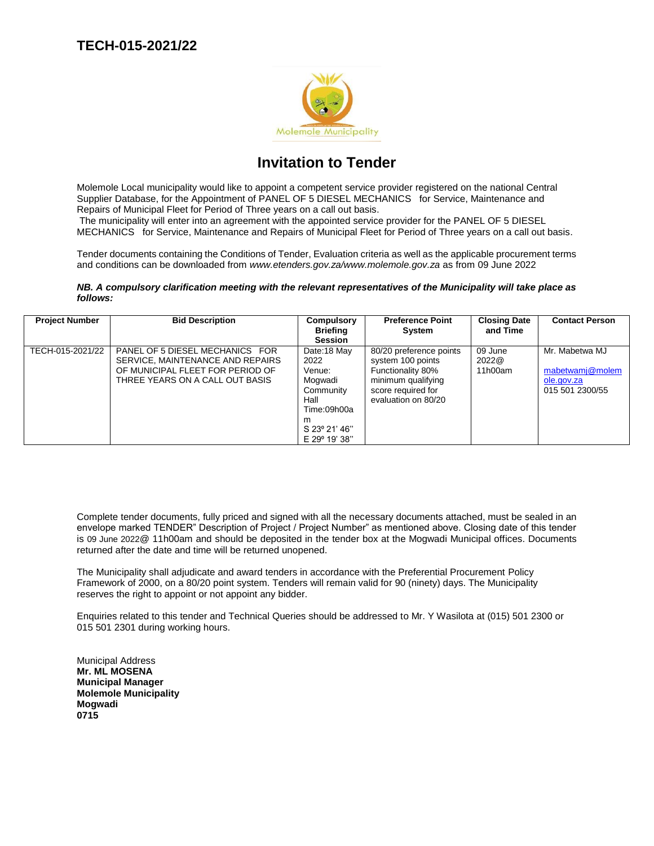

# **Invitation to Tender**

Molemole Local municipality would like to appoint a competent service provider registered on the national Central Supplier Database, for the Appointment of PANEL OF 5 DIESEL MECHANICS for Service, Maintenance and Repairs of Municipal Fleet for Period of Three years on a call out basis.

The municipality will enter into an agreement with the appointed service provider for the PANEL OF 5 DIESEL MECHANICS for Service, Maintenance and Repairs of Municipal Fleet for Period of Three years on a call out basis.

Tender documents containing the Conditions of Tender, Evaluation criteria as well as the applicable procurement terms and conditions can be downloaded from *www.etenders.gov.za/www.molemole.gov.za* as from 09 June 2022

#### *NB. A compulsory clarification meeting with the relevant representatives of the Municipality will take place as follows:*

| <b>Project Number</b> | <b>Bid Description</b>                                                                                                                     | Compulsory<br><b>Briefing</b><br><b>Session</b>                                                                     | <b>Preference Point</b><br><b>System</b>                                                                                             | <b>Closing Date</b><br>and Time | <b>Contact Person</b>                                              |
|-----------------------|--------------------------------------------------------------------------------------------------------------------------------------------|---------------------------------------------------------------------------------------------------------------------|--------------------------------------------------------------------------------------------------------------------------------------|---------------------------------|--------------------------------------------------------------------|
| TECH-015-2021/22      | PANEL OF 5 DIESEL MECHANICS FOR<br>SERVICE, MAINTENANCE AND REPAIRS<br>OF MUNICIPAL FLEET FOR PERIOD OF<br>THREE YEARS ON A CALL OUT BASIS | Date:18 May<br>2022<br>Venue:<br>Mogwadi<br>Community<br>Hall<br>Time:09h00a<br>m<br>S 23° 21' 46"<br>E 29° 19' 38" | 80/20 preference points<br>system 100 points<br>Functionality 80%<br>minimum qualifying<br>score required for<br>evaluation on 80/20 | 09 June<br>2022@<br>11h00am     | Mr. Mabetwa MJ<br>mabetwamj@molem<br>ole.gov.za<br>015 501 2300/55 |

Complete tender documents, fully priced and signed with all the necessary documents attached, must be sealed in an envelope marked TENDER" Description of Project / Project Number" as mentioned above. Closing date of this tender is 09 June 2022@ 11h00am and should be deposited in the tender box at the Mogwadi Municipal offices. Documents returned after the date and time will be returned unopened.

The Municipality shall adjudicate and award tenders in accordance with the Preferential Procurement Policy Framework of 2000, on a 80/20 point system. Tenders will remain valid for 90 (ninety) days. The Municipality reserves the right to appoint or not appoint any bidder.

Enquiries related to this tender and Technical Queries should be addressed to Mr. Y Wasilota at (015) 501 2300 or 015 501 2301 during working hours.

Municipal Address **Mr. ML MOSENA Municipal Manager Molemole Municipality Mogwadi 0715**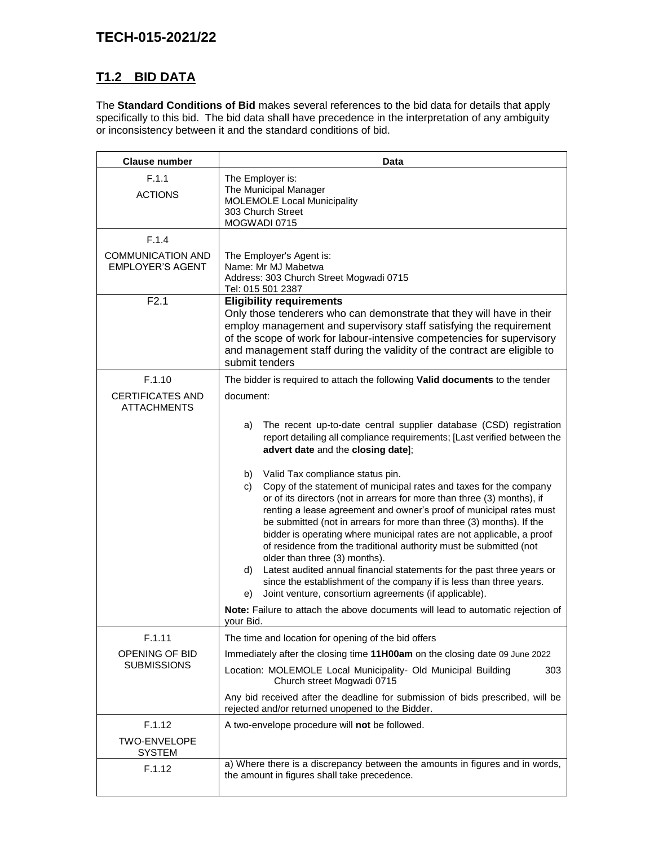# **T1.2 BID DATA**

The **Standard Conditions of Bid** makes several references to the bid data for details that apply specifically to this bid. The bid data shall have precedence in the interpretation of any ambiguity or inconsistency between it and the standard conditions of bid.

| <b>Clause number</b>                                | Data                                                                                                                                                                                                                                                                                                                                                                                                                                                                                                                                                                                                                                                                                                                                                                                                                                                                                                                                                                                                                                             |
|-----------------------------------------------------|--------------------------------------------------------------------------------------------------------------------------------------------------------------------------------------------------------------------------------------------------------------------------------------------------------------------------------------------------------------------------------------------------------------------------------------------------------------------------------------------------------------------------------------------------------------------------------------------------------------------------------------------------------------------------------------------------------------------------------------------------------------------------------------------------------------------------------------------------------------------------------------------------------------------------------------------------------------------------------------------------------------------------------------------------|
| F.1.1<br><b>ACTIONS</b>                             | The Employer is:<br>The Municipal Manager<br><b>MOLEMOLE Local Municipality</b><br>303 Church Street<br>MOGWADI 0715                                                                                                                                                                                                                                                                                                                                                                                                                                                                                                                                                                                                                                                                                                                                                                                                                                                                                                                             |
| F.1.4                                               |                                                                                                                                                                                                                                                                                                                                                                                                                                                                                                                                                                                                                                                                                                                                                                                                                                                                                                                                                                                                                                                  |
| <b>COMMUNICATION AND</b><br><b>EMPLOYER'S AGENT</b> | The Employer's Agent is:<br>Name: Mr MJ Mabetwa<br>Address: 303 Church Street Mogwadi 0715<br>Tel: 015 501 2387                                                                                                                                                                                                                                                                                                                                                                                                                                                                                                                                                                                                                                                                                                                                                                                                                                                                                                                                  |
| F2.1                                                | <b>Eligibility requirements</b><br>Only those tenderers who can demonstrate that they will have in their<br>employ management and supervisory staff satisfying the requirement<br>of the scope of work for labour-intensive competencies for supervisory<br>and management staff during the validity of the contract are eligible to<br>submit tenders                                                                                                                                                                                                                                                                                                                                                                                                                                                                                                                                                                                                                                                                                           |
| F.1.10                                              | The bidder is required to attach the following Valid documents to the tender                                                                                                                                                                                                                                                                                                                                                                                                                                                                                                                                                                                                                                                                                                                                                                                                                                                                                                                                                                     |
| <b>CERTIFICATES AND</b><br>ATTACHMENTS              | document:                                                                                                                                                                                                                                                                                                                                                                                                                                                                                                                                                                                                                                                                                                                                                                                                                                                                                                                                                                                                                                        |
|                                                     | The recent up-to-date central supplier database (CSD) registration<br>a)<br>report detailing all compliance requirements; [Last verified between the<br>advert date and the closing date];<br>Valid Tax compliance status pin.<br>b)<br>Copy of the statement of municipal rates and taxes for the company<br>C)<br>or of its directors (not in arrears for more than three (3) months), if<br>renting a lease agreement and owner's proof of municipal rates must<br>be submitted (not in arrears for more than three (3) months). If the<br>bidder is operating where municipal rates are not applicable, a proof<br>of residence from the traditional authority must be submitted (not<br>older than three (3) months).<br>d)<br>Latest audited annual financial statements for the past three years or<br>since the establishment of the company if is less than three years.<br>Joint venture, consortium agreements (if applicable).<br>e)<br>Note: Failure to attach the above documents will lead to automatic rejection of<br>vour Bid. |
| F.1.11                                              | The time and location for opening of the bid offers                                                                                                                                                                                                                                                                                                                                                                                                                                                                                                                                                                                                                                                                                                                                                                                                                                                                                                                                                                                              |
| OPENING OF BID                                      | Immediately after the closing time 11H00am on the closing date 09 June 2022                                                                                                                                                                                                                                                                                                                                                                                                                                                                                                                                                                                                                                                                                                                                                                                                                                                                                                                                                                      |
| <b>SUBMISSIONS</b>                                  | Location: MOLEMOLE Local Municipality- Old Municipal Building<br>303<br>Church street Mogwadi 0715<br>Any bid received after the deadline for submission of bids prescribed, will be                                                                                                                                                                                                                                                                                                                                                                                                                                                                                                                                                                                                                                                                                                                                                                                                                                                             |
|                                                     | rejected and/or returned unopened to the Bidder.                                                                                                                                                                                                                                                                                                                                                                                                                                                                                                                                                                                                                                                                                                                                                                                                                                                                                                                                                                                                 |
| F.1.12<br><b>TWO-ENVELOPE</b><br><b>SYSTEM</b>      | A two-envelope procedure will not be followed.                                                                                                                                                                                                                                                                                                                                                                                                                                                                                                                                                                                                                                                                                                                                                                                                                                                                                                                                                                                                   |
| F.1.12                                              | a) Where there is a discrepancy between the amounts in figures and in words,<br>the amount in figures shall take precedence.                                                                                                                                                                                                                                                                                                                                                                                                                                                                                                                                                                                                                                                                                                                                                                                                                                                                                                                     |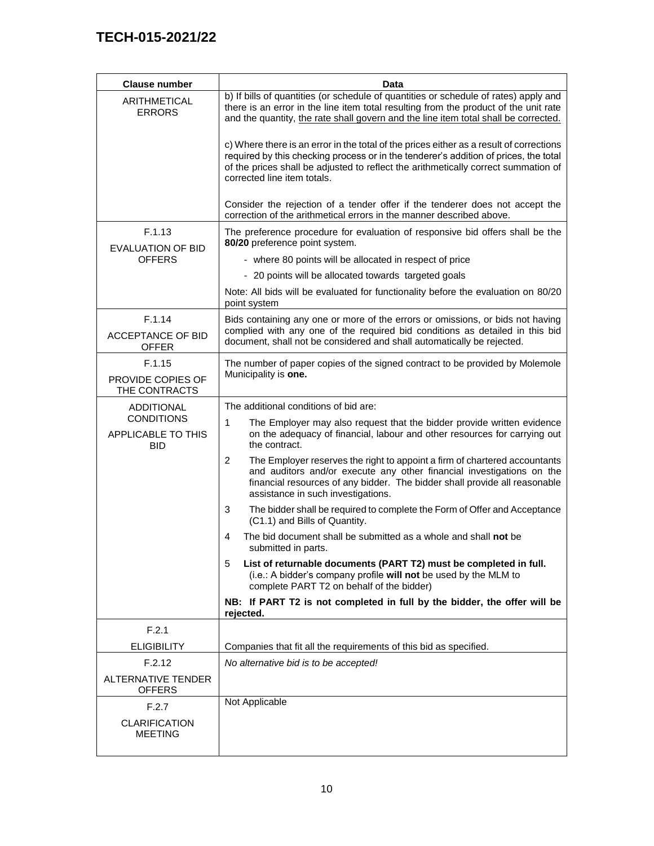| <b>Clause number</b>                                  | Data                                                                                                                                                                                                                                                                                                 |
|-------------------------------------------------------|------------------------------------------------------------------------------------------------------------------------------------------------------------------------------------------------------------------------------------------------------------------------------------------------------|
| <b>ARITHMETICAL</b><br><b>ERRORS</b>                  | b) If bills of quantities (or schedule of quantities or schedule of rates) apply and<br>there is an error in the line item total resulting from the product of the unit rate<br>and the quantity, the rate shall govern and the line item total shall be corrected.                                  |
|                                                       | c) Where there is an error in the total of the prices either as a result of corrections<br>required by this checking process or in the tenderer's addition of prices, the total<br>of the prices shall be adjusted to reflect the arithmetically correct summation of<br>corrected line item totals. |
|                                                       | Consider the rejection of a tender offer if the tenderer does not accept the<br>correction of the arithmetical errors in the manner described above.                                                                                                                                                 |
| F.1.13<br><b>EVALUATION OF BID</b>                    | The preference procedure for evaluation of responsive bid offers shall be the<br>80/20 preference point system.                                                                                                                                                                                      |
| <b>OFFERS</b>                                         | - where 80 points will be allocated in respect of price                                                                                                                                                                                                                                              |
|                                                       | - 20 points will be allocated towards targeted goals                                                                                                                                                                                                                                                 |
|                                                       | Note: All bids will be evaluated for functionality before the evaluation on 80/20<br>point system                                                                                                                                                                                                    |
| F.1.14<br><b>ACCEPTANCE OF BID</b><br><b>OFFER</b>    | Bids containing any one or more of the errors or omissions, or bids not having<br>complied with any one of the required bid conditions as detailed in this bid<br>document, shall not be considered and shall automatically be rejected.                                                             |
| F.1.15<br>PROVIDE COPIES OF<br>THE CONTRACTS          | The number of paper copies of the signed contract to be provided by Molemole<br>Municipality is one.                                                                                                                                                                                                 |
| <b>ADDITIONAL</b>                                     | The additional conditions of bid are:                                                                                                                                                                                                                                                                |
| <b>CONDITIONS</b><br>APPLICABLE TO THIS<br><b>BID</b> | 1<br>The Employer may also request that the bidder provide written evidence<br>on the adequacy of financial, labour and other resources for carrying out<br>the contract.                                                                                                                            |
|                                                       | The Employer reserves the right to appoint a firm of chartered accountants<br>2<br>and auditors and/or execute any other financial investigations on the<br>financial resources of any bidder. The bidder shall provide all reasonable<br>assistance in such investigations.                         |
|                                                       | 3<br>The bidder shall be required to complete the Form of Offer and Acceptance<br>(C1.1) and Bills of Quantity.                                                                                                                                                                                      |
|                                                       | The bid document shall be submitted as a whole and shall not be<br>4<br>submitted in parts.                                                                                                                                                                                                          |
|                                                       | List of returnable documents (PART T2) must be completed in full.<br>5<br>(i.e.: A bidder's company profile will not be used by the MLM to<br>complete PART T2 on behalf of the bidder)                                                                                                              |
|                                                       | NB: If PART T2 is not completed in full by the bidder, the offer will be<br>rejected.                                                                                                                                                                                                                |
| F.2.1                                                 |                                                                                                                                                                                                                                                                                                      |
| <b>ELIGIBILITY</b>                                    | Companies that fit all the requirements of this bid as specified.                                                                                                                                                                                                                                    |
| F.2.12                                                | No alternative bid is to be accepted!                                                                                                                                                                                                                                                                |
| <b>ALTERNATIVE TENDER</b><br><b>OFFERS</b>            |                                                                                                                                                                                                                                                                                                      |
| F.2.7                                                 | Not Applicable                                                                                                                                                                                                                                                                                       |
| <b>CLARIFICATION</b><br><b>MEETING</b>                |                                                                                                                                                                                                                                                                                                      |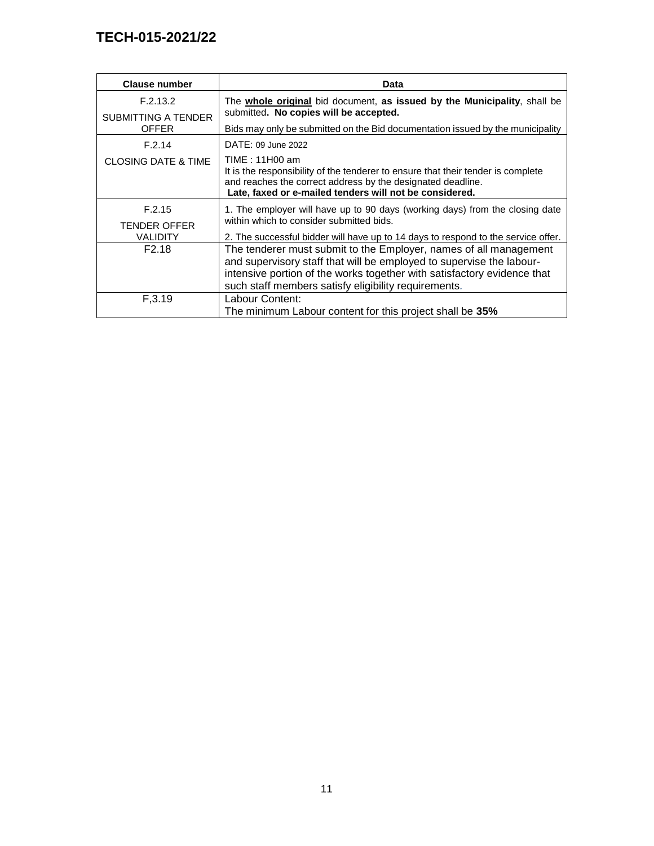| <b>Clause number</b>                       | <b>Data</b>                                                                                                                                                                                                                                                                  |
|--------------------------------------------|------------------------------------------------------------------------------------------------------------------------------------------------------------------------------------------------------------------------------------------------------------------------------|
| F.2.13.2                                   | The <b>whole original</b> bid document, as issued by the Municipality, shall be<br>submitted. No copies will be accepted.                                                                                                                                                    |
| <b>SUBMITTING A TENDER</b><br><b>OFFER</b> | Bids may only be submitted on the Bid documentation issued by the municipality                                                                                                                                                                                               |
| F.2.14                                     | DATE: 09 June 2022                                                                                                                                                                                                                                                           |
| <b>CLOSING DATE &amp; TIME</b>             | TIME : 11H00 am<br>It is the responsibility of the tenderer to ensure that their tender is complete<br>and reaches the correct address by the designated deadline.<br>Late, faxed or e-mailed tenders will not be considered.                                                |
| F.2.15<br><b>TENDER OFFER</b>              | 1. The employer will have up to 90 days (working days) from the closing date<br>within which to consider submitted bids.                                                                                                                                                     |
| <b>VALIDITY</b>                            | 2. The successful bidder will have up to 14 days to respond to the service offer.                                                                                                                                                                                            |
| F <sub>2.18</sub>                          | The tenderer must submit to the Employer, names of all management<br>and supervisory staff that will be employed to supervise the labour-<br>intensive portion of the works together with satisfactory evidence that<br>such staff members satisfy eligibility requirements. |
| F, 3.19                                    | Labour Content:<br>The minimum Labour content for this project shall be 35%                                                                                                                                                                                                  |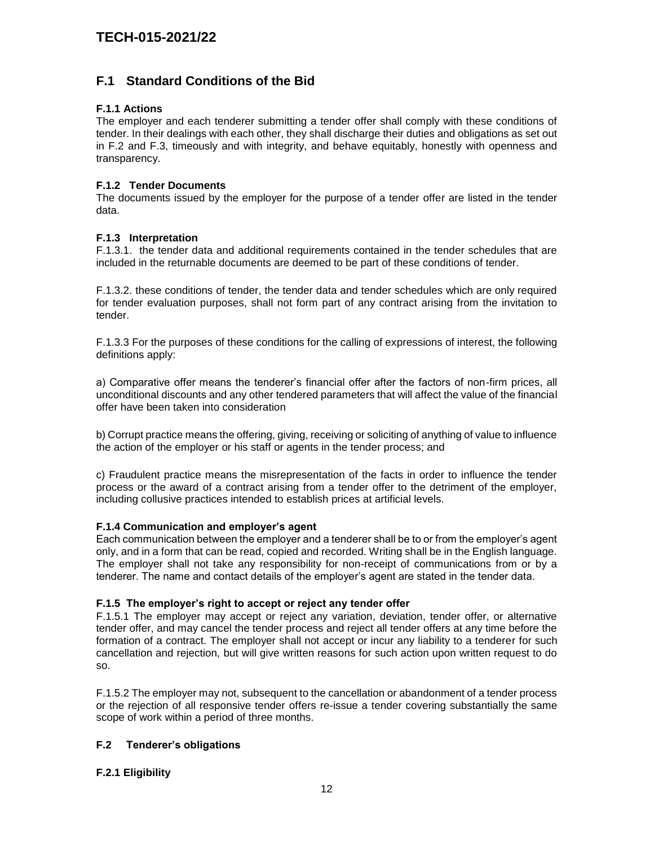### **F.1 Standard Conditions of the Bid**

#### **F.1.1 Actions**

The employer and each tenderer submitting a tender offer shall comply with these conditions of tender. In their dealings with each other, they shall discharge their duties and obligations as set out in F.2 and F.3, timeously and with integrity, and behave equitably, honestly with openness and transparency.

#### **F.1.2 Tender Documents**

The documents issued by the employer for the purpose of a tender offer are listed in the tender data.

#### **F.1.3 Interpretation**

F.1.3.1. the tender data and additional requirements contained in the tender schedules that are included in the returnable documents are deemed to be part of these conditions of tender.

F.1.3.2. these conditions of tender, the tender data and tender schedules which are only required for tender evaluation purposes, shall not form part of any contract arising from the invitation to tender.

F.1.3.3 For the purposes of these conditions for the calling of expressions of interest, the following definitions apply:

a) Comparative offer means the tenderer's financial offer after the factors of non-firm prices, all unconditional discounts and any other tendered parameters that will affect the value of the financial offer have been taken into consideration

b) Corrupt practice means the offering, giving, receiving or soliciting of anything of value to influence the action of the employer or his staff or agents in the tender process; and

c) Fraudulent practice means the misrepresentation of the facts in order to influence the tender process or the award of a contract arising from a tender offer to the detriment of the employer, including collusive practices intended to establish prices at artificial levels.

#### **F.1.4 Communication and employer's agent**

Each communication between the employer and a tenderer shall be to or from the employer's agent only, and in a form that can be read, copied and recorded. Writing shall be in the English language. The employer shall not take any responsibility for non-receipt of communications from or by a tenderer. The name and contact details of the employer's agent are stated in the tender data.

#### **F.1.5 The employer's right to accept or reject any tender offer**

F.1.5.1 The employer may accept or reject any variation, deviation, tender offer, or alternative tender offer, and may cancel the tender process and reject all tender offers at any time before the formation of a contract. The employer shall not accept or incur any liability to a tenderer for such cancellation and rejection, but will give written reasons for such action upon written request to do so.

F.1.5.2 The employer may not, subsequent to the cancellation or abandonment of a tender process or the rejection of all responsive tender offers re-issue a tender covering substantially the same scope of work within a period of three months.

#### **F.2 Tenderer's obligations**

#### **F.2.1 Eligibility**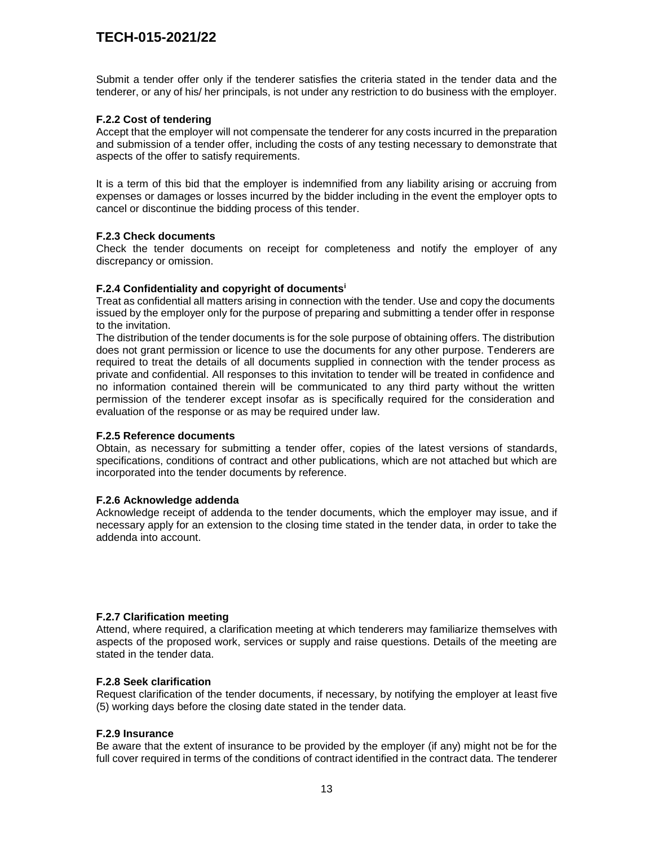Submit a tender offer only if the tenderer satisfies the criteria stated in the tender data and the tenderer, or any of his/ her principals, is not under any restriction to do business with the employer.

#### **F.2.2 Cost of tendering**

Accept that the employer will not compensate the tenderer for any costs incurred in the preparation and submission of a tender offer, including the costs of any testing necessary to demonstrate that aspects of the offer to satisfy requirements.

It is a term of this bid that the employer is indemnified from any liability arising or accruing from expenses or damages or losses incurred by the bidder including in the event the employer opts to cancel or discontinue the bidding process of this tender.

#### **F.2.3 Check documents**

Check the tender documents on receipt for completeness and notify the employer of any discrepancy or omission.

#### **F.2.4 Confidentiality and copyright of documents<sup>i</sup>**

Treat as confidential all matters arising in connection with the tender. Use and copy the documents issued by the employer only for the purpose of preparing and submitting a tender offer in response to the invitation.

The distribution of the tender documents is for the sole purpose of obtaining offers. The distribution does not grant permission or licence to use the documents for any other purpose. Tenderers are required to treat the details of all documents supplied in connection with the tender process as private and confidential. All responses to this invitation to tender will be treated in confidence and no information contained therein will be communicated to any third party without the written permission of the tenderer except insofar as is specifically required for the consideration and evaluation of the response or as may be required under law.

#### **F.2.5 Reference documents**

Obtain, as necessary for submitting a tender offer, copies of the latest versions of standards, specifications, conditions of contract and other publications, which are not attached but which are incorporated into the tender documents by reference.

#### **F.2.6 Acknowledge addenda**

Acknowledge receipt of addenda to the tender documents, which the employer may issue, and if necessary apply for an extension to the closing time stated in the tender data, in order to take the addenda into account.

#### **F.2.7 Clarification meeting**

Attend, where required, a clarification meeting at which tenderers may familiarize themselves with aspects of the proposed work, services or supply and raise questions. Details of the meeting are stated in the tender data.

#### **F.2.8 Seek clarification**

Request clarification of the tender documents, if necessary, by notifying the employer at least five (5) working days before the closing date stated in the tender data.

#### **F.2.9 Insurance**

Be aware that the extent of insurance to be provided by the employer (if any) might not be for the full cover required in terms of the conditions of contract identified in the contract data. The tenderer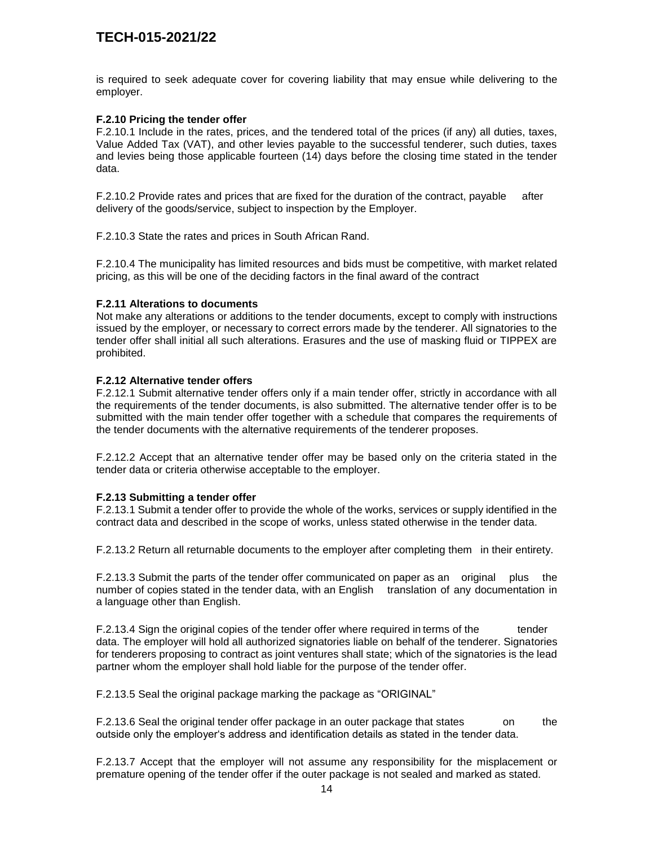is required to seek adequate cover for covering liability that may ensue while delivering to the employer.

#### **F.2.10 Pricing the tender offer**

F.2.10.1 Include in the rates, prices, and the tendered total of the prices (if any) all duties, taxes, Value Added Tax (VAT), and other levies payable to the successful tenderer, such duties, taxes and levies being those applicable fourteen (14) days before the closing time stated in the tender data.

F.2.10.2 Provide rates and prices that are fixed for the duration of the contract, payable after delivery of the goods/service, subject to inspection by the Employer.

F.2.10.3 State the rates and prices in South African Rand.

F.2.10.4 The municipality has limited resources and bids must be competitive, with market related pricing, as this will be one of the deciding factors in the final award of the contract

#### **F.2.11 Alterations to documents**

Not make any alterations or additions to the tender documents, except to comply with instructions issued by the employer, or necessary to correct errors made by the tenderer. All signatories to the tender offer shall initial all such alterations. Erasures and the use of masking fluid or TIPPEX are prohibited.

#### **F.2.12 Alternative tender offers**

F.2.12.1 Submit alternative tender offers only if a main tender offer, strictly in accordance with all the requirements of the tender documents, is also submitted. The alternative tender offer is to be submitted with the main tender offer together with a schedule that compares the requirements of the tender documents with the alternative requirements of the tenderer proposes.

F.2.12.2 Accept that an alternative tender offer may be based only on the criteria stated in the tender data or criteria otherwise acceptable to the employer.

#### **F.2.13 Submitting a tender offer**

F.2.13.1 Submit a tender offer to provide the whole of the works, services or supply identified in the contract data and described in the scope of works, unless stated otherwise in the tender data.

F.2.13.2 Return all returnable documents to the employer after completing them in their entirety.

F.2.13.3 Submit the parts of the tender offer communicated on paper as an original plus the number of copies stated in the tender data, with an English translation of any documentation in a language other than English.

F.2.13.4 Sign the original copies of the tender offer where required in terms of the tender data. The employer will hold all authorized signatories liable on behalf of the tenderer. Signatories for tenderers proposing to contract as joint ventures shall state; which of the signatories is the lead partner whom the employer shall hold liable for the purpose of the tender offer.

F.2.13.5 Seal the original package marking the package as "ORIGINAL"

F.2.13.6 Seal the original tender offer package in an outer package that states on the outside only the employer's address and identification details as stated in the tender data.

F.2.13.7 Accept that the employer will not assume any responsibility for the misplacement or premature opening of the tender offer if the outer package is not sealed and marked as stated.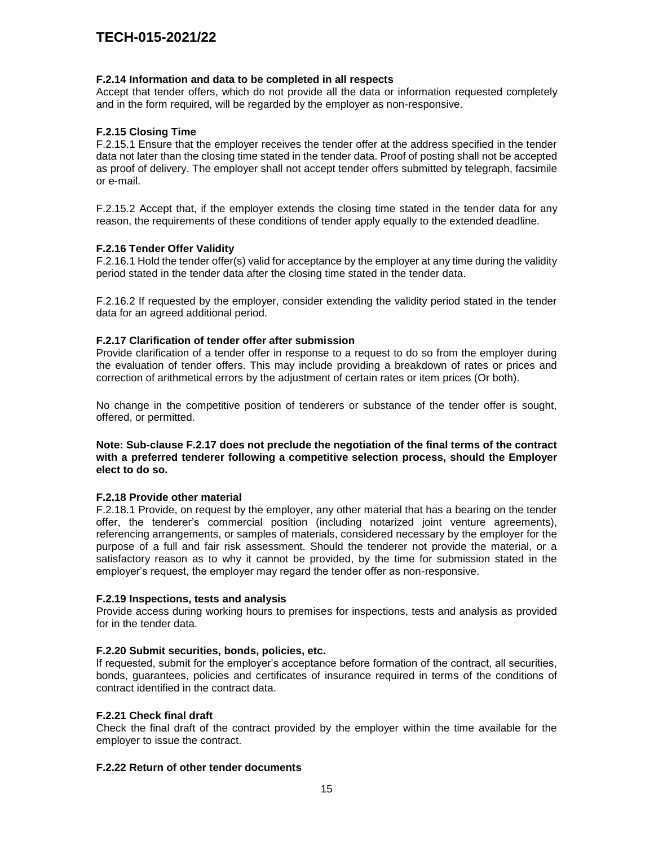#### **F.2.14 Information and data to be completed in all respects**

Accept that tender offers, which do not provide all the data or information requested completely and in the form required, will be regarded by the employer as non-responsive.

#### **F.2.15 Closing Time**

F.2.15.1 Ensure that the employer receives the tender offer at the address specified in the tender data not later than the closing time stated in the tender data. Proof of posting shall not be accepted as proof of delivery. The employer shall not accept tender offers submitted by telegraph, facsimile or e-mail.

F.2.15.2 Accept that, if the employer extends the closing time stated in the tender data for any reason, the requirements of these conditions of tender apply equally to the extended deadline.

#### **F.2.16 Tender Offer Validity**

F.2.16.1 Hold the tender offer(s) valid for acceptance by the employer at any time during the validity period stated in the tender data after the closing time stated in the tender data.

F.2.16.2 If requested by the employer, consider extending the validity period stated in the tender data for an agreed additional period.

#### **F.2.17 Clarification of tender offer after submission**

Provide clarification of a tender offer in response to a request to do so from the employer during the evaluation of tender offers. This may include providing a breakdown of rates or prices and correction of arithmetical errors by the adjustment of certain rates or item prices (Or both).

No change in the competitive position of tenderers or substance of the tender offer is sought, offered, or permitted.

#### **Note: Sub-clause F.2.17 does not preclude the negotiation of the final terms of the contract with a preferred tenderer following a competitive selection process, should the Employer elect to do so.**

#### **F.2.18 Provide other material**

F.2.18.1 Provide, on request by the employer, any other material that has a bearing on the tender offer, the tenderer's commercial position (including notarized joint venture agreements), referencing arrangements, or samples of materials, considered necessary by the employer for the purpose of a full and fair risk assessment. Should the tenderer not provide the material, or a satisfactory reason as to why it cannot be provided, by the time for submission stated in the employer's request, the employer may regard the tender offer as non-responsive.

#### **F.2.19 Inspections, tests and analysis**

Provide access during working hours to premises for inspections, tests and analysis as provided for in the tender data.

#### **F.2.20 Submit securities, bonds, policies, etc.**

If requested, submit for the employer's acceptance before formation of the contract, all securities, bonds, guarantees, policies and certificates of insurance required in terms of the conditions of contract identified in the contract data.

#### **F.2.21 Check final draft**

Check the final draft of the contract provided by the employer within the time available for the employer to issue the contract.

#### **F.2.22 Return of other tender documents**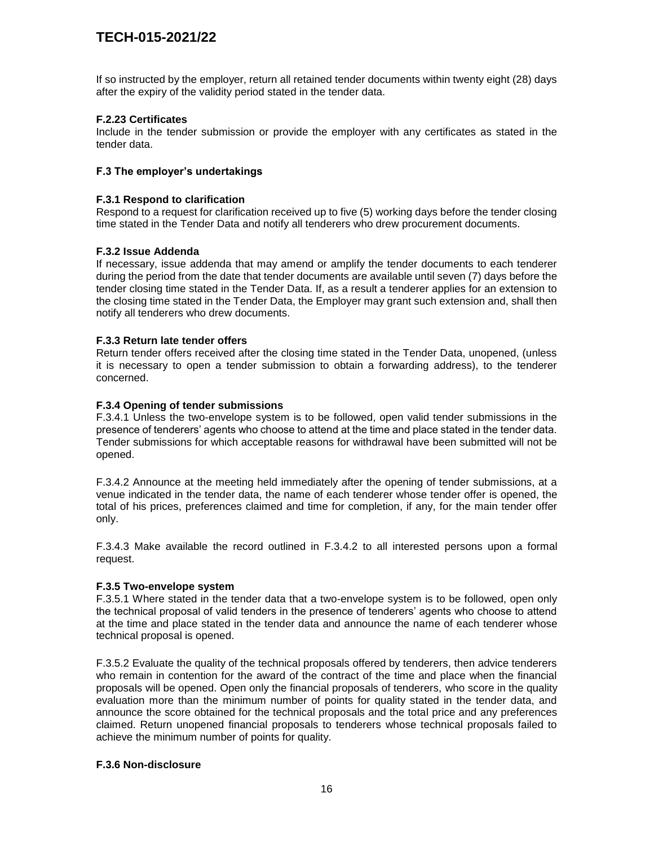If so instructed by the employer, return all retained tender documents within twenty eight (28) days after the expiry of the validity period stated in the tender data.

#### **F.2.23 Certificates**

Include in the tender submission or provide the employer with any certificates as stated in the tender data.

#### **F.3 The employer's undertakings**

#### **F.3.1 Respond to clarification**

Respond to a request for clarification received up to five (5) working days before the tender closing time stated in the Tender Data and notify all tenderers who drew procurement documents.

#### **F.3.2 Issue Addenda**

If necessary, issue addenda that may amend or amplify the tender documents to each tenderer during the period from the date that tender documents are available until seven (7) days before the tender closing time stated in the Tender Data. If, as a result a tenderer applies for an extension to the closing time stated in the Tender Data, the Employer may grant such extension and, shall then notify all tenderers who drew documents.

#### **F.3.3 Return late tender offers**

Return tender offers received after the closing time stated in the Tender Data, unopened, (unless it is necessary to open a tender submission to obtain a forwarding address), to the tenderer concerned.

#### **F.3.4 Opening of tender submissions**

F.3.4.1 Unless the two-envelope system is to be followed, open valid tender submissions in the presence of tenderers' agents who choose to attend at the time and place stated in the tender data. Tender submissions for which acceptable reasons for withdrawal have been submitted will not be opened.

F.3.4.2 Announce at the meeting held immediately after the opening of tender submissions, at a venue indicated in the tender data, the name of each tenderer whose tender offer is opened, the total of his prices, preferences claimed and time for completion, if any, for the main tender offer only.

F.3.4.3 Make available the record outlined in F.3.4.2 to all interested persons upon a formal request.

#### **F.3.5 Two-envelope system**

F.3.5.1 Where stated in the tender data that a two-envelope system is to be followed, open only the technical proposal of valid tenders in the presence of tenderers' agents who choose to attend at the time and place stated in the tender data and announce the name of each tenderer whose technical proposal is opened.

F.3.5.2 Evaluate the quality of the technical proposals offered by tenderers, then advice tenderers who remain in contention for the award of the contract of the time and place when the financial proposals will be opened. Open only the financial proposals of tenderers, who score in the quality evaluation more than the minimum number of points for quality stated in the tender data, and announce the score obtained for the technical proposals and the total price and any preferences claimed. Return unopened financial proposals to tenderers whose technical proposals failed to achieve the minimum number of points for quality.

#### **F.3.6 Non-disclosure**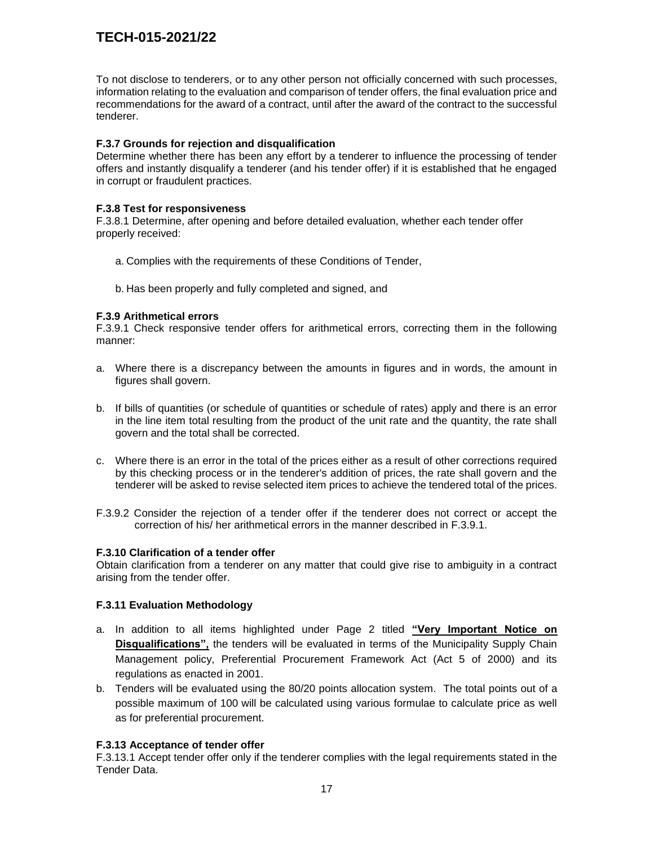To not disclose to tenderers, or to any other person not officially concerned with such processes, information relating to the evaluation and comparison of tender offers, the final evaluation price and recommendations for the award of a contract, until after the award of the contract to the successful tenderer.

#### **F.3.7 Grounds for rejection and disqualification**

Determine whether there has been any effort by a tenderer to influence the processing of tender offers and instantly disqualify a tenderer (and his tender offer) if it is established that he engaged in corrupt or fraudulent practices.

#### **F.3.8 Test for responsiveness**

F.3.8.1 Determine, after opening and before detailed evaluation, whether each tender offer properly received:

- a. Complies with the requirements of these Conditions of Tender,
- b. Has been properly and fully completed and signed, and

#### **F.3.9 Arithmetical errors**

F.3.9.1 Check responsive tender offers for arithmetical errors, correcting them in the following manner:

- a. Where there is a discrepancy between the amounts in figures and in words, the amount in figures shall govern.
- b. If bills of quantities (or schedule of quantities or schedule of rates) apply and there is an error in the line item total resulting from the product of the unit rate and the quantity, the rate shall govern and the total shall be corrected.
- c. Where there is an error in the total of the prices either as a result of other corrections required by this checking process or in the tenderer's addition of prices, the rate shall govern and the tenderer will be asked to revise selected item prices to achieve the tendered total of the prices.
- F.3.9.2 Consider the rejection of a tender offer if the tenderer does not correct or accept the correction of his/ her arithmetical errors in the manner described in F.3.9.1.

#### **F.3.10 Clarification of a tender offer**

Obtain clarification from a tenderer on any matter that could give rise to ambiguity in a contract arising from the tender offer.

#### **F.3.11 Evaluation Methodology**

- a. In addition to all items highlighted under Page 2 titled **"Very Important Notice on Disqualifications",** the tenders will be evaluated in terms of the Municipality Supply Chain Management policy, Preferential Procurement Framework Act (Act 5 of 2000) and its regulations as enacted in 2001.
- b. Tenders will be evaluated using the 80/20 points allocation system. The total points out of a possible maximum of 100 will be calculated using various formulae to calculate price as well as for preferential procurement.

#### **F.3.13 Acceptance of tender offer**

F.3.13.1 Accept tender offer only if the tenderer complies with the legal requirements stated in the Tender Data.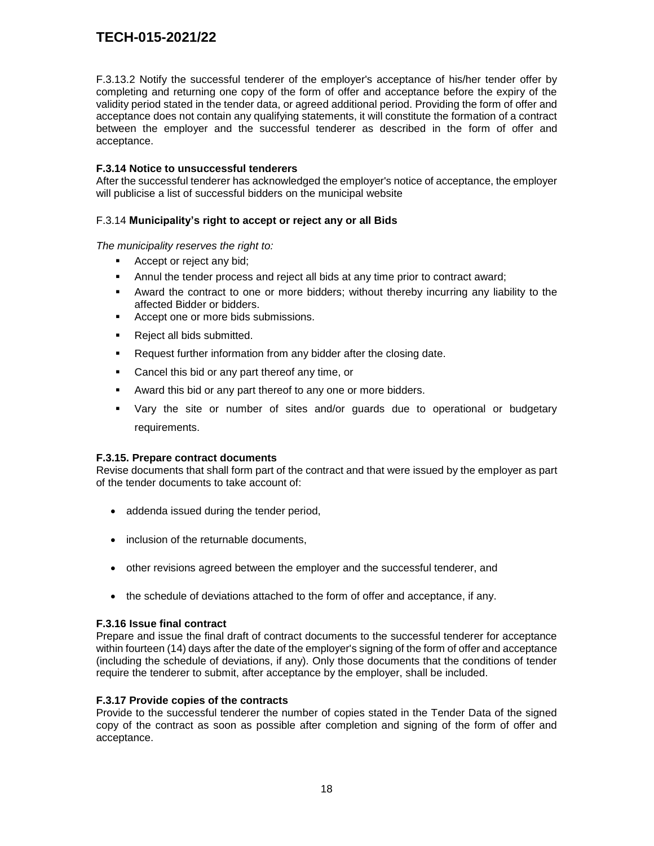F.3.13.2 Notify the successful tenderer of the employer's acceptance of his/her tender offer by completing and returning one copy of the form of offer and acceptance before the expiry of the validity period stated in the tender data, or agreed additional period. Providing the form of offer and acceptance does not contain any qualifying statements, it will constitute the formation of a contract between the employer and the successful tenderer as described in the form of offer and acceptance.

#### **F.3.14 Notice to unsuccessful tenderers**

After the successful tenderer has acknowledged the employer's notice of acceptance, the employer will publicise a list of successful bidders on the municipal website

#### F.3.14 **Municipality's right to accept or reject any or all Bids**

*The municipality reserves the right to:*

- Accept or reject any bid;
- Annul the tender process and reject all bids at any time prior to contract award;
- Award the contract to one or more bidders; without thereby incurring any liability to the affected Bidder or bidders.
- Accept one or more bids submissions.
- **Reject all bids submitted.**
- **Request further information from any bidder after the closing date.**
- **Cancel this bid or any part thereof any time, or**
- Award this bid or any part thereof to any one or more bidders.
- Vary the site or number of sites and/or guards due to operational or budgetary requirements.

#### **F.3.15. Prepare contract documents**

Revise documents that shall form part of the contract and that were issued by the employer as part of the tender documents to take account of:

- addenda issued during the tender period,
- inclusion of the returnable documents,
- other revisions agreed between the employer and the successful tenderer, and
- the schedule of deviations attached to the form of offer and acceptance, if any.

#### **F.3.16 Issue final contract**

Prepare and issue the final draft of contract documents to the successful tenderer for acceptance within fourteen (14) days after the date of the employer's signing of the form of offer and acceptance (including the schedule of deviations, if any). Only those documents that the conditions of tender require the tenderer to submit, after acceptance by the employer, shall be included.

#### **F.3.17 Provide copies of the contracts**

Provide to the successful tenderer the number of copies stated in the Tender Data of the signed copy of the contract as soon as possible after completion and signing of the form of offer and acceptance.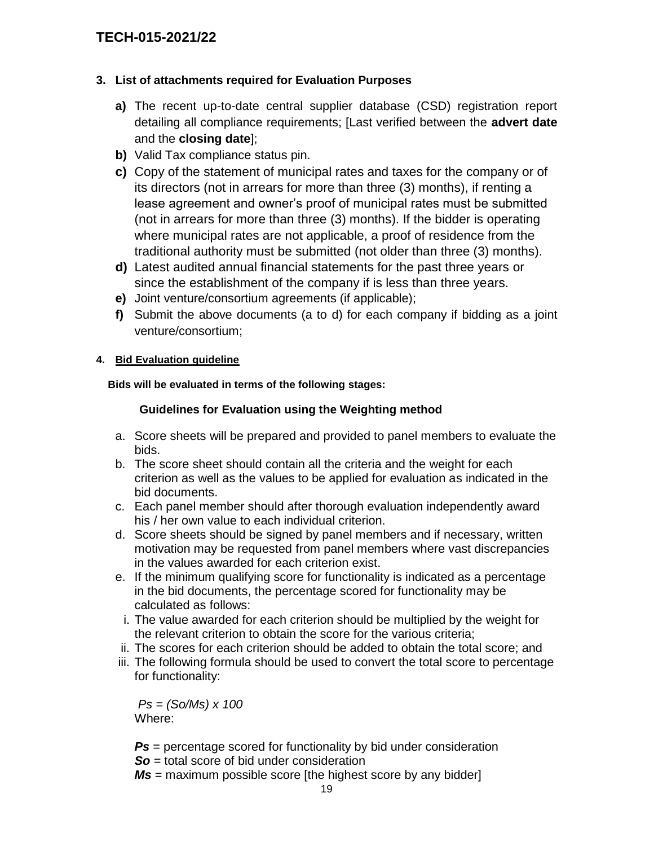### **3. List of attachments required for Evaluation Purposes**

- **a)** The recent up-to-date central supplier database (CSD) registration report detailing all compliance requirements; [Last verified between the **advert date** and the **closing date**];
- **b)** Valid Tax compliance status pin.
- **c)** Copy of the statement of municipal rates and taxes for the company or of its directors (not in arrears for more than three (3) months), if renting a lease agreement and owner's proof of municipal rates must be submitted (not in arrears for more than three (3) months). If the bidder is operating where municipal rates are not applicable, a proof of residence from the traditional authority must be submitted (not older than three (3) months).
- **d)** Latest audited annual financial statements for the past three years or since the establishment of the company if is less than three years.
- **e)** Joint venture/consortium agreements (if applicable);
- **f)** Submit the above documents (a to d) for each company if bidding as a joint venture/consortium;

### **4. Bid Evaluation guideline**

 **Bids will be evaluated in terms of the following stages:**

### **Guidelines for Evaluation using the Weighting method**

- a. Score sheets will be prepared and provided to panel members to evaluate the bids.
- b. The score sheet should contain all the criteria and the weight for each criterion as well as the values to be applied for evaluation as indicated in the bid documents.
- c. Each panel member should after thorough evaluation independently award his / her own value to each individual criterion.
- d. Score sheets should be signed by panel members and if necessary, written motivation may be requested from panel members where vast discrepancies in the values awarded for each criterion exist.
- e. If the minimum qualifying score for functionality is indicated as a percentage in the bid documents, the percentage scored for functionality may be calculated as follows:
- i. The value awarded for each criterion should be multiplied by the weight for the relevant criterion to obtain the score for the various criteria;
- ii. The scores for each criterion should be added to obtain the total score; and
- iii. The following formula should be used to convert the total score to percentage for functionality:

*Ps = (So/Ms) x 100* Where:

**Ps** = percentage scored for functionality by bid under consideration **So** = total score of bid under consideration

*Ms* = maximum possible score [the highest score by any bidder]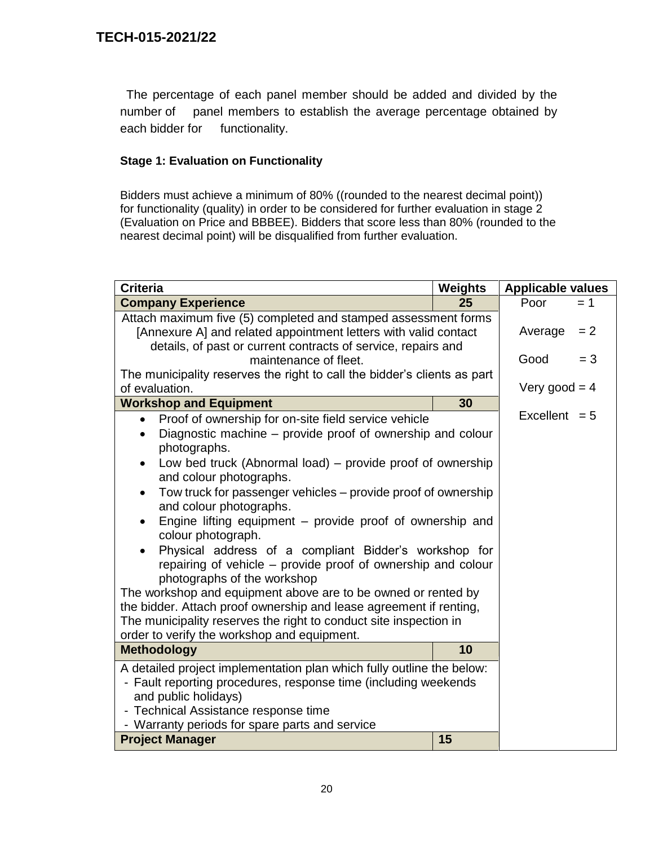The percentage of each panel member should be added and divided by the number of panel members to establish the average percentage obtained by each bidder for functionality.

### **Stage 1: Evaluation on Functionality**

Bidders must achieve a minimum of 80% ((rounded to the nearest decimal point)) for functionality (quality) in order to be considered for further evaluation in stage 2 (Evaluation on Price and BBBEE). Bidders that score less than 80% (rounded to the nearest decimal point) will be disqualified from further evaluation.

| <b>Criteria</b>                                                                                                                                                                                                                                                                                                                                                                                                                                                                                                                                                                                                                                                                                                                                                                                                                                                                                | <b>Weights</b> | <b>Applicable values</b> |       |  |
|------------------------------------------------------------------------------------------------------------------------------------------------------------------------------------------------------------------------------------------------------------------------------------------------------------------------------------------------------------------------------------------------------------------------------------------------------------------------------------------------------------------------------------------------------------------------------------------------------------------------------------------------------------------------------------------------------------------------------------------------------------------------------------------------------------------------------------------------------------------------------------------------|----------------|--------------------------|-------|--|
| <b>Company Experience</b>                                                                                                                                                                                                                                                                                                                                                                                                                                                                                                                                                                                                                                                                                                                                                                                                                                                                      | 25             | Poor                     | $= 1$ |  |
| Attach maximum five (5) completed and stamped assessment forms<br>[Annexure A] and related appointment letters with valid contact<br>details, of past or current contracts of service, repairs and                                                                                                                                                                                                                                                                                                                                                                                                                                                                                                                                                                                                                                                                                             |                | Average                  | $= 2$ |  |
| maintenance of fleet.                                                                                                                                                                                                                                                                                                                                                                                                                                                                                                                                                                                                                                                                                                                                                                                                                                                                          |                | Good                     | $= 3$ |  |
| The municipality reserves the right to call the bidder's clients as part<br>of evaluation.                                                                                                                                                                                                                                                                                                                                                                                                                                                                                                                                                                                                                                                                                                                                                                                                     |                | Very good = $4$          |       |  |
| <b>Workshop and Equipment</b>                                                                                                                                                                                                                                                                                                                                                                                                                                                                                                                                                                                                                                                                                                                                                                                                                                                                  | 30             |                          |       |  |
| Proof of ownership for on-site field service vehicle<br>$\bullet$<br>Diagnostic machine – provide proof of ownership and colour<br>photographs.<br>Low bed truck (Abnormal load) – provide proof of ownership<br>$\bullet$<br>and colour photographs.<br>Tow truck for passenger vehicles – provide proof of ownership<br>$\bullet$<br>and colour photographs.<br>Engine lifting equipment – provide proof of ownership and<br>$\bullet$<br>colour photograph.<br>Physical address of a compliant Bidder's workshop for<br>$\bullet$<br>repairing of vehicle - provide proof of ownership and colour<br>photographs of the workshop<br>The workshop and equipment above are to be owned or rented by<br>the bidder. Attach proof ownership and lease agreement if renting,<br>The municipality reserves the right to conduct site inspection in<br>order to verify the workshop and equipment. |                | Excellent $= 5$          |       |  |
| <b>Methodology</b>                                                                                                                                                                                                                                                                                                                                                                                                                                                                                                                                                                                                                                                                                                                                                                                                                                                                             | 10             |                          |       |  |
| A detailed project implementation plan which fully outline the below:<br>- Fault reporting procedures, response time (including weekends<br>and public holidays)<br>- Technical Assistance response time<br>- Warranty periods for spare parts and service<br><b>Project Manager</b>                                                                                                                                                                                                                                                                                                                                                                                                                                                                                                                                                                                                           | 15             |                          |       |  |
|                                                                                                                                                                                                                                                                                                                                                                                                                                                                                                                                                                                                                                                                                                                                                                                                                                                                                                |                |                          |       |  |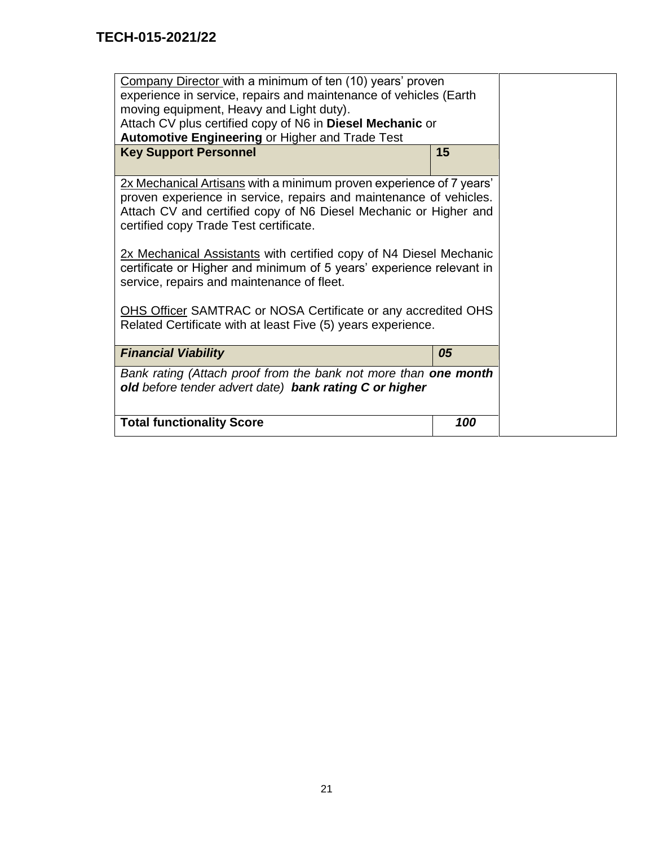| Company Director with a minimum of ten (10) years' proven<br>experience in service, repairs and maintenance of vehicles (Earth<br>moving equipment, Heavy and Light duty).<br>Attach CV plus certified copy of N6 in Diesel Mechanic or<br><b>Automotive Engineering or Higher and Trade Test</b><br><b>Key Support Personnel</b><br>15                                                                                                                                                                                                                                                     |     |  |
|---------------------------------------------------------------------------------------------------------------------------------------------------------------------------------------------------------------------------------------------------------------------------------------------------------------------------------------------------------------------------------------------------------------------------------------------------------------------------------------------------------------------------------------------------------------------------------------------|-----|--|
|                                                                                                                                                                                                                                                                                                                                                                                                                                                                                                                                                                                             |     |  |
| 2x Mechanical Artisans with a minimum proven experience of 7 years'<br>proven experience in service, repairs and maintenance of vehicles.<br>Attach CV and certified copy of N6 Diesel Mechanic or Higher and<br>certified copy Trade Test certificate.<br>2x Mechanical Assistants with certified copy of N4 Diesel Mechanic<br>certificate or Higher and minimum of 5 years' experience relevant in<br>service, repairs and maintenance of fleet.<br><b>OHS Officer SAMTRAC or NOSA Certificate or any accredited OHS</b><br>Related Certificate with at least Five (5) years experience. |     |  |
| <b>Financial Viability</b><br>05                                                                                                                                                                                                                                                                                                                                                                                                                                                                                                                                                            |     |  |
| Bank rating (Attach proof from the bank not more than one month<br>old before tender advert date) bank rating C or higher                                                                                                                                                                                                                                                                                                                                                                                                                                                                   |     |  |
| <b>Total functionality Score</b>                                                                                                                                                                                                                                                                                                                                                                                                                                                                                                                                                            | 100 |  |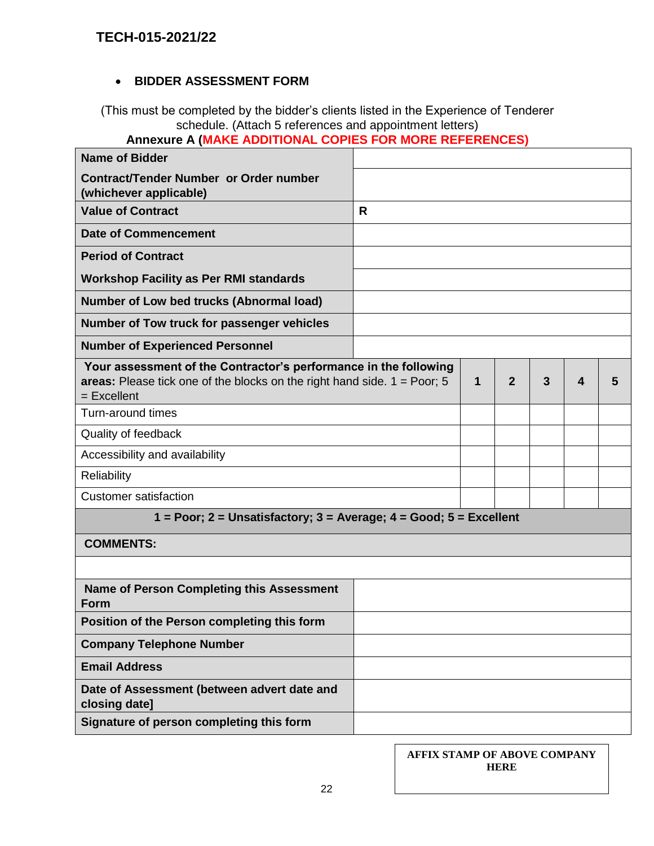### **BIDDER ASSESSMENT FORM**

(This must be completed by the bidder's clients listed in the Experience of Tenderer schedule. (Attach 5 references and appointment letters)

# **Annexure A (MAKE ADDITIONAL COPIES FOR MORE REFERENCES)**

| <b>Name of Bidder</b>                                                                                                                                                   |   |   |                |   |                  |   |
|-------------------------------------------------------------------------------------------------------------------------------------------------------------------------|---|---|----------------|---|------------------|---|
| Contract/Tender Number or Order number<br>(whichever applicable)                                                                                                        |   |   |                |   |                  |   |
| <b>Value of Contract</b>                                                                                                                                                | R |   |                |   |                  |   |
| <b>Date of Commencement</b>                                                                                                                                             |   |   |                |   |                  |   |
| <b>Period of Contract</b>                                                                                                                                               |   |   |                |   |                  |   |
| <b>Workshop Facility as Per RMI standards</b>                                                                                                                           |   |   |                |   |                  |   |
| Number of Low bed trucks (Abnormal load)                                                                                                                                |   |   |                |   |                  |   |
| Number of Tow truck for passenger vehicles                                                                                                                              |   |   |                |   |                  |   |
| <b>Number of Experienced Personnel</b>                                                                                                                                  |   |   |                |   |                  |   |
| Your assessment of the Contractor's performance in the following<br>areas: Please tick one of the blocks on the right hand side. $1 = \text{Poor}$ ; 5<br>$=$ Excellent |   | 1 | $\overline{2}$ | 3 | $\boldsymbol{4}$ | 5 |
| Turn-around times                                                                                                                                                       |   |   |                |   |                  |   |
| Quality of feedback                                                                                                                                                     |   |   |                |   |                  |   |
| Accessibility and availability                                                                                                                                          |   |   |                |   |                  |   |
| Reliability                                                                                                                                                             |   |   |                |   |                  |   |
| <b>Customer satisfaction</b>                                                                                                                                            |   |   |                |   |                  |   |
| $1 = Poor$ ; $2 = Unsatisfactory$ ; $3 = Average$ ; $4 = Good$ ; $5 = Excellent$                                                                                        |   |   |                |   |                  |   |
| <b>COMMENTS:</b>                                                                                                                                                        |   |   |                |   |                  |   |
|                                                                                                                                                                         |   |   |                |   |                  |   |
| <b>Name of Person Completing this Assessment</b><br>Form                                                                                                                |   |   |                |   |                  |   |
| Position of the Person completing this form                                                                                                                             |   |   |                |   |                  |   |
| <b>Company Telephone Number</b>                                                                                                                                         |   |   |                |   |                  |   |
| <b>Email Address</b>                                                                                                                                                    |   |   |                |   |                  |   |
| Date of Assessment (between advert date and<br>closing date]                                                                                                            |   |   |                |   |                  |   |
| Signature of person completing this form                                                                                                                                |   |   |                |   |                  |   |

| AFFIX STAMP OF ABOVE COMPANY |
|------------------------------|
| <b>HERE</b>                  |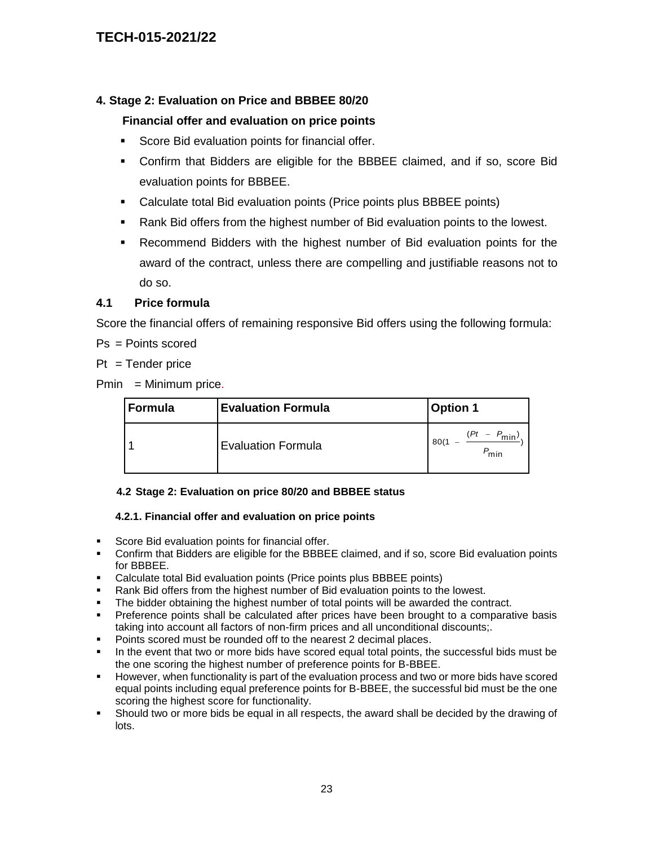### **4. Stage 2: Evaluation on Price and BBBEE 80/20**

### **Financial offer and evaluation on price points**

- Score Bid evaluation points for financial offer.
- Confirm that Bidders are eligible for the BBBEE claimed, and if so, score Bid evaluation points for BBBEE.
- Calculate total Bid evaluation points (Price points plus BBBEE points)
- Rank Bid offers from the highest number of Bid evaluation points to the lowest.
- Recommend Bidders with the highest number of Bid evaluation points for the award of the contract, unless there are compelling and justifiable reasons not to do so.

### **4.1 Price formula**

Score the financial offers of remaining responsive Bid offers using the following formula:

Ps = Points scored

 $Pt = Tender price$ 

 $Pmin = Minimum price.$ 

| Formula | <b>Evaluation Formula</b> | <b>Option 1</b>                         |
|---------|---------------------------|-----------------------------------------|
|         | <b>Evaluation Formula</b> | Έt<br>$- P_{\text{min}}$<br>80(1<br>min |

#### **4.2 Stage 2: Evaluation on price 80/20 and BBBEE status**

#### **4.2.1. Financial offer and evaluation on price points**

- **Score Bid evaluation points for financial offer.**
- Confirm that Bidders are eligible for the BBBEE claimed, and if so, score Bid evaluation points for BBBEE.
- Calculate total Bid evaluation points (Price points plus BBBEE points)
- Rank Bid offers from the highest number of Bid evaluation points to the lowest.
- The bidder obtaining the highest number of total points will be awarded the contract.
- Preference points shall be calculated after prices have been brought to a comparative basis taking into account all factors of non-firm prices and all unconditional discounts;.
- Points scored must be rounded off to the nearest 2 decimal places.
- In the event that two or more bids have scored equal total points, the successful bids must be the one scoring the highest number of preference points for B-BBEE.
- However, when functionality is part of the evaluation process and two or more bids have scored equal points including equal preference points for B-BBEE, the successful bid must be the one scoring the highest score for functionality.
- Should two or more bids be equal in all respects, the award shall be decided by the drawing of lots.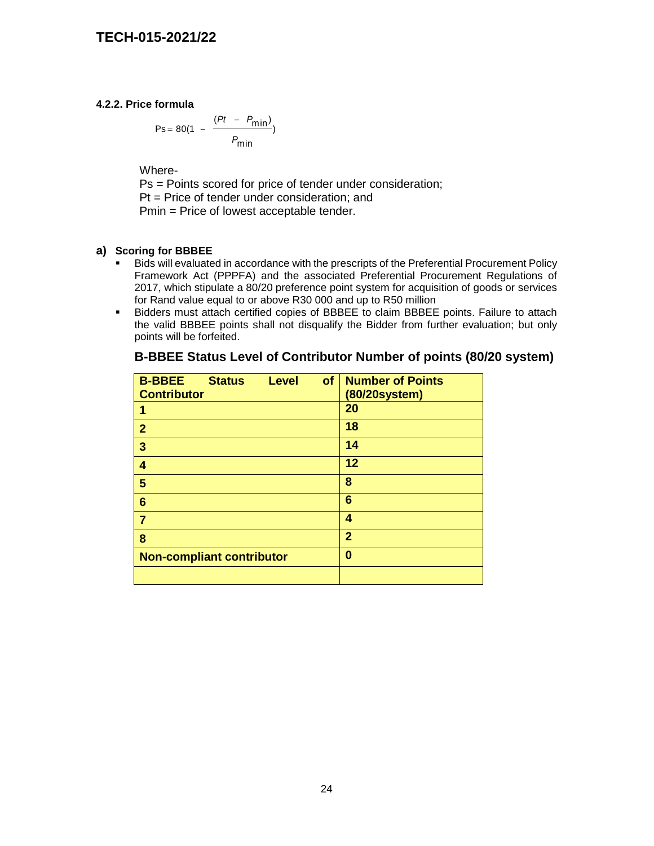### **4.2.2. Price formula**

$$
Ps = 80(1 - \frac{(Pt - P_{min})}{P_{min}})
$$

Where-

Ps = Points scored for price of tender under consideration; Pt = Price of tender under consideration; and Pmin = Price of lowest acceptable tender.

### **a) Scoring for BBBEE**

- Bids will evaluated in accordance with the prescripts of the Preferential Procurement Policy Framework Act (PPPFA) and the associated Preferential Procurement Regulations of 2017, which stipulate a 80/20 preference point system for acquisition of goods or services for Rand value equal to or above R30 000 and up to R50 million
- Bidders must attach certified copies of BBBEE to claim BBBEE points. Failure to attach the valid BBBEE points shall not disqualify the Bidder from further evaluation; but only points will be forfeited.

| <b>B-BBEE</b><br><b>Status</b><br><b>Level</b><br><b>Contributor</b> | of<br><b>Number of Points</b><br>(80/20system) |
|----------------------------------------------------------------------|------------------------------------------------|
| 1                                                                    | 20                                             |
| $\overline{2}$                                                       | 18                                             |
| 3                                                                    | 14                                             |
| 4                                                                    | 12                                             |
| 5                                                                    | 8                                              |
| 6                                                                    | $6\phantom{1}6$                                |
| 7                                                                    | 4                                              |
| 8                                                                    | $\overline{2}$                                 |
| <b>Non-compliant contributor</b>                                     | 0                                              |
|                                                                      |                                                |

### **B-BBEE Status Level of Contributor Number of points (80/20 system)**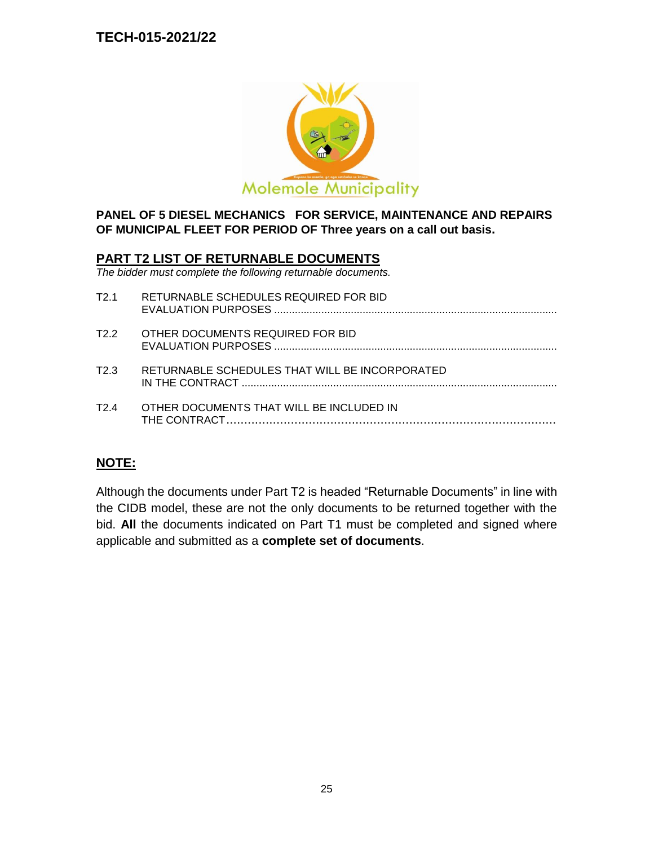

### **PANEL OF 5 DIESEL MECHANICS FOR SERVICE, MAINTENANCE AND REPAIRS OF MUNICIPAL FLEET FOR PERIOD OF Three years on a call out basis.**

### **PART T2 LIST OF RETURNABLE DOCUMENTS**

*The bidder must complete the following returnable documents.*

| T <sub>2</sub> 1 | RETURNABLE SCHEDULES REQUIRED FOR BID          |
|------------------|------------------------------------------------|
| T2.2             | OTHER DOCUMENTS REQUIRED FOR BID               |
| T2 3             | RETURNABLE SCHEDULES THAT WILL BE INCORPORATED |
| T2 4             | OTHER DOCUMENTS THAT WILL BE INCLUDED IN       |
|                  |                                                |

# **NOTE:**

Although the documents under Part T2 is headed "Returnable Documents" in line with the CIDB model, these are not the only documents to be returned together with the bid. **All** the documents indicated on Part T1 must be completed and signed where applicable and submitted as a **complete set of documents**.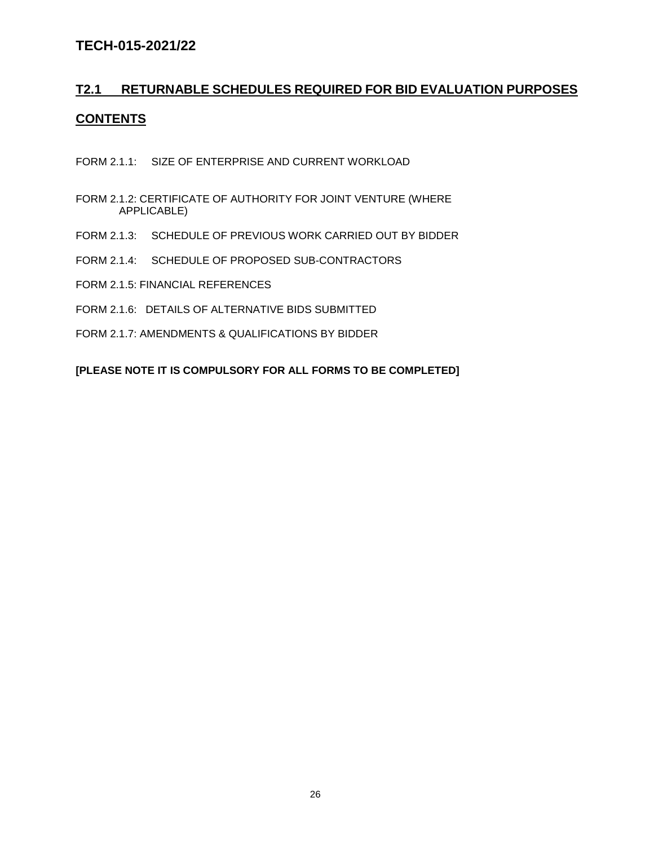# **T2.1 RETURNABLE SCHEDULES REQUIRED FOR BID EVALUATION PURPOSES CONTENTS**

- FORM 2.1.1: SIZE OF ENTERPRISE AND CURRENT WORKLOAD
- FORM 2.1.2: CERTIFICATE OF AUTHORITY FOR JOINT VENTURE (WHERE APPLICABLE)
- FORM 2.1.3: SCHEDULE OF PREVIOUS WORK CARRIED OUT BY BIDDER
- FORM 2.1.4: SCHEDULE OF PROPOSED SUB-CONTRACTORS
- FORM 2.1.5: FINANCIAL REFERENCES
- FORM 2.1.6: DETAILS OF ALTERNATIVE BIDS SUBMITTED
- FORM 2.1.7: AMENDMENTS & QUALIFICATIONS BY BIDDER

**[PLEASE NOTE IT IS COMPULSORY FOR ALL FORMS TO BE COMPLETED]**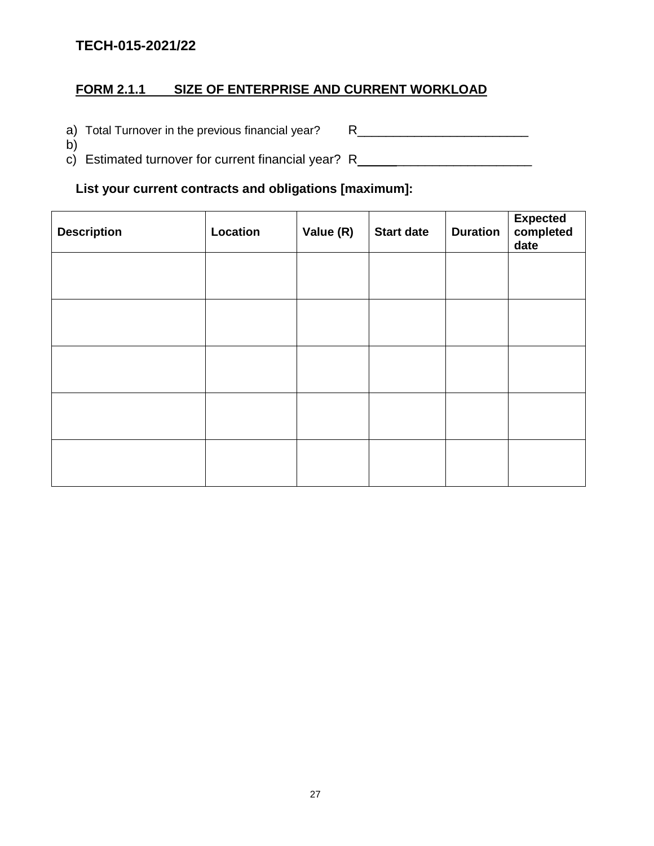b)

# **FORM 2.1.1 SIZE OF ENTERPRISE AND CURRENT WORKLOAD**

a) Total Turnover in the previous financial year? R\_\_\_\_\_\_\_\_\_\_\_\_\_\_\_\_\_\_\_\_\_\_\_\_\_\_\_\_\_

c) Estimated turnover for current financial year? R\_\_\_\_\_\_\_\_\_\_\_\_\_\_\_\_\_\_\_\_\_\_\_\_\_\_\_\_\_

# **List your current contracts and obligations [maximum]:**

| <b>Description</b> | Location | Value (R) | <b>Start date</b> | <b>Duration</b> | <b>Expected</b><br>completed<br>date |
|--------------------|----------|-----------|-------------------|-----------------|--------------------------------------|
|                    |          |           |                   |                 |                                      |
|                    |          |           |                   |                 |                                      |
|                    |          |           |                   |                 |                                      |
|                    |          |           |                   |                 |                                      |
|                    |          |           |                   |                 |                                      |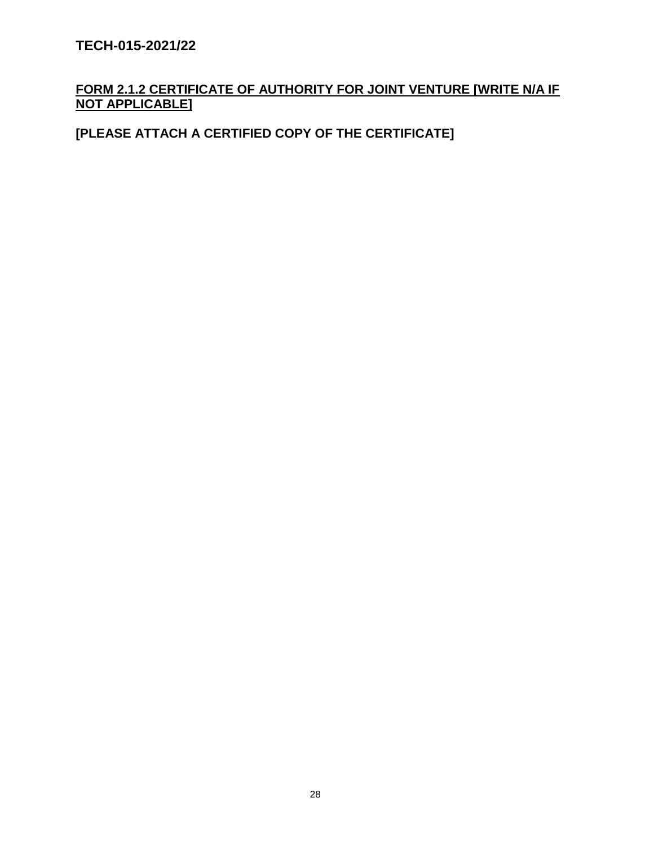# **FORM 2.1.2 CERTIFICATE OF AUTHORITY FOR JOINT VENTURE [WRITE N/A IF NOT APPLICABLE]**

# **[PLEASE ATTACH A CERTIFIED COPY OF THE CERTIFICATE]**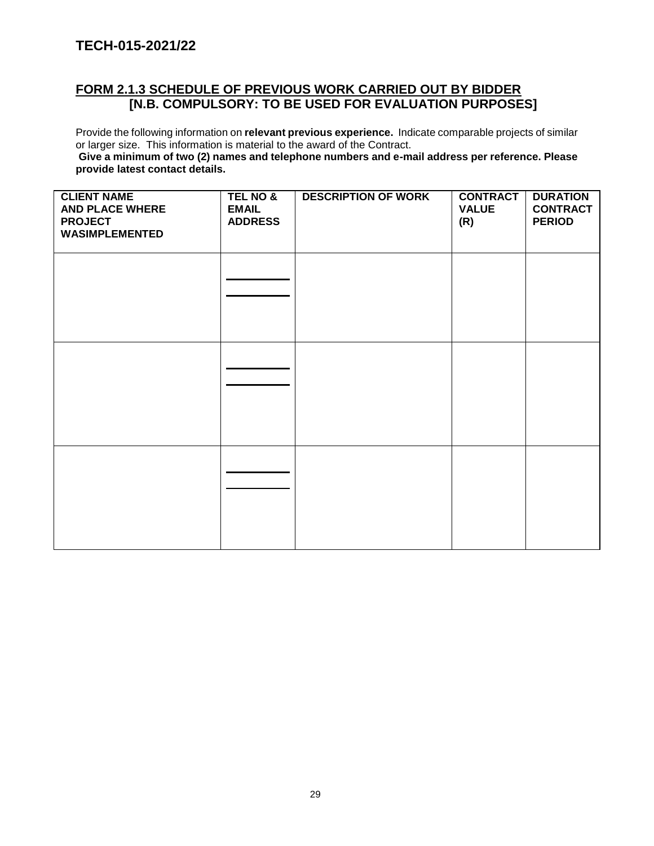# **FORM 2.1.3 SCHEDULE OF PREVIOUS WORK CARRIED OUT BY BIDDER [N.B. COMPULSORY: TO BE USED FOR EVALUATION PURPOSES]**

Provide the following information on **relevant previous experience.** Indicate comparable projects of similar or larger size. This information is material to the award of the Contract.

**Give a minimum of two (2) names and telephone numbers and e-mail address per reference. Please provide latest contact details.**

| <b>CLIENT NAME</b><br><b>AND PLACE WHERE</b><br><b>PROJECT</b><br><b>WASIMPLEMENTED</b> | TEL NO &<br><b>EMAIL</b><br><b>ADDRESS</b> | <b>DESCRIPTION OF WORK</b> | <b>CONTRACT</b><br><b>VALUE</b><br>(R) | <b>DURATION</b><br><b>CONTRACT</b><br><b>PERIOD</b> |
|-----------------------------------------------------------------------------------------|--------------------------------------------|----------------------------|----------------------------------------|-----------------------------------------------------|
|                                                                                         |                                            |                            |                                        |                                                     |
|                                                                                         |                                            |                            |                                        |                                                     |
|                                                                                         |                                            |                            |                                        |                                                     |
|                                                                                         |                                            |                            |                                        |                                                     |
|                                                                                         |                                            |                            |                                        |                                                     |
|                                                                                         |                                            |                            |                                        |                                                     |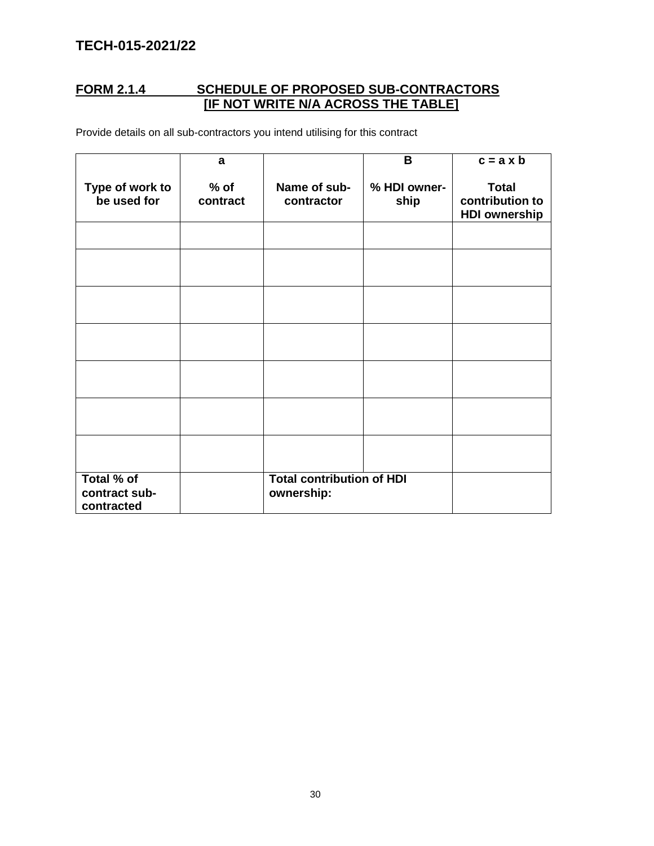# **FORM 2.1.4 SCHEDULE OF PROPOSED SUB-CONTRACTORS [IF NOT WRITE N/A ACROSS THE TABLE]**

Provide details on all sub-contractors you intend utilising for this contract

|                                           | a                  |                                                | B                    | $c = a \times b$                                        |
|-------------------------------------------|--------------------|------------------------------------------------|----------------------|---------------------------------------------------------|
| Type of work to<br>be used for            | $%$ of<br>contract | Name of sub-<br>contractor                     | % HDI owner-<br>ship | <b>Total</b><br>contribution to<br><b>HDI ownership</b> |
|                                           |                    |                                                |                      |                                                         |
|                                           |                    |                                                |                      |                                                         |
|                                           |                    |                                                |                      |                                                         |
|                                           |                    |                                                |                      |                                                         |
|                                           |                    |                                                |                      |                                                         |
|                                           |                    |                                                |                      |                                                         |
|                                           |                    |                                                |                      |                                                         |
| Total % of<br>contract sub-<br>contracted |                    | <b>Total contribution of HDI</b><br>ownership: |                      |                                                         |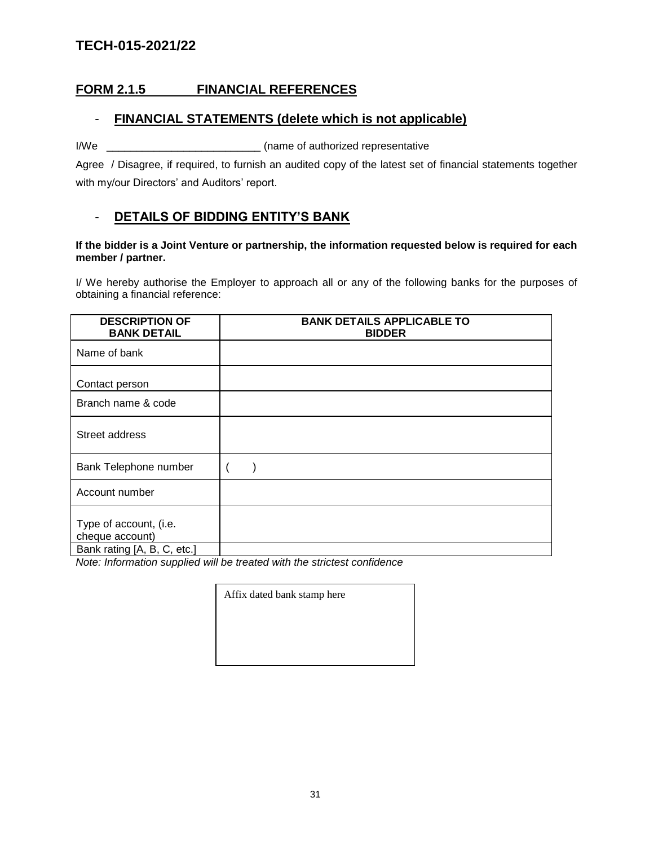### **FORM 2.1.5 FINANCIAL REFERENCES**

### - **FINANCIAL STATEMENTS (delete which is not applicable)**

I/We \_\_\_\_\_\_\_\_\_\_\_\_\_\_\_\_\_\_\_\_\_\_\_\_\_\_ (name of authorized representative

Agree / Disagree, if required, to furnish an audited copy of the latest set of financial statements together with my/our Directors' and Auditors' report.

### - **DETAILS OF BIDDING ENTITY'S BANK**

#### **If the bidder is a Joint Venture or partnership, the information requested below is required for each member / partner.**

I/ We hereby authorise the Employer to approach all or any of the following banks for the purposes of obtaining a financial reference:

| <b>DESCRIPTION OF</b><br><b>BANK DETAIL</b>                              | <b>BANK DETAILS APPLICABLE TO</b><br><b>BIDDER</b> |
|--------------------------------------------------------------------------|----------------------------------------------------|
| Name of bank                                                             |                                                    |
| Contact person                                                           |                                                    |
| Branch name & code                                                       |                                                    |
| Street address                                                           |                                                    |
| Bank Telephone number                                                    |                                                    |
| Account number                                                           |                                                    |
| Type of account, (i.e.<br>cheque account)<br>Bank rating [A, B, C, etc.] |                                                    |

*Note: Information supplied will be treated with the strictest confidence*

Affix dated bank stamp here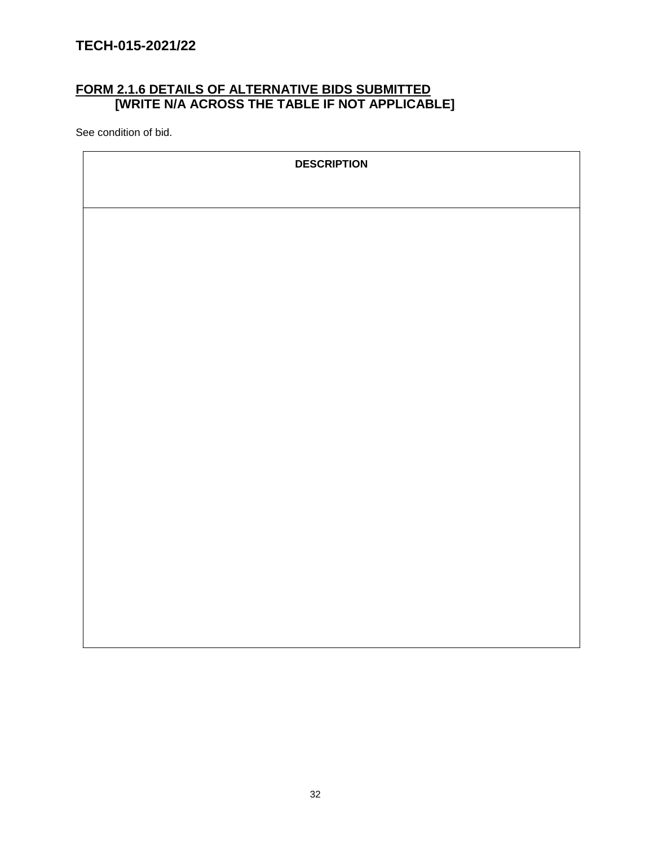## **FORM 2.1.6 DETAILS OF ALTERNATIVE BIDS SUBMITTED [WRITE N/A ACROSS THE TABLE IF NOT APPLICABLE]**

See condition of bid.

| <b>DESCRIPTION</b> |
|--------------------|
|                    |
|                    |
|                    |
|                    |
|                    |
|                    |
|                    |
|                    |
|                    |
|                    |
|                    |
|                    |
|                    |
|                    |
|                    |
|                    |
|                    |
|                    |
|                    |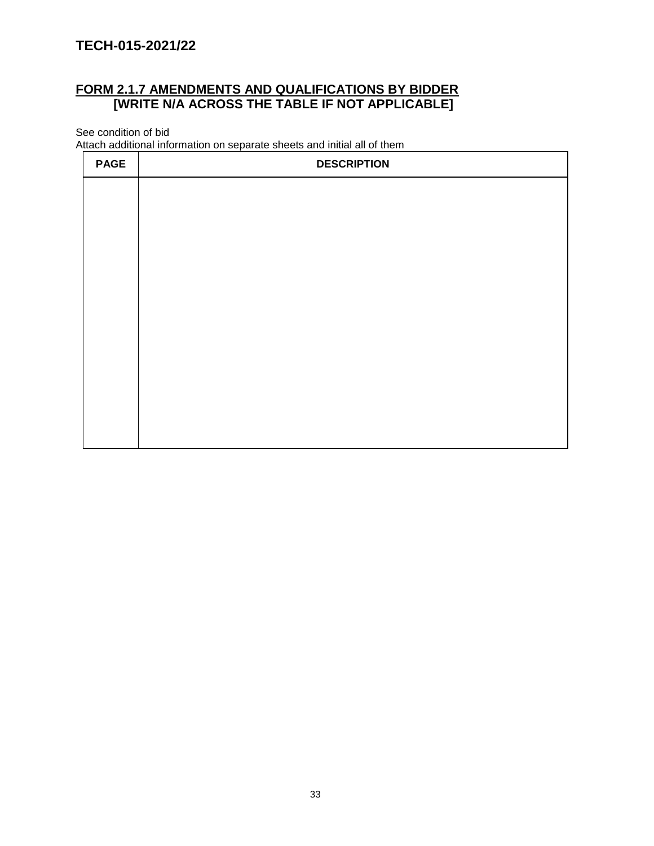# **FORM 2.1.7 AMENDMENTS AND QUALIFICATIONS BY BIDDER [WRITE N/A ACROSS THE TABLE IF NOT APPLICABLE]**

See condition of bid

Attach additional information on separate sheets and initial all of them

| <b>PAGE</b> | <b>DESCRIPTION</b> |
|-------------|--------------------|
|             |                    |
|             |                    |
|             |                    |
|             |                    |
|             |                    |
|             |                    |
|             |                    |
|             |                    |
|             |                    |
|             |                    |
|             |                    |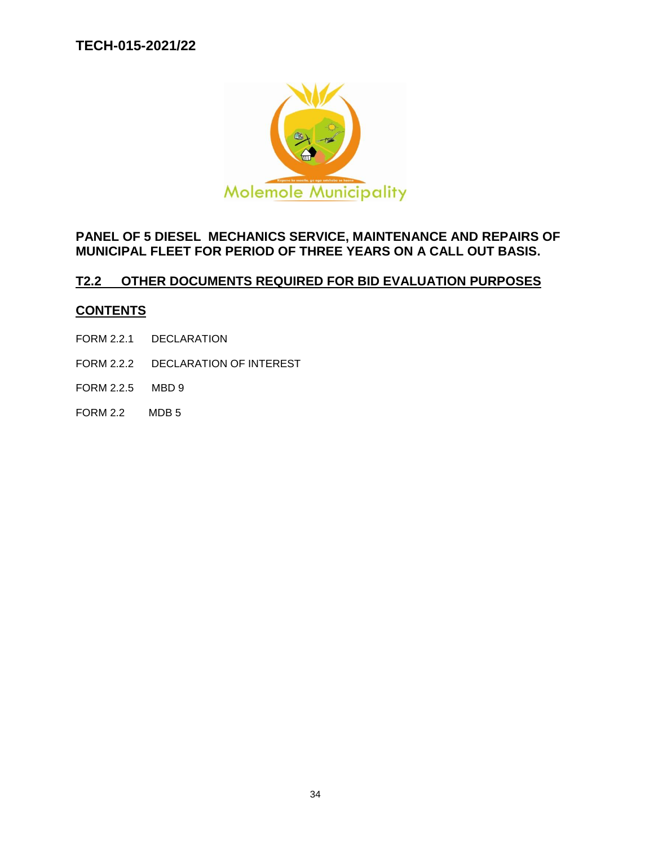

# **PANEL OF 5 DIESEL MECHANICS SERVICE, MAINTENANCE AND REPAIRS OF MUNICIPAL FLEET FOR PERIOD OF THREE YEARS ON A CALL OUT BASIS.**

# **T2.2 OTHER DOCUMENTS REQUIRED FOR BID EVALUATION PURPOSES**

### **CONTENTS**

- FORM 2.2.1 DECLARATION
- FORM 2.2.2 DECLARATION OF INTEREST
- FORM 2.2.5 MBD 9
- FORM 2.2 MDB 5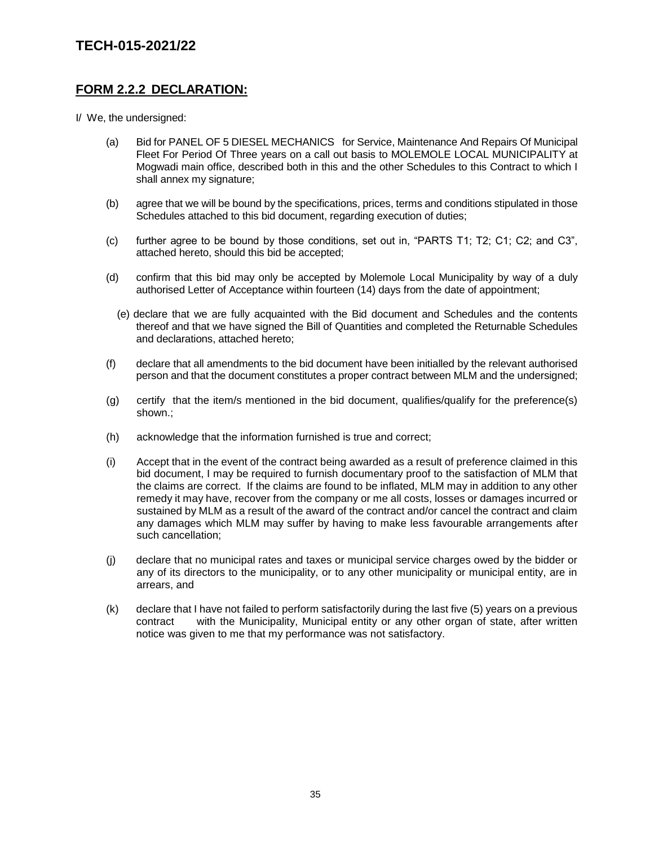### **FORM 2.2.2 DECLARATION:**

I/ We, the undersigned:

- (a) Bid for PANEL OF 5 DIESEL MECHANICS for Service, Maintenance And Repairs Of Municipal Fleet For Period Of Three years on a call out basis to MOLEMOLE LOCAL MUNICIPALITY at Mogwadi main office, described both in this and the other Schedules to this Contract to which I shall annex my signature;
- (b) agree that we will be bound by the specifications, prices, terms and conditions stipulated in those Schedules attached to this bid document, regarding execution of duties;
- (c) further agree to be bound by those conditions, set out in, "PARTS T1; T2; C1; C2; and C3", attached hereto, should this bid be accepted;
- (d) confirm that this bid may only be accepted by Molemole Local Municipality by way of a duly authorised Letter of Acceptance within fourteen (14) days from the date of appointment;
	- (e) declare that we are fully acquainted with the Bid document and Schedules and the contents thereof and that we have signed the Bill of Quantities and completed the Returnable Schedules and declarations, attached hereto;
- (f) declare that all amendments to the bid document have been initialled by the relevant authorised person and that the document constitutes a proper contract between MLM and the undersigned;
- (g) certify that the item/s mentioned in the bid document, qualifies/qualify for the preference(s) shown.;
- (h) acknowledge that the information furnished is true and correct;
- (i) Accept that in the event of the contract being awarded as a result of preference claimed in this bid document, I may be required to furnish documentary proof to the satisfaction of MLM that the claims are correct. If the claims are found to be inflated, MLM may in addition to any other remedy it may have, recover from the company or me all costs, losses or damages incurred or sustained by MLM as a result of the award of the contract and/or cancel the contract and claim any damages which MLM may suffer by having to make less favourable arrangements after such cancellation;
- (j) declare that no municipal rates and taxes or municipal service charges owed by the bidder or any of its directors to the municipality, or to any other municipality or municipal entity, are in arrears, and
- (k) declare that I have not failed to perform satisfactorily during the last five (5) years on a previous contract with the Municipality, Municipal entity or any other organ of state, after written notice was given to me that my performance was not satisfactory.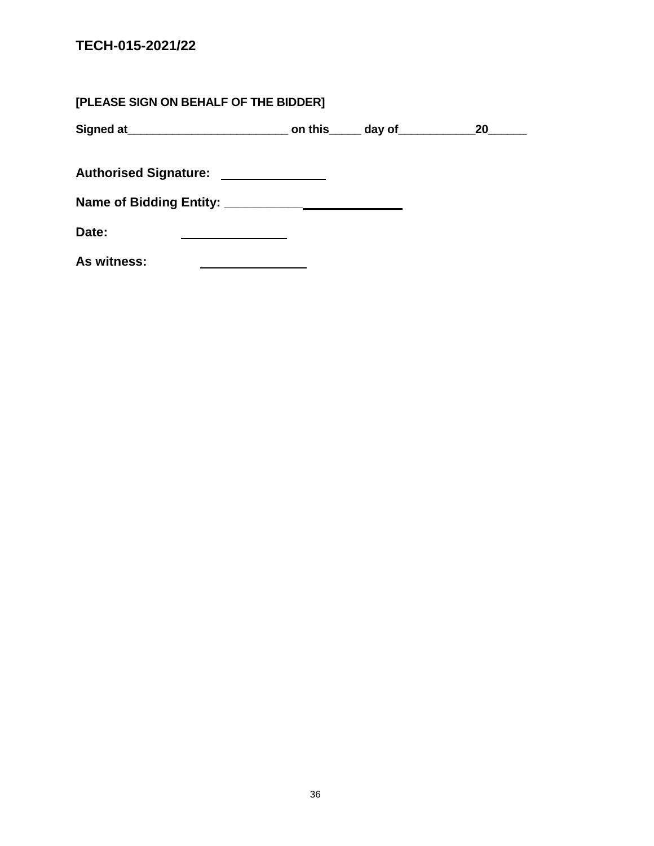| [PLEASE SIGN ON BEHALF OF THE BIDDER] |  |           |
|---------------------------------------|--|-----------|
|                                       |  | <b>20</b> |
| Authorised Signature: ______________  |  |           |
|                                       |  |           |
| Date:                                 |  |           |
| As witness:                           |  |           |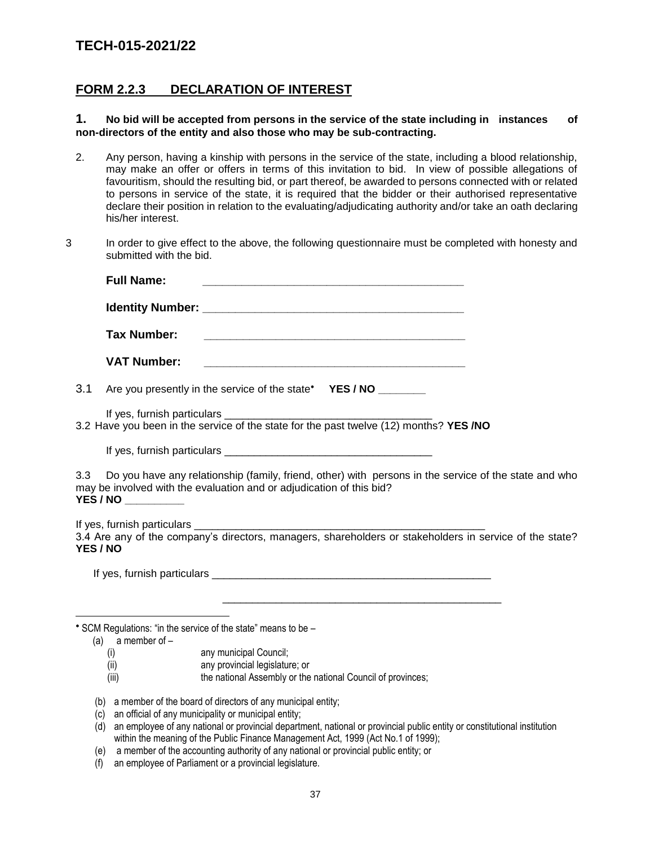### **FORM 2.2.3 DECLARATION OF INTEREST**

**1. No bid will be accepted from persons in the service of the state including in instances of non-directors of the entity and also those who may be sub-contracting.**

- 2. Any person, having a kinship with persons in the service of the state, including a blood relationship, may make an offer or offers in terms of this invitation to bid. In view of possible allegations of favouritism, should the resulting bid, or part thereof, be awarded to persons connected with or related to persons in service of the state, it is required that the bidder or their authorised representative declare their position in relation to the evaluating/adjudicating authority and/or take an oath declaring his/her interest.
- 3 In order to give effect to the above, the following questionnaire must be completed with honesty and submitted with the bid.

|                 | <b>Full Name:</b>   |                                                                                                                                                                                                                                 |
|-----------------|---------------------|---------------------------------------------------------------------------------------------------------------------------------------------------------------------------------------------------------------------------------|
|                 |                     |                                                                                                                                                                                                                                 |
|                 | <b>Tax Number:</b>  |                                                                                                                                                                                                                                 |
|                 | <b>VAT Number:</b>  | <u> 1989 - Andrea Station Barbara, actor a contra a contra a contra a contra a contra a contra a contra a con</u>                                                                                                               |
| 3.1             |                     | Are you presently in the service of the state* YES / NO _______                                                                                                                                                                 |
|                 |                     | 3.2 Have you been in the service of the state for the past twelve (12) months? YES /NO                                                                                                                                          |
|                 |                     |                                                                                                                                                                                                                                 |
| 3.3             | YES / NO __________ | Do you have any relationship (family, friend, other) with persons in the service of the state and who<br>may be involved with the evaluation and or adjudication of this bid?                                                   |
| <b>YES / NO</b> |                     | 3.4 Are any of the company's directors, managers, shareholders or stakeholders in service of the state?                                                                                                                         |
|                 |                     |                                                                                                                                                                                                                                 |
|                 |                     |                                                                                                                                                                                                                                 |
|                 | (a) a member of $-$ | * SCM Regulations: "in the service of the state" means to be -                                                                                                                                                                  |
|                 | (i)                 | any municipal Council;                                                                                                                                                                                                          |
|                 | (ii)                | any provincial legislature; or                                                                                                                                                                                                  |
|                 | (iii)               | the national Assembly or the national Council of provinces;                                                                                                                                                                     |
|                 |                     | (b) a member of the board of directors of any municipal entity;                                                                                                                                                                 |
|                 |                     | $\ell$ . An account of the state of the state of the state of the state of the state of the state of the state of the state of the state of the state of the state of the state of the state of the state of the state of the s |

(c) an official of any municipality or municipal entity;

**YES / NO**

- (d) an employee of any national or provincial department, national or provincial public entity or constitutional institution within the meaning of the Public Finance Management Act, 1999 (Act No.1 of 1999);
- (e) a member of the accounting authority of any national or provincial public entity; or
- (f) an employee of Parliament or a provincial legislature.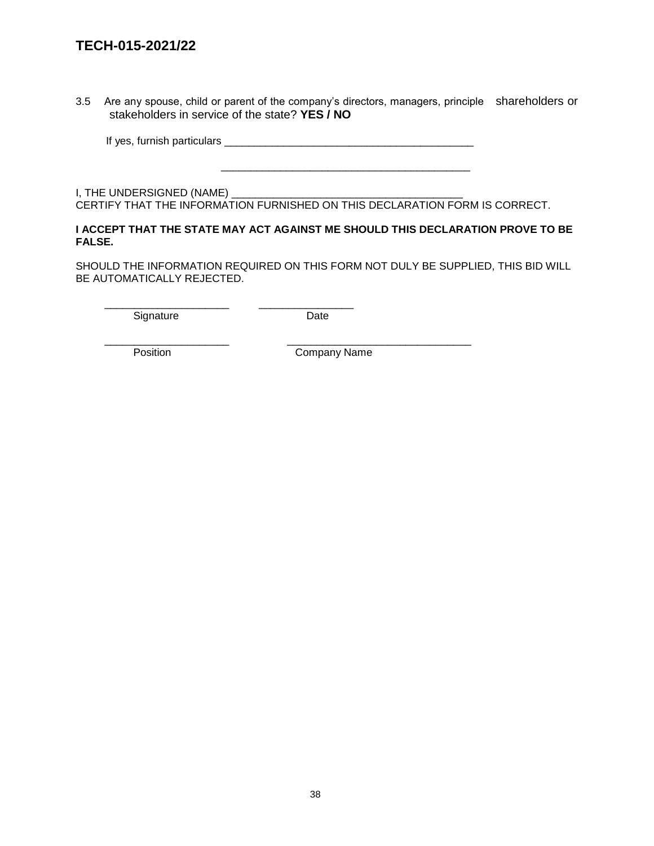3.5 Are any spouse, child or parent of the company's directors, managers, principle shareholders or stakeholders in service of the state? **YES / NO**

If yes, furnish particulars \_\_\_\_\_\_\_\_\_\_\_\_\_\_\_\_\_\_\_\_\_\_\_\_\_\_\_\_\_\_\_\_\_\_\_\_\_\_\_\_\_\_

 $\frac{1}{\sqrt{2}}$  ,  $\frac{1}{\sqrt{2}}$  ,  $\frac{1}{\sqrt{2}}$  ,  $\frac{1}{\sqrt{2}}$  ,  $\frac{1}{\sqrt{2}}$  ,  $\frac{1}{\sqrt{2}}$  ,  $\frac{1}{\sqrt{2}}$  ,  $\frac{1}{\sqrt{2}}$  ,  $\frac{1}{\sqrt{2}}$  ,  $\frac{1}{\sqrt{2}}$  ,  $\frac{1}{\sqrt{2}}$  ,  $\frac{1}{\sqrt{2}}$  ,  $\frac{1}{\sqrt{2}}$  ,  $\frac{1}{\sqrt{2}}$  ,  $\frac{1}{\sqrt{2}}$ 

\_\_\_\_\_\_\_\_\_\_\_\_\_\_\_\_\_\_\_\_\_ \_\_\_\_\_\_\_\_\_\_\_\_\_\_\_\_

I, THE UNDERSIGNED (NAME) \_\_\_\_\_ CERTIFY THAT THE INFORMATION FURNISHED ON THIS DECLARATION FORM IS CORRECT.

#### **I ACCEPT THAT THE STATE MAY ACT AGAINST ME SHOULD THIS DECLARATION PROVE TO BE FALSE.**

SHOULD THE INFORMATION REQUIRED ON THIS FORM NOT DULY BE SUPPLIED, THIS BID WILL BE AUTOMATICALLY REJECTED.

Signature Date

\_\_\_\_\_\_\_\_\_\_\_\_\_\_\_\_\_\_\_\_\_ \_\_\_\_\_\_\_\_\_\_\_\_\_\_\_\_\_\_\_\_\_\_\_\_\_\_\_\_\_\_\_

Position **Company Name**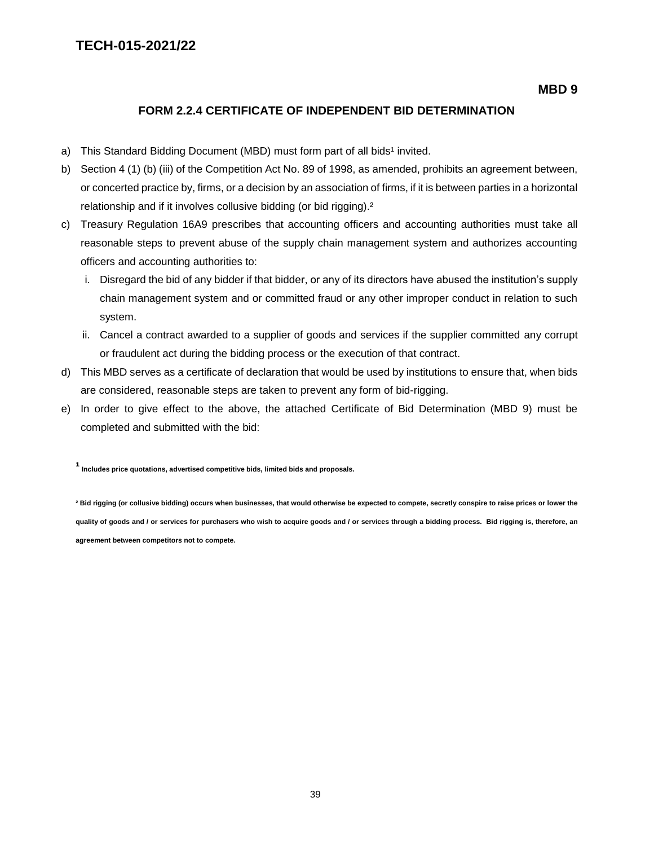#### **FORM 2.2.4 CERTIFICATE OF INDEPENDENT BID DETERMINATION**

- a) This Standard Bidding Document (MBD) must form part of all bids<sup>1</sup> invited.
- b) Section 4 (1) (b) (iii) of the Competition Act No. 89 of 1998, as amended, prohibits an agreement between, or concerted practice by, firms, or a decision by an association of firms, if it is between parties in a horizontal relationship and if it involves collusive bidding (or bid rigging).<sup>2</sup>
- c) Treasury Regulation 16A9 prescribes that accounting officers and accounting authorities must take all reasonable steps to prevent abuse of the supply chain management system and authorizes accounting officers and accounting authorities to:
	- i. Disregard the bid of any bidder if that bidder, or any of its directors have abused the institution's supply chain management system and or committed fraud or any other improper conduct in relation to such system.
	- ii. Cancel a contract awarded to a supplier of goods and services if the supplier committed any corrupt or fraudulent act during the bidding process or the execution of that contract.
- d) This MBD serves as a certificate of declaration that would be used by institutions to ensure that, when bids are considered, reasonable steps are taken to prevent any form of bid-rigging.
- e) In order to give effect to the above, the attached Certificate of Bid Determination (MBD 9) must be completed and submitted with the bid:

**¹ Includes price quotations, advertised competitive bids, limited bids and proposals.**

**² Bid rigging (or collusive bidding) occurs when businesses, that would otherwise be expected to compete, secretly conspire to raise prices or lower the quality of goods and / or services for purchasers who wish to acquire goods and / or services through a bidding process. Bid rigging is, therefore, an agreement between competitors not to compete.**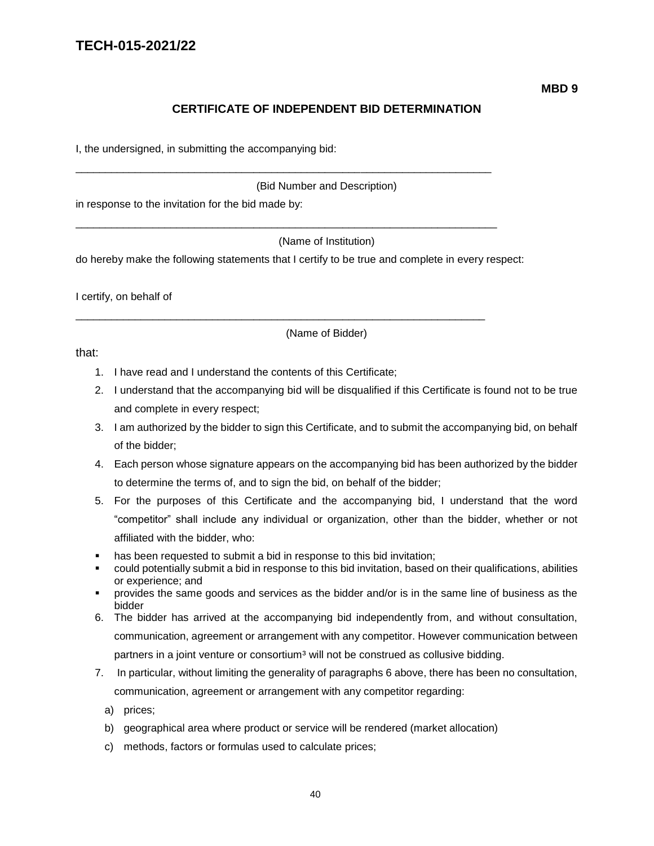### **CERTIFICATE OF INDEPENDENT BID DETERMINATION**

I, the undersigned, in submitting the accompanying bid:

(Bid Number and Description)

in response to the invitation for the bid made by:

(Name of Institution)

do hereby make the following statements that I certify to be true and complete in every respect:

\_\_\_\_\_\_\_\_\_\_\_\_\_\_\_\_\_\_\_\_\_\_\_\_\_\_\_\_\_\_\_\_\_\_\_\_\_\_\_\_\_\_\_\_\_\_\_\_\_\_\_\_\_\_\_\_\_\_\_\_\_\_\_\_\_\_\_\_\_\_

\_\_\_\_\_\_\_\_\_\_\_\_\_\_\_\_\_\_\_\_\_\_\_\_\_\_\_\_\_\_\_\_\_\_\_\_\_\_\_\_\_\_\_\_\_\_\_\_\_\_\_\_\_\_\_\_\_\_\_\_\_\_\_\_\_\_\_\_\_\_\_

\_\_\_\_\_\_\_\_\_\_\_\_\_\_\_\_\_\_\_\_\_\_\_\_\_\_\_\_\_\_\_\_\_\_\_\_\_\_\_\_\_\_\_\_\_\_\_\_\_\_\_\_\_\_\_\_\_\_\_\_\_\_\_\_\_\_\_\_\_

I certify, on behalf of

(Name of Bidder)

that:

- 1. I have read and I understand the contents of this Certificate;
- 2. I understand that the accompanying bid will be disqualified if this Certificate is found not to be true and complete in every respect;
- 3. I am authorized by the bidder to sign this Certificate, and to submit the accompanying bid, on behalf of the bidder;
- 4. Each person whose signature appears on the accompanying bid has been authorized by the bidder to determine the terms of, and to sign the bid, on behalf of the bidder;
- 5. For the purposes of this Certificate and the accompanying bid, I understand that the word "competitor" shall include any individual or organization, other than the bidder, whether or not affiliated with the bidder, who:
- has been requested to submit a bid in response to this bid invitation;
- could potentially submit a bid in response to this bid invitation, based on their qualifications, abilities or experience; and
- provides the same goods and services as the bidder and/or is in the same line of business as the bidder
- 6. The bidder has arrived at the accompanying bid independently from, and without consultation, communication, agreement or arrangement with any competitor. However communication between partners in a joint venture or consortium<sup>3</sup> will not be construed as collusive bidding.
- 7. In particular, without limiting the generality of paragraphs 6 above, there has been no consultation, communication, agreement or arrangement with any competitor regarding:
	- a) prices;
	- b) geographical area where product or service will be rendered (market allocation)
	- c) methods, factors or formulas used to calculate prices;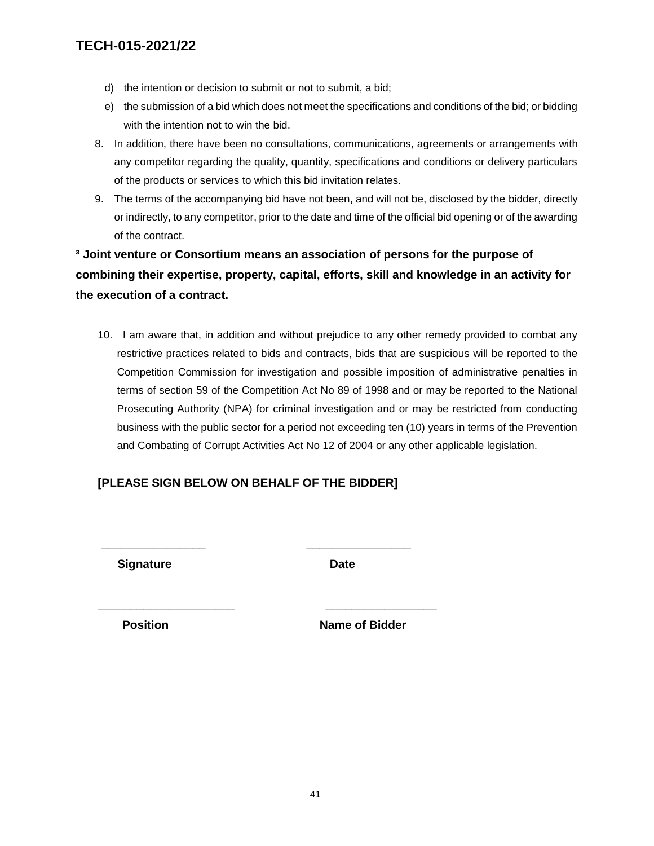- d) the intention or decision to submit or not to submit, a bid;
- e) the submission of a bid which does not meet the specifications and conditions of the bid; or bidding with the intention not to win the bid.
- 8. In addition, there have been no consultations, communications, agreements or arrangements with any competitor regarding the quality, quantity, specifications and conditions or delivery particulars of the products or services to which this bid invitation relates.
- 9. The terms of the accompanying bid have not been, and will not be, disclosed by the bidder, directly or indirectly, to any competitor, prior to the date and time of the official bid opening or of the awarding of the contract.

**³ Joint venture or Consortium means an association of persons for the purpose of combining their expertise, property, capital, efforts, skill and knowledge in an activity for the execution of a contract.**

10. I am aware that, in addition and without prejudice to any other remedy provided to combat any restrictive practices related to bids and contracts, bids that are suspicious will be reported to the Competition Commission for investigation and possible imposition of administrative penalties in terms of section 59 of the Competition Act No 89 of 1998 and or may be reported to the National Prosecuting Authority (NPA) for criminal investigation and or may be restricted from conducting business with the public sector for a period not exceeding ten (10) years in terms of the Prevention and Combating of Corrupt Activities Act No 12 of 2004 or any other applicable legislation.

### **[PLEASE SIGN BELOW ON BEHALF OF THE BIDDER]**

**\_\_\_\_\_\_\_\_\_\_\_\_\_\_\_\_ \_\_\_\_\_\_\_\_\_\_\_\_\_\_\_\_**

**\_\_\_\_\_\_\_\_\_\_\_\_\_\_\_\_\_\_\_\_\_ \_\_\_\_\_\_\_\_\_\_\_\_\_\_\_\_\_**

**Signature Date** 

**Position Name of Bidder**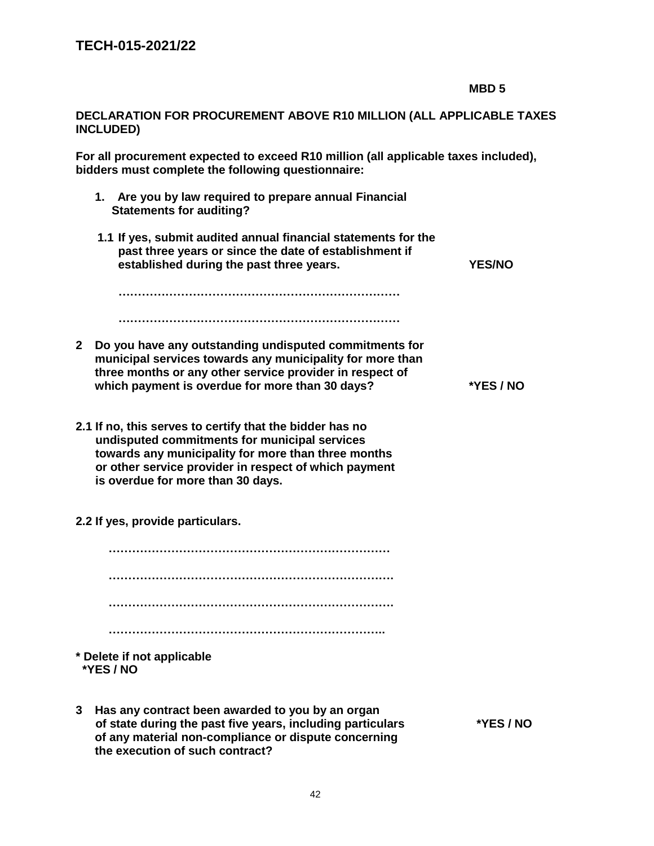### **DECLARATION FOR PROCUREMENT ABOVE R10 MILLION (ALL APPLICABLE TAXES INCLUDED)**

**For all procurement expected to exceed R10 million (all applicable taxes included), bidders must complete the following questionnaire:** 

- **1. Are you by law required to prepare annual Financial Statements for auditing?**
- **1.1 If yes, submit audited annual financial statements for the past three years or since the date of establishment if established during the past three years. YES/NO**

 **……………………………………………………………… ………………………………………………………………** 

- **2 Do you have any outstanding undisputed commitments for municipal services towards any municipality for more than three months or any other service provider in respect of which payment is overdue for more than 30 days? \*YES / NO**
- **2.1 If no, this serves to certify that the bidder has no undisputed commitments for municipal services towards any municipality for more than three months or other service provider in respect of which payment is overdue for more than 30 days.**
- **2.2 If yes, provide particulars.**

 **……………………………………………………………… ………………………………………………………………. ………………………………………………………………. ……………………………………………………………..** 

- **\* Delete if not applicable \*YES / NO**
- **3 Has any contract been awarded to you by an organ of state during the past five years, including particulars \*YES / NO of any material non-compliance or dispute concerning the execution of such contract?**

**MBD 5**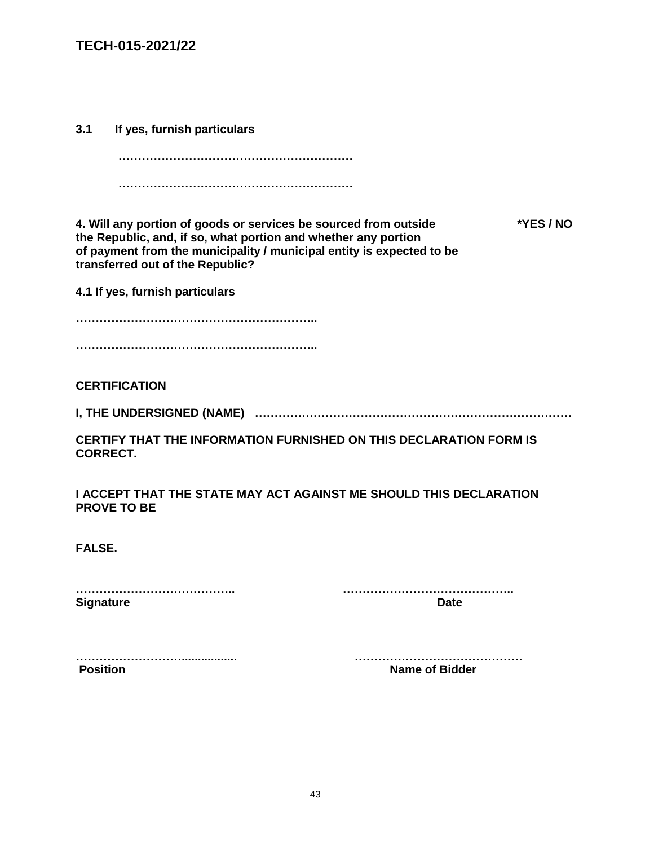**3.1 If yes, furnish particulars** 

 **…………………………………………………… ……………………………………………………** 

**4. Will any portion of goods or services be sourced from outside \*YES / NO the Republic, and, if so, what portion and whether any portion of payment from the municipality / municipal entity is expected to be transferred out of the Republic?** 

**4.1 If yes, furnish particulars** 

**…………………………………………………….. ……………………………………………………..** 

**CERTIFICATION** 

**I, THE UNDERSIGNED (NAME) ………………………………………………………………………** 

**CERTIFY THAT THE INFORMATION FURNISHED ON THIS DECLARATION FORM IS CORRECT.** 

**I ACCEPT THAT THE STATE MAY ACT AGAINST ME SHOULD THIS DECLARATION PROVE TO BE** 

**FALSE.** 

**………………………………….. …………………………………….. Signature** Date **Date Date** 

**………………………................. …………………………………….**

**Name of Bidder** 

43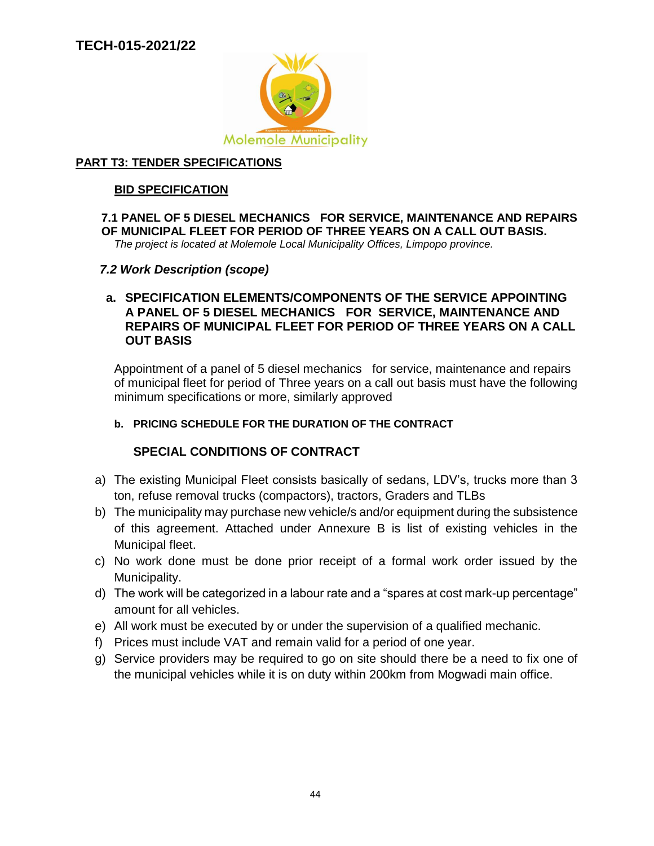

### **PART T3: TENDER SPECIFICATIONS**

### **BID SPECIFICATION**

# **7.1 PANEL OF 5 DIESEL MECHANICS FOR SERVICE, MAINTENANCE AND REPAIRS OF MUNICIPAL FLEET FOR PERIOD OF THREE YEARS ON A CALL OUT BASIS.**

*The project is located at Molemole Local Municipality Offices, Limpopo province.*

### *7.2 Work Description (scope)*

### **a. SPECIFICATION ELEMENTS/COMPONENTS OF THE SERVICE APPOINTING A PANEL OF 5 DIESEL MECHANICS FOR SERVICE, MAINTENANCE AND REPAIRS OF MUNICIPAL FLEET FOR PERIOD OF THREE YEARS ON A CALL OUT BASIS**

Appointment of a panel of 5 diesel mechanics for service, maintenance and repairs of municipal fleet for period of Three years on a call out basis must have the following minimum specifications or more, similarly approved

### **b. PRICING SCHEDULE FOR THE DURATION OF THE CONTRACT**

### **SPECIAL CONDITIONS OF CONTRACT**

- a) The existing Municipal Fleet consists basically of sedans, LDV's, trucks more than 3 ton, refuse removal trucks (compactors), tractors, Graders and TLBs
- b) The municipality may purchase new vehicle/s and/or equipment during the subsistence of this agreement. Attached under Annexure B is list of existing vehicles in the Municipal fleet.
- c) No work done must be done prior receipt of a formal work order issued by the Municipality.
- d) The work will be categorized in a labour rate and a "spares at cost mark-up percentage" amount for all vehicles.
- e) All work must be executed by or under the supervision of a qualified mechanic.
- f) Prices must include VAT and remain valid for a period of one year.
- g) Service providers may be required to go on site should there be a need to fix one of the municipal vehicles while it is on duty within 200km from Mogwadi main office.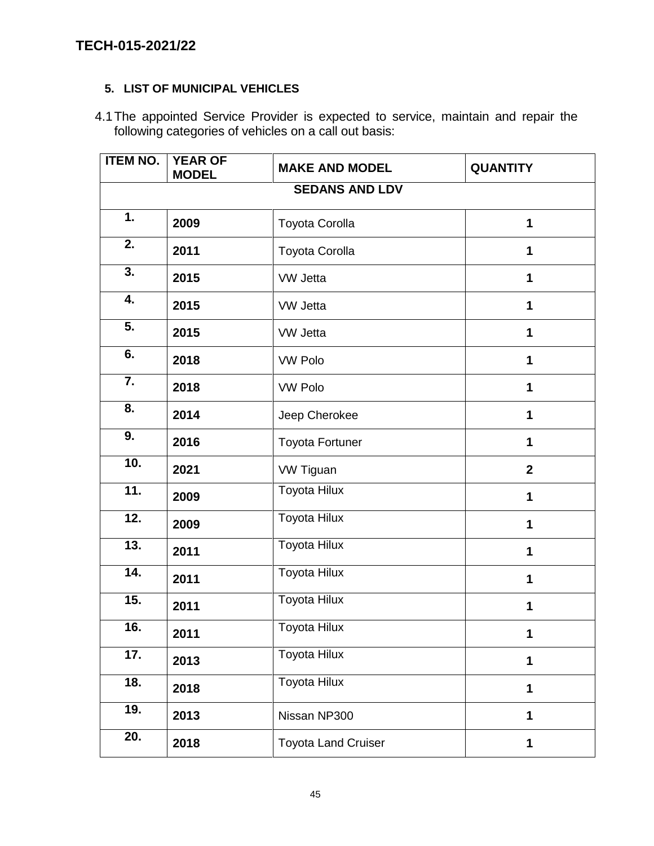### **5. LIST OF MUNICIPAL VEHICLES**

4.1The appointed Service Provider is expected to service, maintain and repair the following categories of vehicles on a call out basis:

| <b>ITEM NO.</b>       | <b>YEAR OF</b><br><b>MODEL</b> | <b>MAKE AND MODEL</b>      | <b>QUANTITY</b> |  |  |  |
|-----------------------|--------------------------------|----------------------------|-----------------|--|--|--|
| <b>SEDANS AND LDV</b> |                                |                            |                 |  |  |  |
| 1.                    | 2009                           | Toyota Corolla             | 1               |  |  |  |
| 2.                    | 2011                           | Toyota Corolla             | 1               |  |  |  |
| 3.                    | 2015                           | <b>VW Jetta</b>            | 1               |  |  |  |
| 4.                    | 2015                           | <b>VW Jetta</b>            | 1               |  |  |  |
| 5.                    | 2015                           | VW Jetta                   | $\mathbf 1$     |  |  |  |
| 6.                    | 2018                           | <b>VW Polo</b>             | 1               |  |  |  |
| 7.                    | 2018                           | <b>VW Polo</b>             | 1               |  |  |  |
| 8.                    | 2014                           | Jeep Cherokee              | 1               |  |  |  |
| 9.                    | 2016                           | <b>Toyota Fortuner</b>     | 1               |  |  |  |
| 10.                   | 2021                           | VW Tiguan                  | $\mathbf{2}$    |  |  |  |
| 11.                   | 2009                           | <b>Toyota Hilux</b>        | $\mathbf 1$     |  |  |  |
| 12.                   | 2009                           | <b>Toyota Hilux</b>        | 1               |  |  |  |
| 13.                   | 2011                           | <b>Toyota Hilux</b>        | 1               |  |  |  |
| 14.                   | 2011                           | <b>Toyota Hilux</b>        | 1               |  |  |  |
| 15.                   | 2011                           | Toyota Hilux               | 1               |  |  |  |
| 16.                   | 2011                           | <b>Toyota Hilux</b>        |                 |  |  |  |
| 17.                   | 2013                           | Toyota Hilux               | 1               |  |  |  |
| 18.                   | 2018                           | <b>Toyota Hilux</b>        | $\mathbf 1$     |  |  |  |
| 19.                   | 2013                           | Nissan NP300               | 1               |  |  |  |
| 20.                   | 2018                           | <b>Toyota Land Cruiser</b> | $\mathbf 1$     |  |  |  |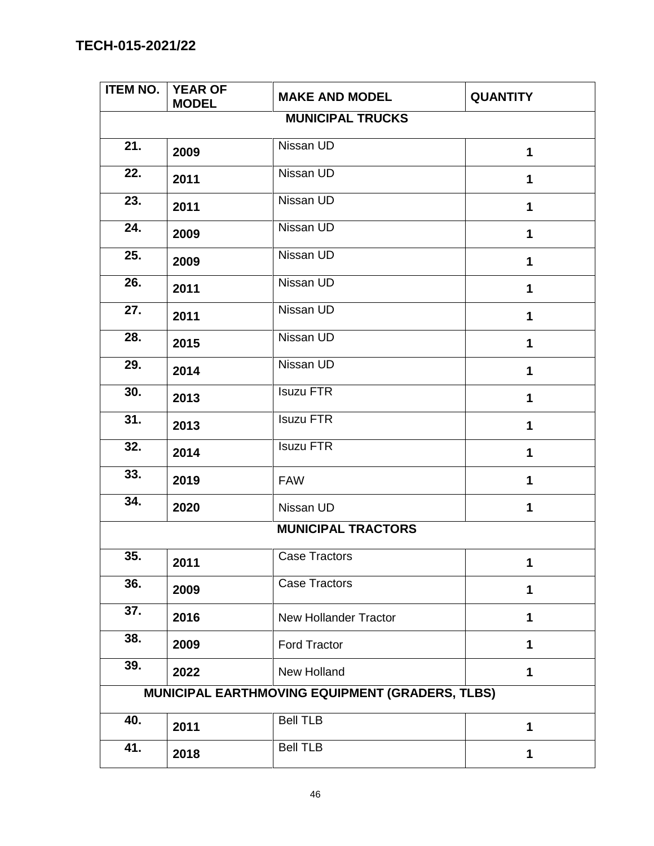| <b>ITEM NO.</b>   | <b>YEAR OF</b><br><b>MODEL</b> | <b>MAKE AND MODEL</b>                           | <b>QUANTITY</b> |
|-------------------|--------------------------------|-------------------------------------------------|-----------------|
|                   |                                | <b>MUNICIPAL TRUCKS</b>                         |                 |
| 21.               | 2009                           | Nissan UD                                       | $\mathbf 1$     |
| 22.               | 2011                           | Nissan UD                                       | 1               |
| 23.               | 2011                           | Nissan UD                                       | 1               |
| 24.               | 2009                           | Nissan UD                                       | $\mathbf 1$     |
| 25.               | 2009                           | Nissan UD                                       | $\mathbf{1}$    |
| 26.               | 2011                           | Nissan UD                                       | 1               |
| 27.               | 2011                           | Nissan UD                                       | 1               |
| 28.               | 2015                           | Nissan UD                                       | 1               |
| 29.               | 2014                           | Nissan UD                                       | 1               |
| 30.               | 2013                           | <b>Isuzu FTR</b>                                | 1               |
| $\overline{31}$ . | 2013                           | <b>Isuzu FTR</b>                                | 1               |
| 32.               | 2014                           | <b>Isuzu FTR</b>                                | 1               |
| 33.               | 2019                           | <b>FAW</b>                                      | $\mathbf 1$     |
| 34.               | 2020                           | Nissan UD                                       | 1               |
|                   |                                | <b>MUNICIPAL TRACTORS</b>                       |                 |
| 35.               | 2011                           | <b>Case Tractors</b>                            |                 |
| 36.               | 2009                           | <b>Case Tractors</b>                            | 1               |
| 37.               | 2016                           | <b>New Hollander Tractor</b>                    | 1               |
| 38.               | 2009                           | <b>Ford Tractor</b>                             | 1               |
| 39.               | 2022                           | New Holland                                     | 1               |
|                   |                                | MUNICIPAL EARTHMOVING EQUIPMENT (GRADERS, TLBS) |                 |
| 40.               | 2011                           | <b>Bell TLB</b>                                 | 1               |
| 41.               | 2018                           | <b>Bell TLB</b>                                 | 1               |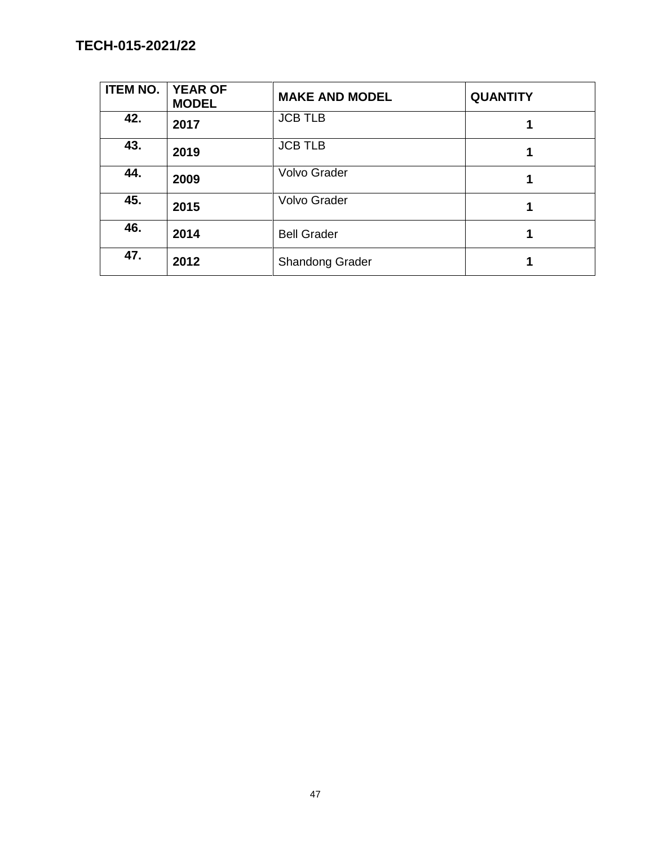| <b>ITEM NO.</b> | <b>YEAR OF</b><br><b>MODEL</b> | <b>MAKE AND MODEL</b>  | <b>QUANTITY</b> |
|-----------------|--------------------------------|------------------------|-----------------|
| 42.             | 2017                           | <b>JCB TLB</b>         |                 |
| 43.             | 2019                           | <b>JCB TLB</b>         |                 |
| 44.             | 2009                           | <b>Volvo Grader</b>    |                 |
| 45.             | 2015                           | <b>Volvo Grader</b>    |                 |
| 46.             | 2014                           | <b>Bell Grader</b>     |                 |
| 47.             | 2012                           | <b>Shandong Grader</b> |                 |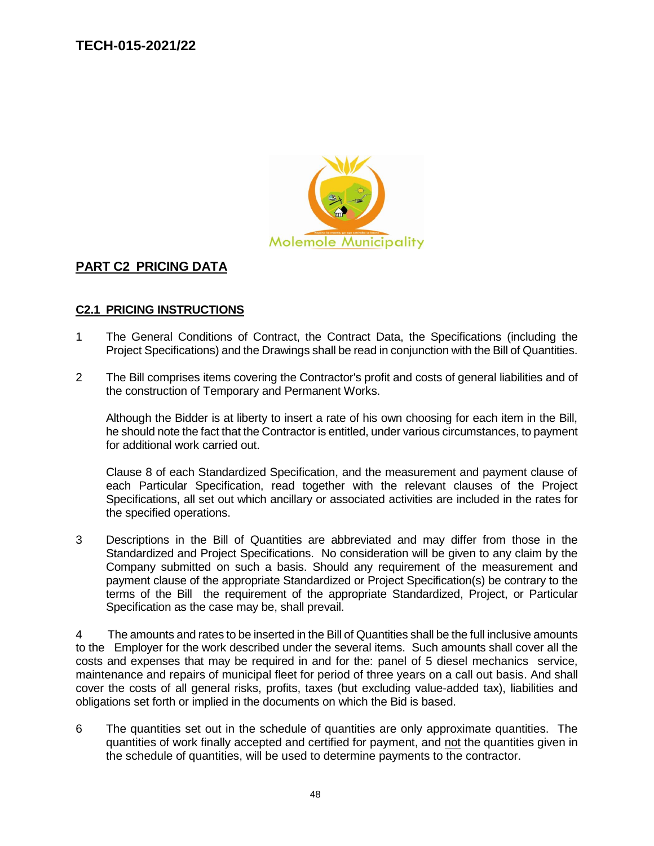

### **PART C2 PRICING DATA**

### **C2.1 PRICING INSTRUCTIONS**

- 1 The General Conditions of Contract, the Contract Data, the Specifications (including the Project Specifications) and the Drawings shall be read in conjunction with the Bill of Quantities.
- 2 The Bill comprises items covering the Contractor's profit and costs of general liabilities and of the construction of Temporary and Permanent Works.

Although the Bidder is at liberty to insert a rate of his own choosing for each item in the Bill, he should note the fact that the Contractor is entitled, under various circumstances, to payment for additional work carried out.

Clause 8 of each Standardized Specification, and the measurement and payment clause of each Particular Specification, read together with the relevant clauses of the Project Specifications, all set out which ancillary or associated activities are included in the rates for the specified operations.

3 Descriptions in the Bill of Quantities are abbreviated and may differ from those in the Standardized and Project Specifications. No consideration will be given to any claim by the Company submitted on such a basis. Should any requirement of the measurement and payment clause of the appropriate Standardized or Project Specification(s) be contrary to the terms of the Bill the requirement of the appropriate Standardized, Project, or Particular Specification as the case may be, shall prevail.

4 The amounts and rates to be inserted in the Bill of Quantities shall be the full inclusive amounts to the Employer for the work described under the several items. Such amounts shall cover all the costs and expenses that may be required in and for the: panel of 5 diesel mechanics service, maintenance and repairs of municipal fleet for period of three years on a call out basis. And shall cover the costs of all general risks, profits, taxes (but excluding value-added tax), liabilities and obligations set forth or implied in the documents on which the Bid is based.

6 The quantities set out in the schedule of quantities are only approximate quantities. The quantities of work finally accepted and certified for payment, and not the quantities given in the schedule of quantities, will be used to determine payments to the contractor.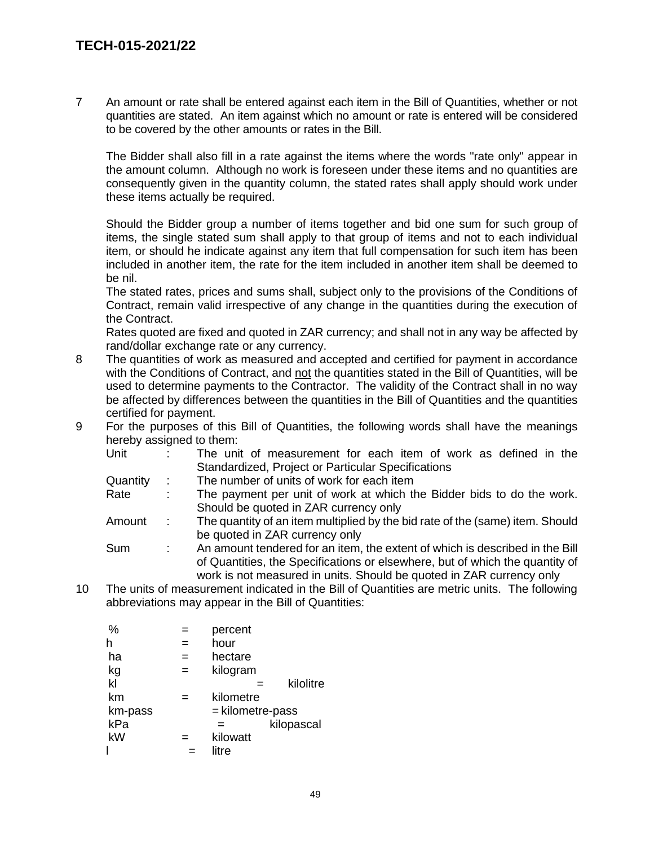7 An amount or rate shall be entered against each item in the Bill of Quantities, whether or not quantities are stated. An item against which no amount or rate is entered will be considered to be covered by the other amounts or rates in the Bill.

The Bidder shall also fill in a rate against the items where the words "rate only" appear in the amount column. Although no work is foreseen under these items and no quantities are consequently given in the quantity column, the stated rates shall apply should work under these items actually be required.

Should the Bidder group a number of items together and bid one sum for such group of items, the single stated sum shall apply to that group of items and not to each individual item, or should he indicate against any item that full compensation for such item has been included in another item, the rate for the item included in another item shall be deemed to be nil.

The stated rates, prices and sums shall, subject only to the provisions of the Conditions of Contract, remain valid irrespective of any change in the quantities during the execution of the Contract.

Rates quoted are fixed and quoted in ZAR currency; and shall not in any way be affected by rand/dollar exchange rate or any currency.

- 8 The quantities of work as measured and accepted and certified for payment in accordance with the Conditions of Contract, and not the quantities stated in the Bill of Quantities, will be used to determine payments to the Contractor. The validity of the Contract shall in no way be affected by differences between the quantities in the Bill of Quantities and the quantities certified for payment.
- 9 For the purposes of this Bill of Quantities, the following words shall have the meanings hereby assigned to them:

| Unit     | The unit of measurement for each item of work as defined in the               |
|----------|-------------------------------------------------------------------------------|
|          | Standardized, Project or Particular Specifications                            |
| Quantity | The number of units of work for each item                                     |
| Rate     | The payment per unit of work at which the Bidder bids to do the work.         |
|          | Should be quoted in ZAR currency only                                         |
| Amount   | The quantity of an item multiplied by the bid rate of the (same) item. Should |
|          | be quoted in ZAR currency only                                                |

Sum : An amount tendered for an item, the extent of which is described in the Bill of Quantities, the Specifications or elsewhere, but of which the quantity of work is not measured in units. Should be quoted in ZAR currency only

10 The units of measurement indicated in the Bill of Quantities are metric units. The following abbreviations may appear in the Bill of Quantities:

| %       |     | percent          |
|---------|-----|------------------|
| h       |     | hour             |
| ha      |     | hectare          |
| kg      | $=$ | kilogram         |
| kl      |     | kilolitre        |
| km      |     | kilometre        |
| km-pass |     | = kilometre-pass |
| kPa     |     | kilopascal<br>=  |
| kW      |     | kilowatt         |
|         |     | litre            |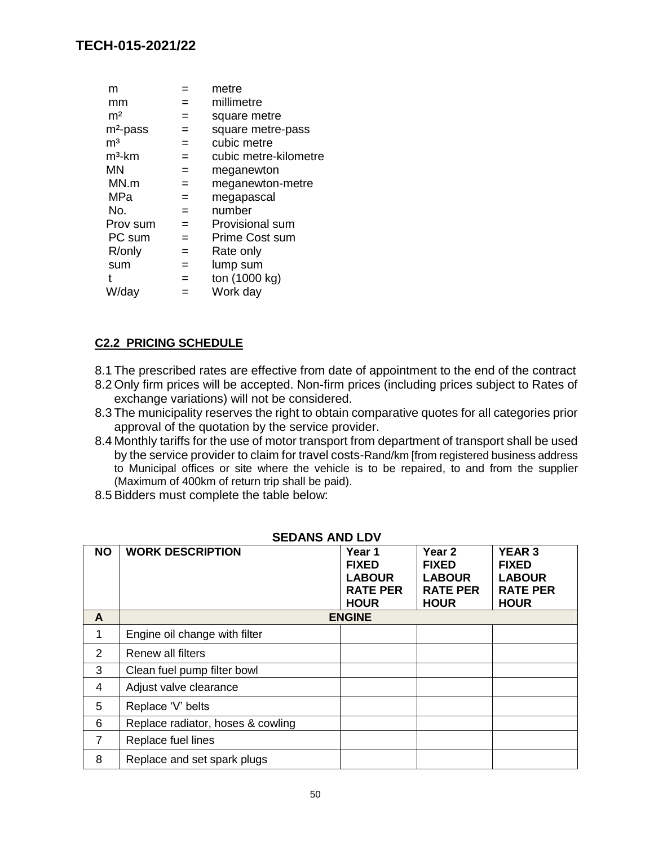| m              |     | metre                 |
|----------------|-----|-----------------------|
| mm             |     | millimetre            |
| m <sup>2</sup> | $=$ | square metre          |
| $m2$ -pass     | $=$ | square metre-pass     |
| m <sup>3</sup> | $=$ | cubic metre           |
| $m3$ -km       | $=$ | cubic metre-kilometre |
| <b>MN</b>      | $=$ | meganewton            |
| MN.m           | $=$ | meganewton-metre      |
| MPa            | $=$ | megapascal            |
| No.            | $=$ | number                |
| Prov sum       | $=$ | Provisional sum       |
| PC sum         | $=$ | Prime Cost sum        |
| R/only         | $=$ | Rate only             |
| sum            | $=$ | lump sum              |
|                | $=$ | ton (1000 kg)         |
| W/day          |     | Work day              |
|                |     |                       |

# **C2.2 PRICING SCHEDULE**

- 8.1 The prescribed rates are effective from date of appointment to the end of the contract
- 8.2 Only firm prices will be accepted. Non-firm prices (including prices subject to Rates of exchange variations) will not be considered.
- 8.3 The municipality reserves the right to obtain comparative quotes for all categories prior approval of the quotation by the service provider.
- 8.4 Monthly tariffs for the use of motor transport from department of transport shall be used by the service provider to claim for travel costs-Rand/km [from registered business address to Municipal offices or site where the vehicle is to be repaired, to and from the supplier (Maximum of 400km of return trip shall be paid).
- 8.5 Bidders must complete the table below:

| <b>NO</b> | <b>WORK DESCRIPTION</b>           | Year 1<br><b>FIXED</b><br><b>LABOUR</b><br><b>RATE PER</b><br><b>HOUR</b> | Year <sub>2</sub><br><b>FIXED</b><br><b>LABOUR</b><br><b>RATE PER</b><br><b>HOUR</b> | <b>YEAR 3</b><br><b>FIXED</b><br><b>LABOUR</b><br><b>RATE PER</b><br><b>HOUR</b> |
|-----------|-----------------------------------|---------------------------------------------------------------------------|--------------------------------------------------------------------------------------|----------------------------------------------------------------------------------|
| A         |                                   | <b>ENGINE</b>                                                             |                                                                                      |                                                                                  |
| 1         | Engine oil change with filter     |                                                                           |                                                                                      |                                                                                  |
| 2         | Renew all filters                 |                                                                           |                                                                                      |                                                                                  |
| 3         | Clean fuel pump filter bowl       |                                                                           |                                                                                      |                                                                                  |
| 4         | Adjust valve clearance            |                                                                           |                                                                                      |                                                                                  |
| 5         | Replace 'V' belts                 |                                                                           |                                                                                      |                                                                                  |
| 6         | Replace radiator, hoses & cowling |                                                                           |                                                                                      |                                                                                  |
| 7         | Replace fuel lines                |                                                                           |                                                                                      |                                                                                  |
| 8         | Replace and set spark plugs       |                                                                           |                                                                                      |                                                                                  |

### **SEDANS AND LDV**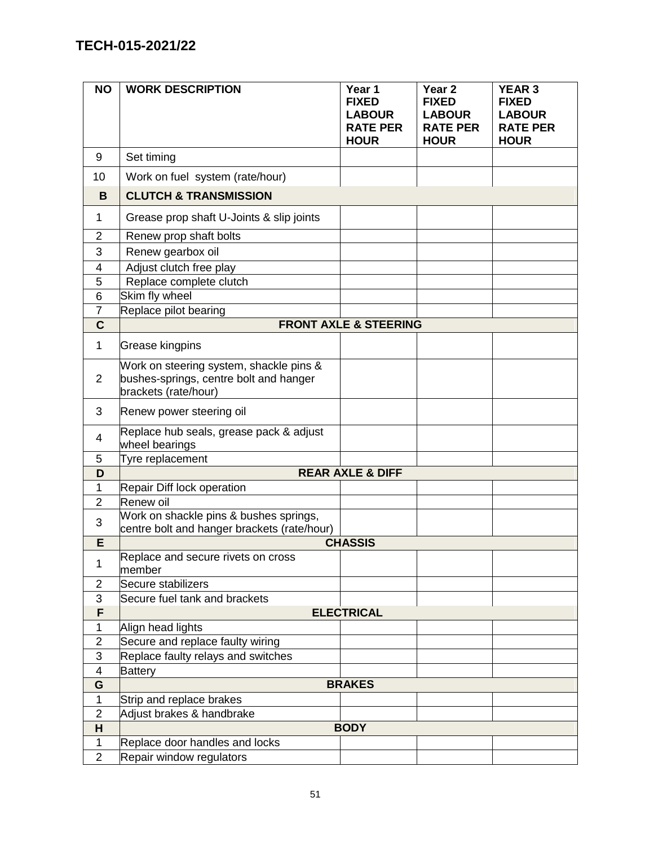| <b>NO</b>      | <b>WORK DESCRIPTION</b>                                                                                   | Year 1<br><b>FIXED</b><br><b>LABOUR</b><br><b>RATE PER</b><br><b>HOUR</b> | Year 2<br><b>FIXED</b><br><b>LABOUR</b><br><b>RATE PER</b><br><b>HOUR</b> | <b>YEAR 3</b><br><b>FIXED</b><br><b>LABOUR</b><br><b>RATE PER</b><br><b>HOUR</b> |
|----------------|-----------------------------------------------------------------------------------------------------------|---------------------------------------------------------------------------|---------------------------------------------------------------------------|----------------------------------------------------------------------------------|
| 9              | Set timing                                                                                                |                                                                           |                                                                           |                                                                                  |
| 10             | Work on fuel system (rate/hour)                                                                           |                                                                           |                                                                           |                                                                                  |
| B              | <b>CLUTCH &amp; TRANSMISSION</b>                                                                          |                                                                           |                                                                           |                                                                                  |
| 1              | Grease prop shaft U-Joints & slip joints                                                                  |                                                                           |                                                                           |                                                                                  |
| $\overline{2}$ | Renew prop shaft bolts                                                                                    |                                                                           |                                                                           |                                                                                  |
| 3              | Renew gearbox oil                                                                                         |                                                                           |                                                                           |                                                                                  |
| 4              | Adjust clutch free play                                                                                   |                                                                           |                                                                           |                                                                                  |
| 5              | Replace complete clutch                                                                                   |                                                                           |                                                                           |                                                                                  |
| 6              | Skim fly wheel                                                                                            |                                                                           |                                                                           |                                                                                  |
| $\overline{7}$ | Replace pilot bearing                                                                                     |                                                                           |                                                                           |                                                                                  |
| $\mathbf C$    |                                                                                                           | <b>FRONT AXLE &amp; STEERING</b>                                          |                                                                           |                                                                                  |
| 1              | Grease kingpins                                                                                           |                                                                           |                                                                           |                                                                                  |
| $\overline{2}$ | Work on steering system, shackle pins &<br>bushes-springs, centre bolt and hanger<br>brackets (rate/hour) |                                                                           |                                                                           |                                                                                  |
| 3              | Renew power steering oil                                                                                  |                                                                           |                                                                           |                                                                                  |
| 4              | Replace hub seals, grease pack & adjust<br>wheel bearings                                                 |                                                                           |                                                                           |                                                                                  |
| 5              | Tyre replacement                                                                                          |                                                                           |                                                                           |                                                                                  |
| D              |                                                                                                           | <b>REAR AXLE &amp; DIFF</b>                                               |                                                                           |                                                                                  |
| 1              | Repair Diff lock operation                                                                                |                                                                           |                                                                           |                                                                                  |
| $\overline{2}$ | Renew oil                                                                                                 |                                                                           |                                                                           |                                                                                  |
| 3              | Work on shackle pins & bushes springs,<br>centre bolt and hanger brackets (rate/hour)                     |                                                                           |                                                                           |                                                                                  |
| Е              |                                                                                                           | <b>CHASSIS</b>                                                            |                                                                           |                                                                                  |
| 1              | Replace and secure rivets on cross<br>member                                                              |                                                                           |                                                                           |                                                                                  |
| $\overline{2}$ | Secure stabilizers                                                                                        |                                                                           |                                                                           |                                                                                  |
| 3              | Secure fuel tank and brackets                                                                             |                                                                           |                                                                           |                                                                                  |
| $\overline{F}$ |                                                                                                           | <b>ELECTRICAL</b>                                                         |                                                                           |                                                                                  |
| 1              | Align head lights                                                                                         |                                                                           |                                                                           |                                                                                  |
| $\overline{2}$ | Secure and replace faulty wiring                                                                          |                                                                           |                                                                           |                                                                                  |
| 3              | Replace faulty relays and switches                                                                        |                                                                           |                                                                           |                                                                                  |
| 4              | <b>Battery</b>                                                                                            |                                                                           |                                                                           |                                                                                  |
| G              |                                                                                                           | <b>BRAKES</b>                                                             |                                                                           |                                                                                  |
| $\mathbf 1$    | Strip and replace brakes                                                                                  |                                                                           |                                                                           |                                                                                  |
| $\overline{2}$ | Adjust brakes & handbrake                                                                                 |                                                                           |                                                                           |                                                                                  |
| H              |                                                                                                           | <b>BODY</b>                                                               |                                                                           |                                                                                  |
| $\mathbf{1}$   | Replace door handles and locks                                                                            |                                                                           |                                                                           |                                                                                  |
| $\overline{2}$ | Repair window regulators                                                                                  |                                                                           |                                                                           |                                                                                  |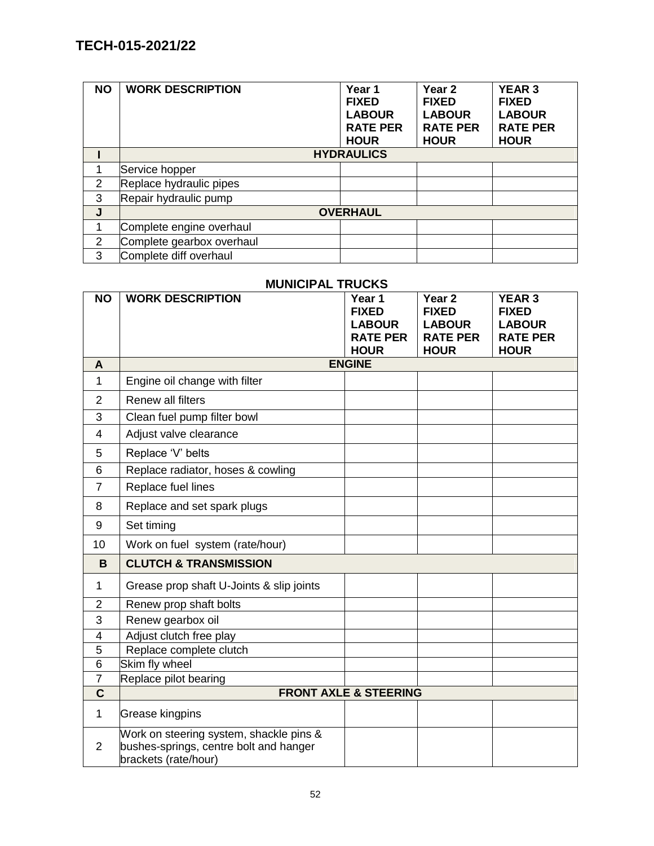| <b>NO</b> | <b>WORK DESCRIPTION</b>   | Year 1<br><b>FIXED</b><br><b>LABOUR</b><br><b>RATE PER</b><br><b>HOUR</b> | Year <sub>2</sub><br><b>FIXED</b><br><b>LABOUR</b><br><b>RATE PER</b><br><b>HOUR</b> | <b>YEAR 3</b><br><b>FIXED</b><br><b>LABOUR</b><br><b>RATE PER</b><br><b>HOUR</b> |
|-----------|---------------------------|---------------------------------------------------------------------------|--------------------------------------------------------------------------------------|----------------------------------------------------------------------------------|
|           |                           | <b>HYDRAULICS</b>                                                         |                                                                                      |                                                                                  |
|           | Service hopper            |                                                                           |                                                                                      |                                                                                  |
| 2         | Replace hydraulic pipes   |                                                                           |                                                                                      |                                                                                  |
| 3         | Repair hydraulic pump     |                                                                           |                                                                                      |                                                                                  |
| J         |                           | <b>OVERHAUL</b>                                                           |                                                                                      |                                                                                  |
|           | Complete engine overhaul  |                                                                           |                                                                                      |                                                                                  |
| 2         | Complete gearbox overhaul |                                                                           |                                                                                      |                                                                                  |
| 3         | Complete diff overhaul    |                                                                           |                                                                                      |                                                                                  |

# **MUNICIPAL TRUCKS**

| <b>NO</b>                | <b>WORK DESCRIPTION</b>                                                                                   | Year 1<br><b>FIXED</b><br><b>LABOUR</b> | Year <sub>2</sub><br><b>FIXED</b><br><b>LABOUR</b> | <b>YEAR 3</b><br><b>FIXED</b><br><b>LABOUR</b> |
|--------------------------|-----------------------------------------------------------------------------------------------------------|-----------------------------------------|----------------------------------------------------|------------------------------------------------|
|                          |                                                                                                           | <b>RATE PER</b><br><b>HOUR</b>          | <b>RATE PER</b><br><b>HOUR</b>                     | <b>RATE PER</b><br><b>HOUR</b>                 |
| A                        |                                                                                                           | <b>ENGINE</b>                           |                                                    |                                                |
| 1                        | Engine oil change with filter                                                                             |                                         |                                                    |                                                |
| $\overline{2}$           | Renew all filters                                                                                         |                                         |                                                    |                                                |
| 3                        | Clean fuel pump filter bowl                                                                               |                                         |                                                    |                                                |
| 4                        | Adjust valve clearance                                                                                    |                                         |                                                    |                                                |
| 5                        | Replace 'V' belts                                                                                         |                                         |                                                    |                                                |
| 6                        | Replace radiator, hoses & cowling                                                                         |                                         |                                                    |                                                |
| $\overline{7}$           | Replace fuel lines                                                                                        |                                         |                                                    |                                                |
| 8                        | Replace and set spark plugs                                                                               |                                         |                                                    |                                                |
| 9                        | Set timing                                                                                                |                                         |                                                    |                                                |
| 10                       | Work on fuel system (rate/hour)                                                                           |                                         |                                                    |                                                |
| B                        | <b>CLUTCH &amp; TRANSMISSION</b>                                                                          |                                         |                                                    |                                                |
| 1                        | Grease prop shaft U-Joints & slip joints                                                                  |                                         |                                                    |                                                |
| $\overline{2}$           | Renew prop shaft bolts                                                                                    |                                         |                                                    |                                                |
| 3                        | Renew gearbox oil                                                                                         |                                         |                                                    |                                                |
| $\overline{\mathcal{A}}$ | Adjust clutch free play                                                                                   |                                         |                                                    |                                                |
| 5                        | Replace complete clutch                                                                                   |                                         |                                                    |                                                |
| 6                        | Skim fly wheel                                                                                            |                                         |                                                    |                                                |
| $\overline{7}$           | Replace pilot bearing                                                                                     |                                         |                                                    |                                                |
| $\mathbf C$              |                                                                                                           | <b>FRONT AXLE &amp; STEERING</b>        |                                                    |                                                |
| 1                        | Grease kingpins                                                                                           |                                         |                                                    |                                                |
| $\overline{2}$           | Work on steering system, shackle pins &<br>bushes-springs, centre bolt and hanger<br>brackets (rate/hour) |                                         |                                                    |                                                |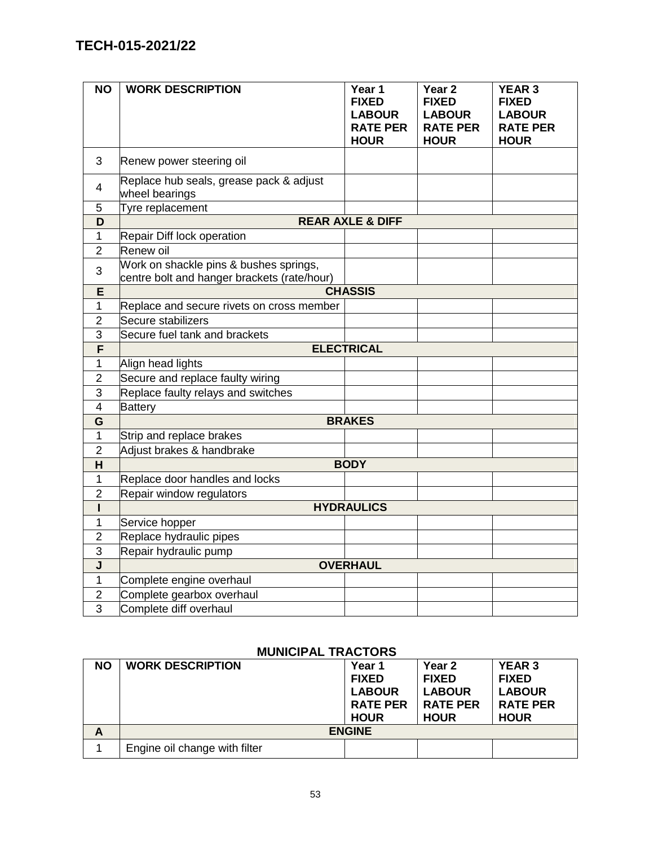| <b>NO</b>               | <b>WORK DESCRIPTION</b>                                                               | Year 1<br><b>FIXED</b><br><b>LABOUR</b><br><b>RATE PER</b><br><b>HOUR</b> | Year <sub>2</sub><br><b>FIXED</b><br><b>LABOUR</b><br><b>RATE PER</b><br><b>HOUR</b> | <b>YEAR 3</b><br><b>FIXED</b><br><b>LABOUR</b><br><b>RATE PER</b><br><b>HOUR</b> |
|-------------------------|---------------------------------------------------------------------------------------|---------------------------------------------------------------------------|--------------------------------------------------------------------------------------|----------------------------------------------------------------------------------|
| 3                       | Renew power steering oil                                                              |                                                                           |                                                                                      |                                                                                  |
| $\overline{4}$          | Replace hub seals, grease pack & adjust<br>wheel bearings                             |                                                                           |                                                                                      |                                                                                  |
| 5                       | Tyre replacement                                                                      |                                                                           |                                                                                      |                                                                                  |
| D                       |                                                                                       | <b>REAR AXLE &amp; DIFF</b>                                               |                                                                                      |                                                                                  |
| 1                       | Repair Diff lock operation                                                            |                                                                           |                                                                                      |                                                                                  |
| 2                       | Renew oil                                                                             |                                                                           |                                                                                      |                                                                                  |
| 3                       | Work on shackle pins & bushes springs,<br>centre bolt and hanger brackets (rate/hour) |                                                                           |                                                                                      |                                                                                  |
| E                       |                                                                                       | <b>CHASSIS</b>                                                            |                                                                                      |                                                                                  |
| $\mathbf{1}$            | Replace and secure rivets on cross member                                             |                                                                           |                                                                                      |                                                                                  |
| $\overline{2}$          | Secure stabilizers                                                                    |                                                                           |                                                                                      |                                                                                  |
| 3                       | Secure fuel tank and brackets                                                         |                                                                           |                                                                                      |                                                                                  |
| F                       |                                                                                       | <b>ELECTRICAL</b>                                                         |                                                                                      |                                                                                  |
| 1                       | Align head lights                                                                     |                                                                           |                                                                                      |                                                                                  |
| $\overline{2}$          | Secure and replace faulty wiring                                                      |                                                                           |                                                                                      |                                                                                  |
| 3                       | Replace faulty relays and switches                                                    |                                                                           |                                                                                      |                                                                                  |
| $\overline{4}$          | <b>Battery</b>                                                                        |                                                                           |                                                                                      |                                                                                  |
| G                       |                                                                                       | <b>BRAKES</b>                                                             |                                                                                      |                                                                                  |
| $\mathbf{1}$            | Strip and replace brakes                                                              |                                                                           |                                                                                      |                                                                                  |
| $\overline{2}$          | Adjust brakes & handbrake                                                             |                                                                           |                                                                                      |                                                                                  |
| H.                      |                                                                                       | <b>BODY</b>                                                               |                                                                                      |                                                                                  |
| 1                       | Replace door handles and locks                                                        |                                                                           |                                                                                      |                                                                                  |
| $\overline{2}$          | Repair window regulators                                                              |                                                                           |                                                                                      |                                                                                  |
| ı                       |                                                                                       | <b>HYDRAULICS</b>                                                         |                                                                                      |                                                                                  |
| 1                       | Service hopper                                                                        |                                                                           |                                                                                      |                                                                                  |
| $\overline{2}$          | Replace hydraulic pipes                                                               |                                                                           |                                                                                      |                                                                                  |
| 3                       | Repair hydraulic pump                                                                 |                                                                           |                                                                                      |                                                                                  |
| $\overline{\mathsf{J}}$ |                                                                                       | <b>OVERHAUL</b>                                                           |                                                                                      |                                                                                  |
| 1                       | Complete engine overhaul                                                              |                                                                           |                                                                                      |                                                                                  |
| $\overline{2}$          | Complete gearbox overhaul                                                             |                                                                           |                                                                                      |                                                                                  |
| $\overline{3}$          | Complete diff overhaul                                                                |                                                                           |                                                                                      |                                                                                  |

### **MUNICIPAL TRACTORS**

| <b>NO</b> | <b>WORK DESCRIPTION</b>       | Year 1<br><b>FIXED</b><br><b>LABOUR</b><br><b>RATE PER</b><br><b>HOUR</b> | Year 2<br><b>FIXED</b><br><b>LABOUR</b><br><b>RATE PER</b><br><b>HOUR</b> | <b>YEAR 3</b><br><b>FIXED</b><br><b>LABOUR</b><br><b>RATE PER</b><br><b>HOUR</b> |
|-----------|-------------------------------|---------------------------------------------------------------------------|---------------------------------------------------------------------------|----------------------------------------------------------------------------------|
| A         |                               | <b>ENGINE</b>                                                             |                                                                           |                                                                                  |
|           | Engine oil change with filter |                                                                           |                                                                           |                                                                                  |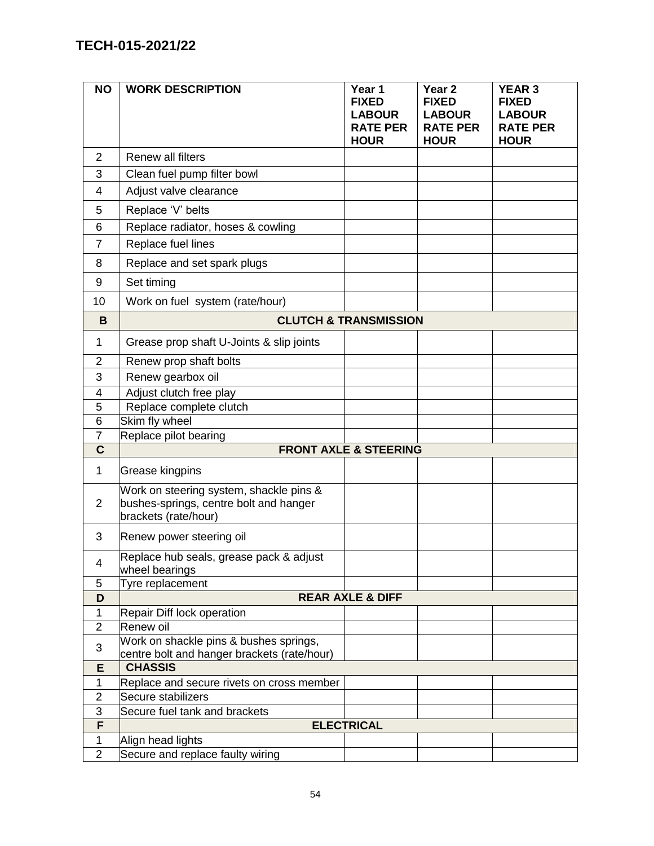| <b>NO</b>      | <b>WORK DESCRIPTION</b>                                                                                   | Year 1<br><b>FIXED</b><br><b>LABOUR</b><br><b>RATE PER</b><br><b>HOUR</b> | Year <sub>2</sub><br><b>FIXED</b><br><b>LABOUR</b><br><b>RATE PER</b><br><b>HOUR</b> | <b>YEAR 3</b><br><b>FIXED</b><br><b>LABOUR</b><br><b>RATE PER</b><br><b>HOUR</b> |
|----------------|-----------------------------------------------------------------------------------------------------------|---------------------------------------------------------------------------|--------------------------------------------------------------------------------------|----------------------------------------------------------------------------------|
| $\overline{2}$ | Renew all filters                                                                                         |                                                                           |                                                                                      |                                                                                  |
| 3              | Clean fuel pump filter bowl                                                                               |                                                                           |                                                                                      |                                                                                  |
| 4              | Adjust valve clearance                                                                                    |                                                                           |                                                                                      |                                                                                  |
| 5              | Replace 'V' belts                                                                                         |                                                                           |                                                                                      |                                                                                  |
| 6              | Replace radiator, hoses & cowling                                                                         |                                                                           |                                                                                      |                                                                                  |
| $\overline{7}$ | Replace fuel lines                                                                                        |                                                                           |                                                                                      |                                                                                  |
| 8              | Replace and set spark plugs                                                                               |                                                                           |                                                                                      |                                                                                  |
| 9              | Set timing                                                                                                |                                                                           |                                                                                      |                                                                                  |
| 10             | Work on fuel system (rate/hour)                                                                           |                                                                           |                                                                                      |                                                                                  |
| B              |                                                                                                           | <b>CLUTCH &amp; TRANSMISSION</b>                                          |                                                                                      |                                                                                  |
| 1              | Grease prop shaft U-Joints & slip joints                                                                  |                                                                           |                                                                                      |                                                                                  |
| $\overline{2}$ | Renew prop shaft bolts                                                                                    |                                                                           |                                                                                      |                                                                                  |
| 3              | Renew gearbox oil                                                                                         |                                                                           |                                                                                      |                                                                                  |
| 4              | Adjust clutch free play                                                                                   |                                                                           |                                                                                      |                                                                                  |
| 5              | Replace complete clutch                                                                                   |                                                                           |                                                                                      |                                                                                  |
| 6              | Skim fly wheel                                                                                            |                                                                           |                                                                                      |                                                                                  |
| $\overline{7}$ | Replace pilot bearing                                                                                     |                                                                           |                                                                                      |                                                                                  |
| $\mathbf C$    |                                                                                                           | <b>FRONT AXLE &amp; STEERING</b>                                          |                                                                                      |                                                                                  |
| $\mathbf{1}$   | Grease kingpins                                                                                           |                                                                           |                                                                                      |                                                                                  |
| $\overline{2}$ | Work on steering system, shackle pins &<br>bushes-springs, centre bolt and hanger<br>brackets (rate/hour) |                                                                           |                                                                                      |                                                                                  |
| 3              | Renew power steering oil                                                                                  |                                                                           |                                                                                      |                                                                                  |
| 4              | Replace hub seals, grease pack & adjust<br>wheel bearings                                                 |                                                                           |                                                                                      |                                                                                  |
| 5              | Tyre replacement                                                                                          |                                                                           |                                                                                      |                                                                                  |
| D              |                                                                                                           | <b>REAR AXLE &amp; DIFF</b>                                               |                                                                                      |                                                                                  |
| 1              | Repair Diff lock operation                                                                                |                                                                           |                                                                                      |                                                                                  |
| $\overline{2}$ | Renew oil                                                                                                 |                                                                           |                                                                                      |                                                                                  |
| 3              | Work on shackle pins & bushes springs,<br>centre bolt and hanger brackets (rate/hour)                     |                                                                           |                                                                                      |                                                                                  |
| E              | <b>CHASSIS</b>                                                                                            |                                                                           |                                                                                      |                                                                                  |
| $\mathbf{1}$   | Replace and secure rivets on cross member                                                                 |                                                                           |                                                                                      |                                                                                  |
| $\overline{2}$ | Secure stabilizers                                                                                        |                                                                           |                                                                                      |                                                                                  |
| 3              | Secure fuel tank and brackets                                                                             |                                                                           |                                                                                      |                                                                                  |
| F              |                                                                                                           | <b>ELECTRICAL</b>                                                         |                                                                                      |                                                                                  |
| $\mathbf{1}$   | Align head lights                                                                                         |                                                                           |                                                                                      |                                                                                  |
| $\overline{2}$ | Secure and replace faulty wiring                                                                          |                                                                           |                                                                                      |                                                                                  |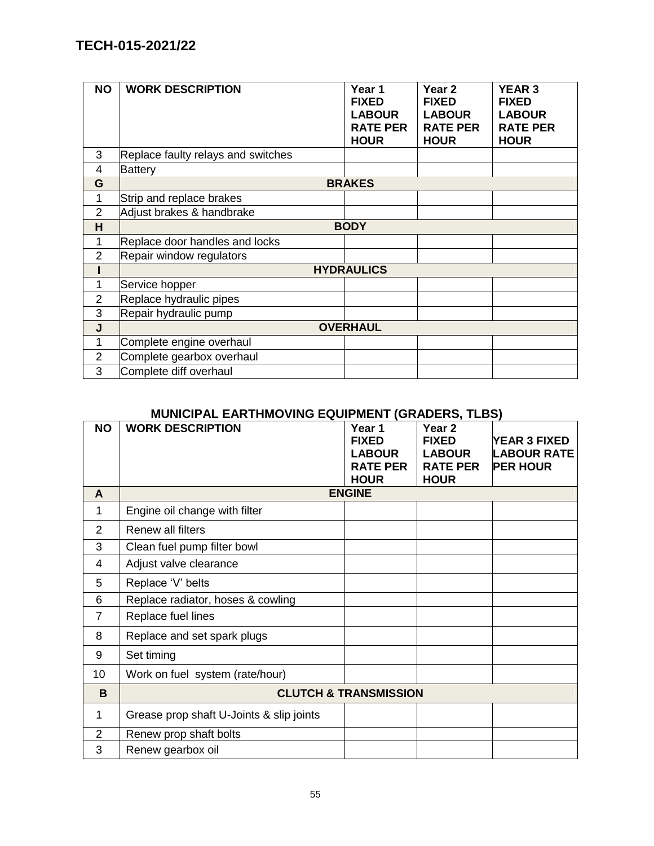| <b>NO</b>      | <b>WORK DESCRIPTION</b>            | Year 1<br><b>FIXED</b><br><b>LABOUR</b><br><b>RATE PER</b><br><b>HOUR</b> | Year <sub>2</sub><br><b>FIXED</b><br><b>LABOUR</b><br><b>RATE PER</b><br><b>HOUR</b> | <b>YEAR 3</b><br><b>FIXED</b><br><b>LABOUR</b><br><b>RATE PER</b><br><b>HOUR</b> |
|----------------|------------------------------------|---------------------------------------------------------------------------|--------------------------------------------------------------------------------------|----------------------------------------------------------------------------------|
| 3              | Replace faulty relays and switches |                                                                           |                                                                                      |                                                                                  |
| 4              | Battery                            |                                                                           |                                                                                      |                                                                                  |
| G              |                                    | <b>BRAKES</b>                                                             |                                                                                      |                                                                                  |
| 1              | Strip and replace brakes           |                                                                           |                                                                                      |                                                                                  |
| $\overline{2}$ | Adjust brakes & handbrake          |                                                                           |                                                                                      |                                                                                  |
| H              |                                    | <b>BODY</b>                                                               |                                                                                      |                                                                                  |
| 1              | Replace door handles and locks     |                                                                           |                                                                                      |                                                                                  |
| $\overline{2}$ | Repair window regulators           |                                                                           |                                                                                      |                                                                                  |
|                |                                    | <b>HYDRAULICS</b>                                                         |                                                                                      |                                                                                  |
| 1              | Service hopper                     |                                                                           |                                                                                      |                                                                                  |
| 2              | Replace hydraulic pipes            |                                                                           |                                                                                      |                                                                                  |
| 3              | Repair hydraulic pump              |                                                                           |                                                                                      |                                                                                  |
| J              |                                    | <b>OVERHAUL</b>                                                           |                                                                                      |                                                                                  |
| 1              | Complete engine overhaul           |                                                                           |                                                                                      |                                                                                  |
| 2              | Complete gearbox overhaul          |                                                                           |                                                                                      |                                                                                  |
| 3              | Complete diff overhaul             |                                                                           |                                                                                      |                                                                                  |

# **MUNICIPAL EARTHMOVING EQUIPMENT (GRADERS, TLBS)**

| <b>NO</b>      | <b>WORK DESCRIPTION</b>                  | Year 1<br><b>FIXED</b><br><b>LABOUR</b><br><b>RATE PER</b> | Year <sub>2</sub><br><b>FIXED</b><br><b>LABOUR</b><br><b>RATE PER</b> | <b>YEAR 3 FIXED</b><br><b>LABOUR RATE</b><br><b>PER HOUR</b> |
|----------------|------------------------------------------|------------------------------------------------------------|-----------------------------------------------------------------------|--------------------------------------------------------------|
|                |                                          | <b>HOUR</b>                                                | <b>HOUR</b>                                                           |                                                              |
| $\mathsf{A}$   |                                          | <b>ENGINE</b>                                              |                                                                       |                                                              |
| 1              | Engine oil change with filter            |                                                            |                                                                       |                                                              |
| $\overline{2}$ | Renew all filters                        |                                                            |                                                                       |                                                              |
| 3              | Clean fuel pump filter bowl              |                                                            |                                                                       |                                                              |
| 4              | Adjust valve clearance                   |                                                            |                                                                       |                                                              |
| 5              | Replace 'V' belts                        |                                                            |                                                                       |                                                              |
| 6              | Replace radiator, hoses & cowling        |                                                            |                                                                       |                                                              |
| $\overline{7}$ | Replace fuel lines                       |                                                            |                                                                       |                                                              |
| 8              | Replace and set spark plugs              |                                                            |                                                                       |                                                              |
| 9              | Set timing                               |                                                            |                                                                       |                                                              |
| 10             | Work on fuel system (rate/hour)          |                                                            |                                                                       |                                                              |
| B              |                                          | <b>CLUTCH &amp; TRANSMISSION</b>                           |                                                                       |                                                              |
| 1              | Grease prop shaft U-Joints & slip joints |                                                            |                                                                       |                                                              |
| $\overline{2}$ | Renew prop shaft bolts                   |                                                            |                                                                       |                                                              |
| 3              | Renew gearbox oil                        |                                                            |                                                                       |                                                              |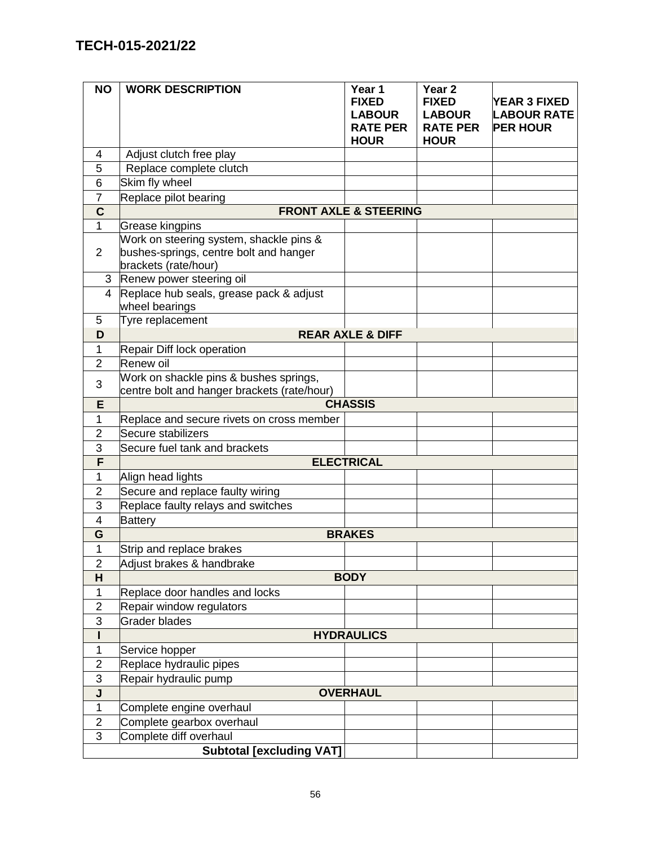| <b>NO</b>      | <b>WORK DESCRIPTION</b>                                                                                   | Year 1<br><b>FIXED</b><br><b>LABOUR</b><br><b>RATE PER</b><br><b>HOUR</b> | Year <sub>2</sub><br><b>FIXED</b><br><b>LABOUR</b><br><b>RATE PER</b><br><b>HOUR</b> | <b>YEAR 3 FIXED</b><br><b>LABOUR RATE</b><br><b>PER HOUR</b> |
|----------------|-----------------------------------------------------------------------------------------------------------|---------------------------------------------------------------------------|--------------------------------------------------------------------------------------|--------------------------------------------------------------|
| 4              | Adjust clutch free play                                                                                   |                                                                           |                                                                                      |                                                              |
| 5              | Replace complete clutch                                                                                   |                                                                           |                                                                                      |                                                              |
| 6              | Skim fly wheel                                                                                            |                                                                           |                                                                                      |                                                              |
| $\overline{7}$ | Replace pilot bearing                                                                                     |                                                                           |                                                                                      |                                                              |
| $\mathbf C$    |                                                                                                           | <b>FRONT AXLE &amp; STEERING</b>                                          |                                                                                      |                                                              |
| 1              | Grease kingpins                                                                                           |                                                                           |                                                                                      |                                                              |
| $\overline{2}$ | Work on steering system, shackle pins &<br>bushes-springs, centre bolt and hanger<br>brackets (rate/hour) |                                                                           |                                                                                      |                                                              |
| 3              | Renew power steering oil                                                                                  |                                                                           |                                                                                      |                                                              |
| 4              | Replace hub seals, grease pack & adjust<br>wheel bearings                                                 |                                                                           |                                                                                      |                                                              |
| 5              | Tyre replacement                                                                                          |                                                                           |                                                                                      |                                                              |
| D              |                                                                                                           | <b>REAR AXLE &amp; DIFF</b>                                               |                                                                                      |                                                              |
| 1              | Repair Diff lock operation                                                                                |                                                                           |                                                                                      |                                                              |
| $\overline{2}$ | Renew oil                                                                                                 |                                                                           |                                                                                      |                                                              |
| 3              | Work on shackle pins & bushes springs,<br>centre bolt and hanger brackets (rate/hour)                     |                                                                           |                                                                                      |                                                              |
| E              |                                                                                                           | <b>CHASSIS</b>                                                            |                                                                                      |                                                              |
| $\mathbf{1}$   | Replace and secure rivets on cross member                                                                 |                                                                           |                                                                                      |                                                              |
| $\overline{2}$ | Secure stabilizers                                                                                        |                                                                           |                                                                                      |                                                              |
| 3              | Secure fuel tank and brackets                                                                             |                                                                           |                                                                                      |                                                              |
| F              |                                                                                                           | <b>ELECTRICAL</b>                                                         |                                                                                      |                                                              |
| 1              | Align head lights                                                                                         |                                                                           |                                                                                      |                                                              |
| $\overline{2}$ | Secure and replace faulty wiring                                                                          |                                                                           |                                                                                      |                                                              |
| 3              | Replace faulty relays and switches                                                                        |                                                                           |                                                                                      |                                                              |
| $\overline{4}$ | <b>Battery</b>                                                                                            | <b>BRAKES</b>                                                             |                                                                                      |                                                              |
| G<br>1         | Strip and replace brakes                                                                                  |                                                                           |                                                                                      |                                                              |
| 2              | Adjust brakes & handbrake                                                                                 |                                                                           |                                                                                      |                                                              |
| H              |                                                                                                           | <b>BODY</b>                                                               |                                                                                      |                                                              |
| $\mathbf 1$    | Replace door handles and locks                                                                            |                                                                           |                                                                                      |                                                              |
| $\overline{c}$ | Repair window regulators                                                                                  |                                                                           |                                                                                      |                                                              |
| 3              | <b>Grader blades</b>                                                                                      |                                                                           |                                                                                      |                                                              |
|                |                                                                                                           | <b>HYDRAULICS</b>                                                         |                                                                                      |                                                              |
| 1              | Service hopper                                                                                            |                                                                           |                                                                                      |                                                              |
| $\overline{c}$ | Replace hydraulic pipes                                                                                   |                                                                           |                                                                                      |                                                              |
| 3              | Repair hydraulic pump                                                                                     |                                                                           |                                                                                      |                                                              |
| J              |                                                                                                           | <b>OVERHAUL</b>                                                           |                                                                                      |                                                              |
| $\mathbf 1$    | Complete engine overhaul                                                                                  |                                                                           |                                                                                      |                                                              |
| $\overline{2}$ | Complete gearbox overhaul                                                                                 |                                                                           |                                                                                      |                                                              |
| 3              | Complete diff overhaul                                                                                    |                                                                           |                                                                                      |                                                              |
|                | <b>Subtotal [excluding VAT]</b>                                                                           |                                                                           |                                                                                      |                                                              |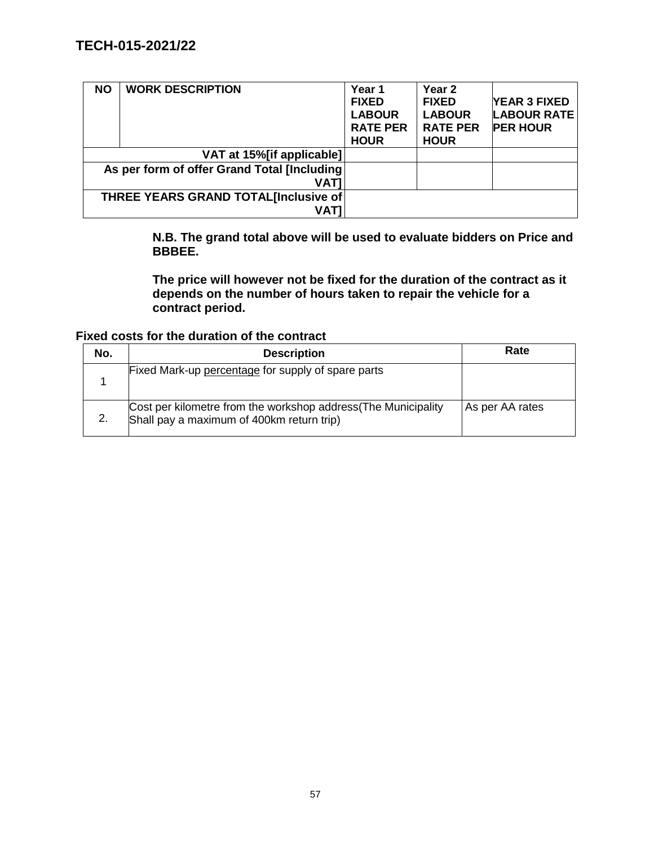| <b>NO</b> | <b>WORK DESCRIPTION</b>                      | Year 1<br><b>FIXED</b><br><b>LABOUR</b><br><b>RATE PER</b><br><b>HOUR</b> | Year <sub>2</sub><br><b>FIXED</b><br><b>LABOUR</b><br><b>RATE PER</b><br><b>HOUR</b> | <b>YEAR 3 FIXED</b><br><b>LABOUR RATE</b><br><b>PER HOUR</b> |
|-----------|----------------------------------------------|---------------------------------------------------------------------------|--------------------------------------------------------------------------------------|--------------------------------------------------------------|
|           | VAT at 15% [if applicable]                   |                                                                           |                                                                                      |                                                              |
|           | As per form of offer Grand Total [Including] |                                                                           |                                                                                      |                                                              |
|           | <b>VATI</b>                                  |                                                                           |                                                                                      |                                                              |
|           | THREE YEARS GRAND TOTAL[Inclusive of         |                                                                           |                                                                                      |                                                              |
|           | VATI                                         |                                                                           |                                                                                      |                                                              |

**N.B. The grand total above will be used to evaluate bidders on Price and BBBEE.** 

**The price will however not be fixed for the duration of the contract as it depends on the number of hours taken to repair the vehicle for a contract period.**

**Fixed costs for the duration of the contract**

| No. | <b>Description</b>                                                                                         | Rate            |
|-----|------------------------------------------------------------------------------------------------------------|-----------------|
|     | Fixed Mark-up percentage for supply of spare parts                                                         |                 |
| 2.  | Cost per kilometre from the workshop address(The Municipality<br>Shall pay a maximum of 400km return trip) | As per AA rates |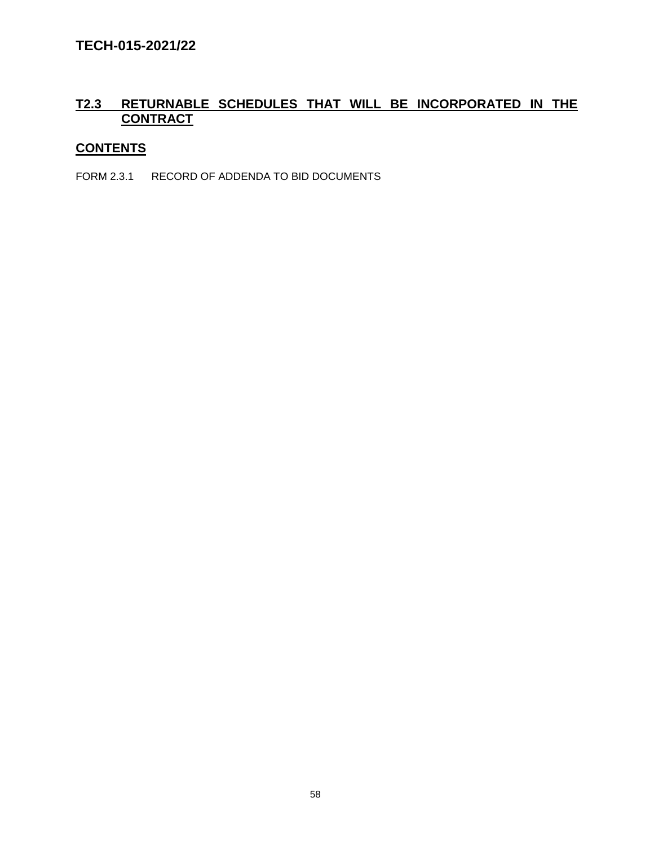### **T2.3 RETURNABLE SCHEDULES THAT WILL BE INCORPORATED IN THE CONTRACT**

# **CONTENTS**

FORM 2.3.1 RECORD OF ADDENDA TO BID DOCUMENTS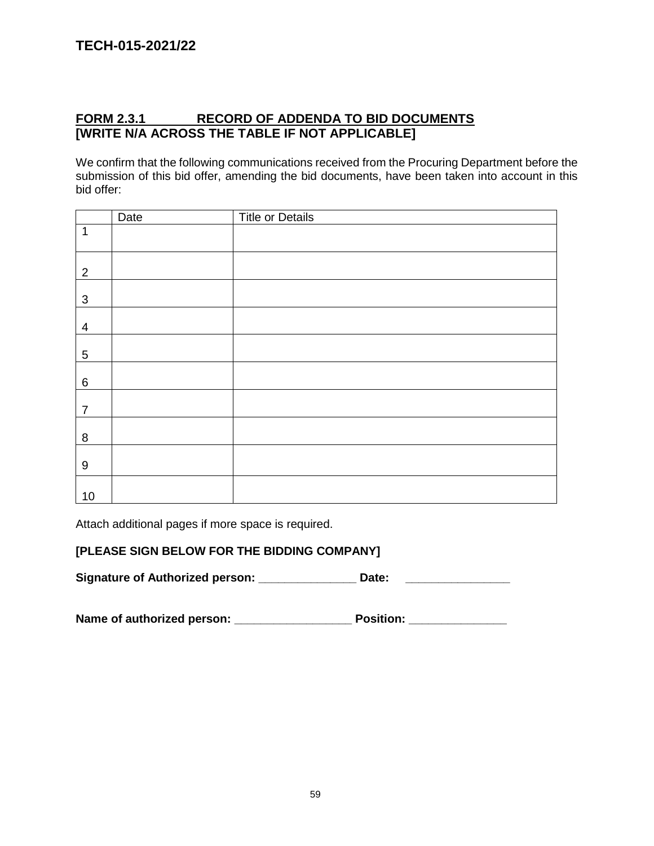### **FORM 2.3.1 RECORD OF ADDENDA TO BID DOCUMENTS [WRITE N/A ACROSS THE TABLE IF NOT APPLICABLE]**

We confirm that the following communications received from the Procuring Department before the submission of this bid offer, amending the bid documents, have been taken into account in this bid offer:

|                  | Date | <b>Title or Details</b> |
|------------------|------|-------------------------|
| $\mathbf{1}$     |      |                         |
| $\overline{2}$   |      |                         |
| $\mathbf{3}$     |      |                         |
| $\overline{4}$   |      |                         |
| 5                |      |                         |
| 6                |      |                         |
| $\overline{7}$   |      |                         |
| 8                |      |                         |
| $\boldsymbol{9}$ |      |                         |
| $10$             |      |                         |

Attach additional pages if more space is required.

### **[PLEASE SIGN BELOW FOR THE BIDDING COMPANY]**

Signature of Authorized person: **\_\_\_\_\_\_\_\_\_\_\_\_\_\_\_\_\_\_\_\_\_Date:** \_\_\_\_\_\_\_\_\_\_\_\_\_\_\_\_\_\_\_\_

**Name of authorized person: \_\_\_\_\_\_\_\_\_\_\_\_\_\_\_\_\_\_ Position: \_\_\_\_\_\_\_\_\_\_\_\_\_\_\_**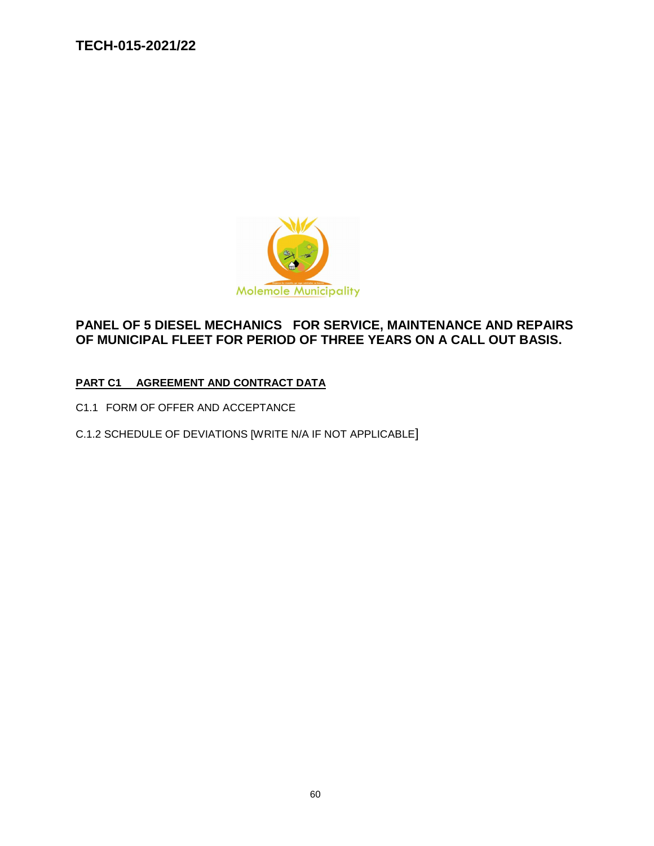

# **PANEL OF 5 DIESEL MECHANICS FOR SERVICE, MAINTENANCE AND REPAIRS OF MUNICIPAL FLEET FOR PERIOD OF THREE YEARS ON A CALL OUT BASIS.**

### **PART C1 AGREEMENT AND CONTRACT DATA**

- C1.1 FORM OF OFFER AND ACCEPTANCE
- C.1.2 SCHEDULE OF DEVIATIONS [WRITE N/A IF NOT APPLICABLE]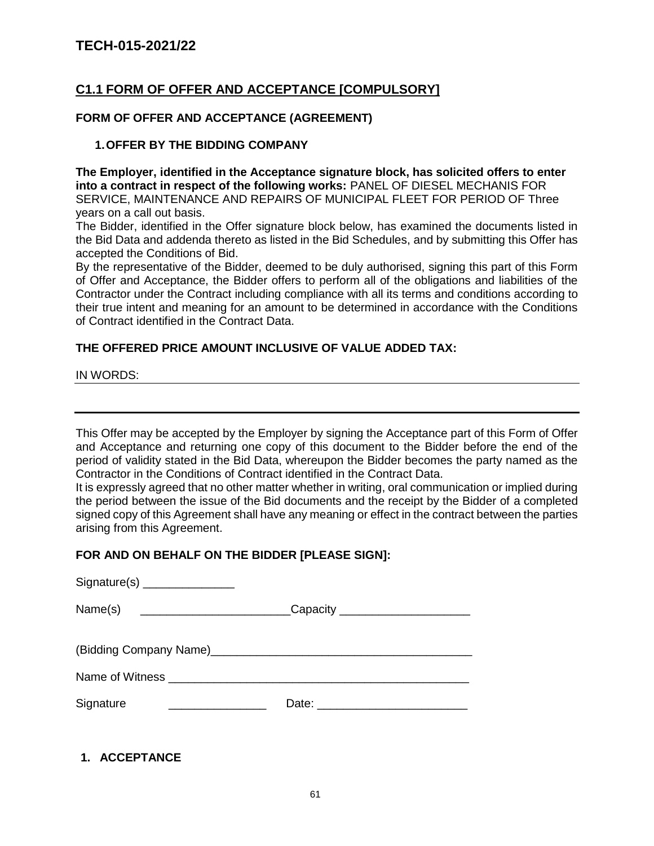### **C1.1 FORM OF OFFER AND ACCEPTANCE [COMPULSORY]**

### **FORM OF OFFER AND ACCEPTANCE (AGREEMENT)**

### **1.OFFER BY THE BIDDING COMPANY**

**The Employer, identified in the Acceptance signature block, has solicited offers to enter into a contract in respect of the following works:** PANEL OF DIESEL MECHANIS FOR SERVICE, MAINTENANCE AND REPAIRS OF MUNICIPAL FLEET FOR PERIOD OF Three years on a call out basis.

The Bidder, identified in the Offer signature block below, has examined the documents listed in the Bid Data and addenda thereto as listed in the Bid Schedules, and by submitting this Offer has accepted the Conditions of Bid.

By the representative of the Bidder, deemed to be duly authorised, signing this part of this Form of Offer and Acceptance, the Bidder offers to perform all of the obligations and liabilities of the Contractor under the Contract including compliance with all its terms and conditions according to their true intent and meaning for an amount to be determined in accordance with the Conditions of Contract identified in the Contract Data.

### **THE OFFERED PRICE AMOUNT INCLUSIVE OF VALUE ADDED TAX:**

IN WORDS:

This Offer may be accepted by the Employer by signing the Acceptance part of this Form of Offer and Acceptance and returning one copy of this document to the Bidder before the end of the period of validity stated in the Bid Data, whereupon the Bidder becomes the party named as the Contractor in the Conditions of Contract identified in the Contract Data.

It is expressly agreed that no other matter whether in writing, oral communication or implied during the period between the issue of the Bid documents and the receipt by the Bidder of a completed signed copy of this Agreement shall have any meaning or effect in the contract between the parties arising from this Agreement.

### **FOR AND ON BEHALF ON THE BIDDER [PLEASE SIGN]:**

| Signature(s) _______________                                                     |  |
|----------------------------------------------------------------------------------|--|
| Name(s) __________________________________Capacity _____________________________ |  |
|                                                                                  |  |
|                                                                                  |  |
| Signature<br><u> 1980 - Andrea Brand, Amerikaansk politik (</u>                  |  |
|                                                                                  |  |

**1. ACCEPTANCE**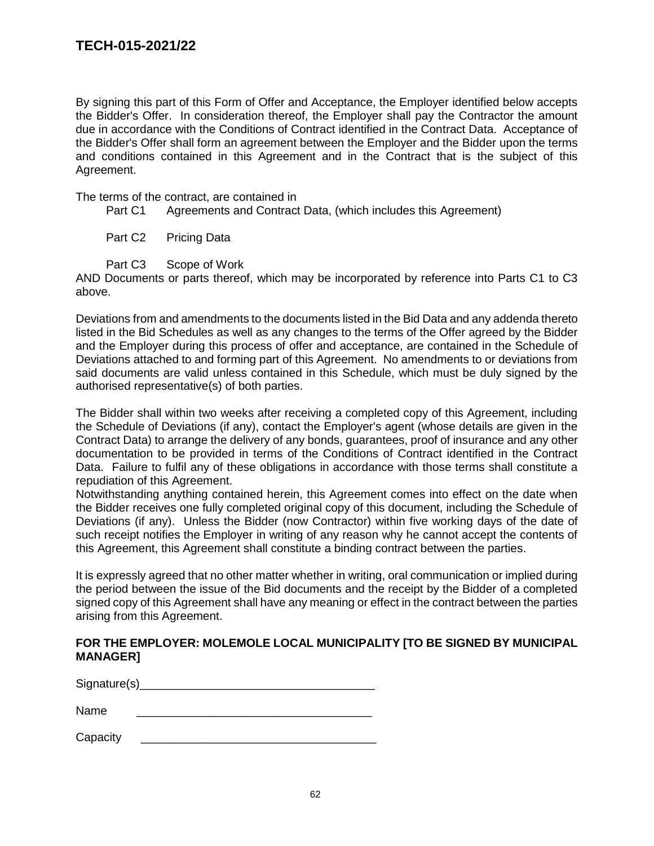By signing this part of this Form of Offer and Acceptance, the Employer identified below accepts the Bidder's Offer. In consideration thereof, the Employer shall pay the Contractor the amount due in accordance with the Conditions of Contract identified in the Contract Data. Acceptance of the Bidder's Offer shall form an agreement between the Employer and the Bidder upon the terms and conditions contained in this Agreement and in the Contract that is the subject of this Agreement.

The terms of the contract, are contained in

- Part C1 Agreements and Contract Data, (which includes this Agreement)
- Part C<sub>2</sub> Pricing Data
- Part C3 Scope of Work

AND Documents or parts thereof, which may be incorporated by reference into Parts C1 to C3 above.

Deviations from and amendments to the documents listed in the Bid Data and any addenda thereto listed in the Bid Schedules as well as any changes to the terms of the Offer agreed by the Bidder and the Employer during this process of offer and acceptance, are contained in the Schedule of Deviations attached to and forming part of this Agreement. No amendments to or deviations from said documents are valid unless contained in this Schedule, which must be duly signed by the authorised representative(s) of both parties.

The Bidder shall within two weeks after receiving a completed copy of this Agreement, including the Schedule of Deviations (if any), contact the Employer's agent (whose details are given in the Contract Data) to arrange the delivery of any bonds, guarantees, proof of insurance and any other documentation to be provided in terms of the Conditions of Contract identified in the Contract Data. Failure to fulfil any of these obligations in accordance with those terms shall constitute a repudiation of this Agreement.

Notwithstanding anything contained herein, this Agreement comes into effect on the date when the Bidder receives one fully completed original copy of this document, including the Schedule of Deviations (if any). Unless the Bidder (now Contractor) within five working days of the date of such receipt notifies the Employer in writing of any reason why he cannot accept the contents of this Agreement, this Agreement shall constitute a binding contract between the parties.

It is expressly agreed that no other matter whether in writing, oral communication or implied during the period between the issue of the Bid documents and the receipt by the Bidder of a completed signed copy of this Agreement shall have any meaning or effect in the contract between the parties arising from this Agreement.

### **FOR THE EMPLOYER: MOLEMOLE LOCAL MUNICIPALITY [TO BE SIGNED BY MUNICIPAL MANAGER]**

 $Signature(s)$  and  $Signature(s)$  and  $Signature(s)$  and  $Signature(s)$  and  $Signature(s)$  and  $Signature(s)$  and  $Signature(s)$  and  $Signature(s)$  and  $Signature(s)$  and  $Signature(s)$  and  $Signature(s)$  and  $Signature(s)$  and  $Signature(s)$  and  $Signature(s)$  and  $Signature(s)$  and  $Signature(s)$  and  $Signature(s)$  and  $Signature(s)$  and  $Signature(s)$ Name \_\_\_\_\_\_\_\_\_\_\_\_\_\_\_\_\_\_\_\_\_\_\_\_\_\_\_\_\_\_\_\_\_\_\_\_

Capacity \_\_\_\_\_\_\_\_\_\_\_\_\_\_\_\_\_\_\_\_\_\_\_\_\_\_\_\_\_\_\_\_\_\_\_\_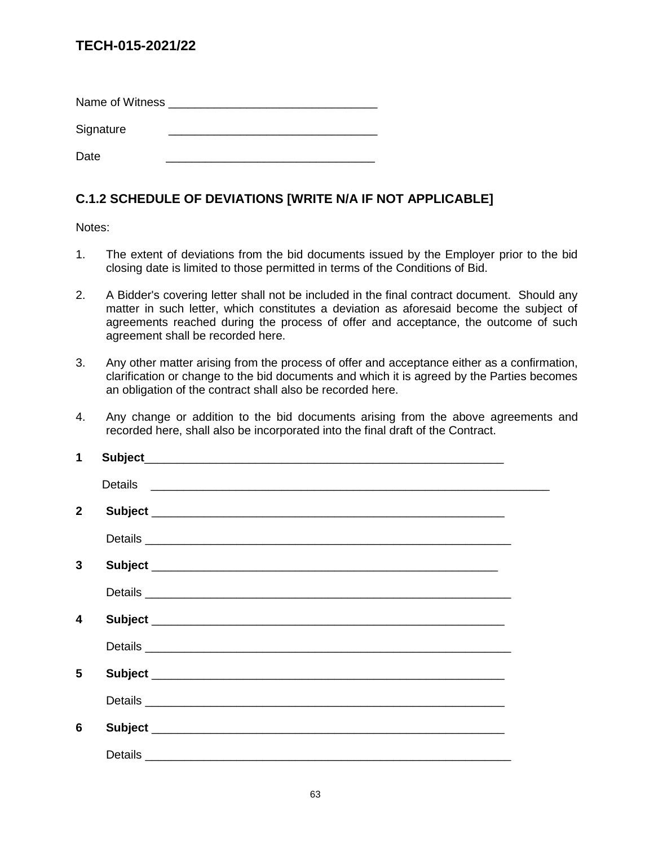Name of Witness **Example 20** 

Signature Date \_\_\_\_\_\_\_\_\_\_\_\_\_\_\_\_\_\_\_\_\_\_\_\_\_\_\_\_\_\_\_\_

# **C.1.2 SCHEDULE OF DEVIATIONS [WRITE N/A IF NOT APPLICABLE]**

### Notes:

- 1. The extent of deviations from the bid documents issued by the Employer prior to the bid closing date is limited to those permitted in terms of the Conditions of Bid.
- 2. A Bidder's covering letter shall not be included in the final contract document. Should any matter in such letter, which constitutes a deviation as aforesaid become the subject of agreements reached during the process of offer and acceptance, the outcome of such agreement shall be recorded here.
- 3. Any other matter arising from the process of offer and acceptance either as a confirmation, clarification or change to the bid documents and which it is agreed by the Parties becomes an obligation of the contract shall also be recorded here.
- 4. Any change or addition to the bid documents arising from the above agreements and recorded here, shall also be incorporated into the final draft of the Contract.